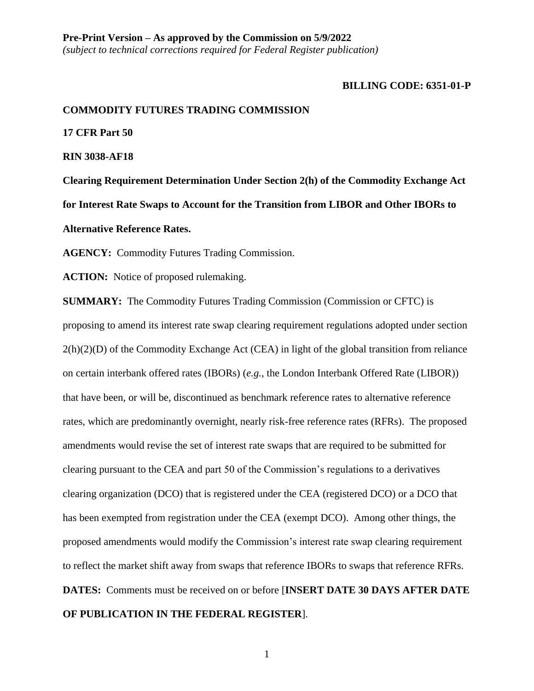#### **BILLING CODE: 6351-01-P**

#### **COMMODITY FUTURES TRADING COMMISSION**

**17 CFR Part 50**

**RIN 3038-AF18**

**Clearing Requirement Determination Under Section 2(h) of the Commodity Exchange Act for Interest Rate Swaps to Account for the Transition from LIBOR and Other IBORs to Alternative Reference Rates.**

**AGENCY:** Commodity Futures Trading Commission.

**ACTION:** Notice of proposed rulemaking.

**SUMMARY:** The Commodity Futures Trading Commission (Commission or CFTC) is proposing to amend its interest rate swap clearing requirement regulations adopted under section  $2(h)(2)(D)$  of the Commodity Exchange Act (CEA) in light of the global transition from reliance on certain interbank offered rates (IBORs) (*e.g.*, the London Interbank Offered Rate (LIBOR)) that have been, or will be, discontinued as benchmark reference rates to alternative reference rates, which are predominantly overnight, nearly risk-free reference rates (RFRs). The proposed amendments would revise the set of interest rate swaps that are required to be submitted for clearing pursuant to the CEA and part 50 of the Commission's regulations to a derivatives clearing organization (DCO) that is registered under the CEA (registered DCO) or a DCO that has been exempted from registration under the CEA (exempt DCO). Among other things, the proposed amendments would modify the Commission's interest rate swap clearing requirement to reflect the market shift away from swaps that reference IBORs to swaps that reference RFRs. **DATES:** Comments must be received on or before [**INSERT DATE 30 DAYS AFTER DATE OF PUBLICATION IN THE FEDERAL REGISTER**].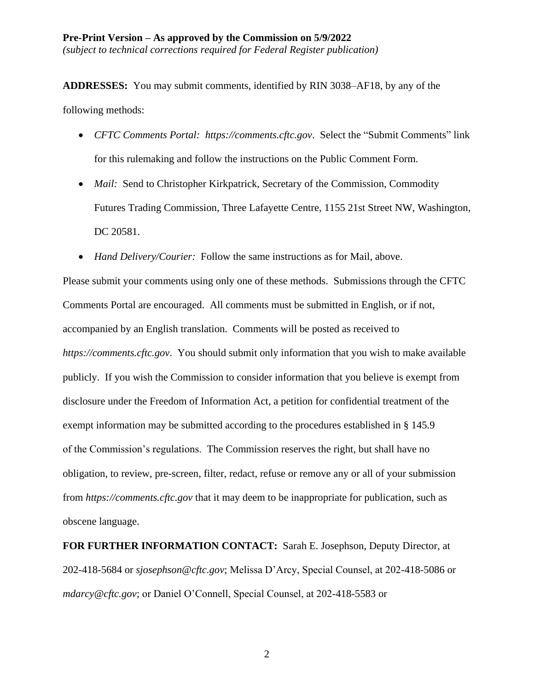**ADDRESSES:** You may submit comments, identified by RIN 3038–AF18, by any of the following methods:

- *CFTC Comments Portal: https://comments.cftc.gov*. Select the "Submit Comments" link for this rulemaking and follow the instructions on the Public Comment Form.
- *Mail:* Send to Christopher Kirkpatrick, Secretary of the Commission, Commodity Futures Trading Commission, Three Lafayette Centre, 1155 21st Street NW, Washington, DC 20581.
- *Hand Delivery/Courier:* Follow the same instructions as for Mail, above.

Please submit your comments using only one of these methods. Submissions through the CFTC Comments Portal are encouraged. All comments must be submitted in English, or if not, accompanied by an English translation. Comments will be posted as received to *https://comments.cftc.gov*. You should submit only information that you wish to make available publicly. If you wish the Commission to consider information that you believe is exempt from disclosure under the Freedom of Information Act, a petition for confidential treatment of the exempt information may be submitted according to the procedures established in § 145.9 of the Commission's regulations. The Commission reserves the right, but shall have no obligation, to review, pre-screen, filter, redact, refuse or remove any or all of your submission from *https://comments.cftc.gov* that it may deem to be inappropriate for publication, such as obscene language.

**FOR FURTHER INFORMATION CONTACT:** Sarah E. Josephson, Deputy Director, at 202-418-5684 or *sjosephson@cftc.gov*; Melissa D'Arcy, Special Counsel, at 202-418-5086 or *mdarcy@cftc.gov*; or Daniel O'Connell, Special Counsel, at 202-418-5583 or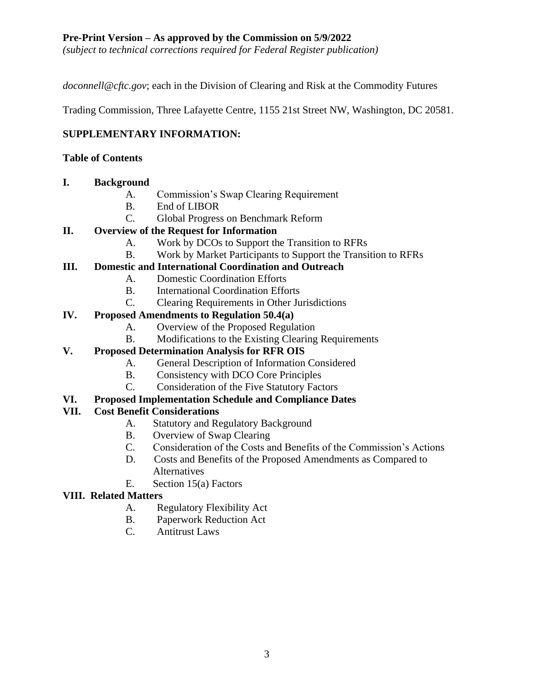*(subject to technical corrections required for Federal Register publication)*

*doconnell@cftc.gov*; each in the Division of Clearing and Risk at the Commodity Futures

Trading Commission, Three Lafayette Centre, 1155 21st Street NW, Washington, DC 20581.

## **SUPPLEMENTARY INFORMATION:**

## **Table of Contents**

### **I. Background**

- A. Commission's Swap Clearing Requirement
- B. End of LIBOR
- C. Global Progress on Benchmark Reform

## **II. Overview of the Request for Information**

- A. Work by DCOs to Support the Transition to RFRs
- B. Work by Market Participants to Support the Transition to RFRs

## **III. Domestic and International Coordination and Outreach**

- A. Domestic Coordination Efforts
- B. International Coordination Efforts
- C. Clearing Requirements in Other Jurisdictions

## **IV. Proposed Amendments to Regulation 50.4(a)**

- A. Overview of the Proposed Regulation
- B. Modifications to the Existing Clearing Requirements

# **V. Proposed Determination Analysis for RFR OIS**

- A. General Description of Information Considered
- B. Consistency with DCO Core Principles
- C. Consideration of the Five Statutory Factors

## **VI. Proposed Implementation Schedule and Compliance Dates**

## **VII. Cost Benefit Considerations**

- A. Statutory and Regulatory Background
- B. Overview of Swap Clearing
- C. Consideration of the Costs and Benefits of the Commission's Actions
- D. Costs and Benefits of the Proposed Amendments as Compared to **Alternatives**
- E. Section 15(a) Factors

## **VIII. Related Matters**

- A. Regulatory Flexibility Act
- B. Paperwork Reduction Act
- C. Antitrust Laws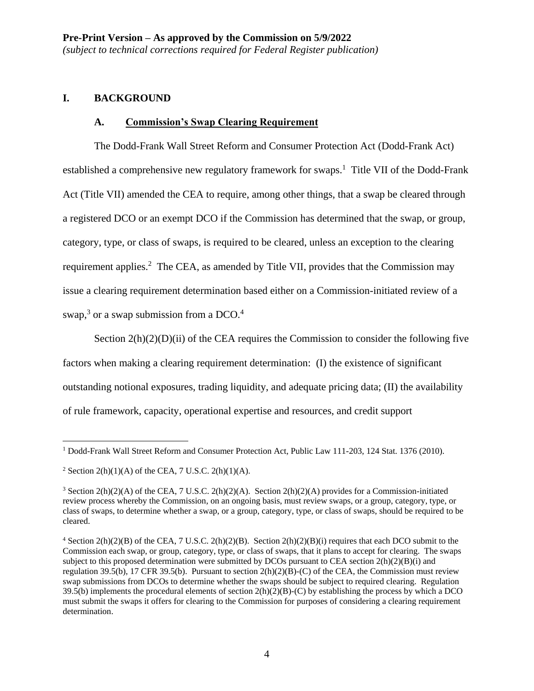#### **I. BACKGROUND**

#### **A. Commission's Swap Clearing Requirement**

The Dodd-Frank Wall Street Reform and Consumer Protection Act (Dodd-Frank Act) established a comprehensive new regulatory framework for swaps.<sup>1</sup> Title VII of the Dodd-Frank Act (Title VII) amended the CEA to require, among other things, that a swap be cleared through a registered DCO or an exempt DCO if the Commission has determined that the swap, or group, category, type, or class of swaps, is required to be cleared, unless an exception to the clearing requirement applies.<sup>2</sup> The CEA, as amended by Title VII, provides that the Commission may issue a clearing requirement determination based either on a Commission-initiated review of a swap, $3$  or a swap submission from a DCO. $4$ 

Section  $2(h)(2)(D)(ii)$  of the CEA requires the Commission to consider the following five factors when making a clearing requirement determination: (I) the existence of significant outstanding notional exposures, trading liquidity, and adequate pricing data; (II) the availability of rule framework, capacity, operational expertise and resources, and credit support

 $\overline{a}$ <sup>1</sup> Dodd-Frank Wall Street Reform and Consumer Protection Act, Public Law 111-203, 124 Stat. 1376 (2010).

<sup>&</sup>lt;sup>2</sup> Section 2(h)(1)(A) of the CEA, 7 U.S.C. 2(h)(1)(A).

<sup>&</sup>lt;sup>3</sup> Section 2(h)(2)(A) of the CEA, 7 U.S.C. 2(h)(2)(A). Section 2(h)(2)(A) provides for a Commission-initiated review process whereby the Commission, on an ongoing basis, must review swaps, or a group, category, type, or class of swaps, to determine whether a swap, or a group, category, type, or class of swaps, should be required to be cleared.

 $4$  Section 2(h)(2)(B) of the CEA, 7 U.S.C. 2(h)(2)(B). Section 2(h)(2)(B)(i) requires that each DCO submit to the Commission each swap, or group, category, type, or class of swaps, that it plans to accept for clearing. The swaps subject to this proposed determination were submitted by DCOs pursuant to CEA section 2(h)(2)(B)(i) and regulation 39.5(b), 17 CFR 39.5(b). Pursuant to section 2(h)(2)(B)-(C) of the CEA, the Commission must review swap submissions from DCOs to determine whether the swaps should be subject to required clearing. Regulation 39.5(b) implements the procedural elements of section  $2(h)(2)(B)-(C)$  by establishing the process by which a DCO must submit the swaps it offers for clearing to the Commission for purposes of considering a clearing requirement determination.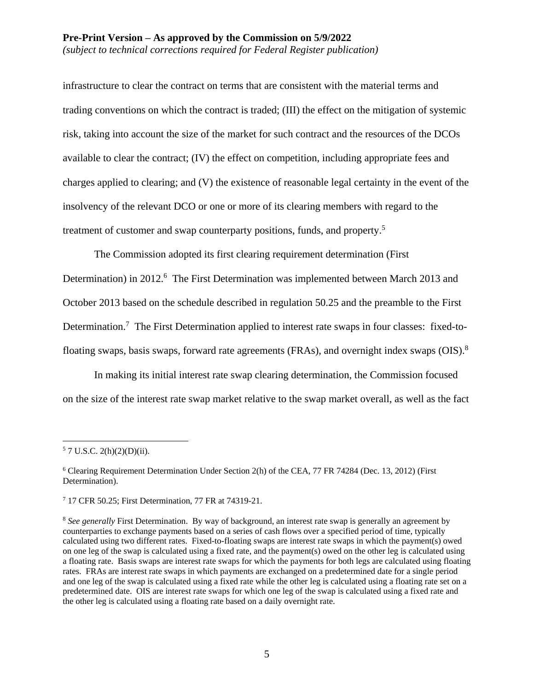infrastructure to clear the contract on terms that are consistent with the material terms and trading conventions on which the contract is traded; (III) the effect on the mitigation of systemic risk, taking into account the size of the market for such contract and the resources of the DCOs available to clear the contract; (IV) the effect on competition, including appropriate fees and charges applied to clearing; and (V) the existence of reasonable legal certainty in the event of the insolvency of the relevant DCO or one or more of its clearing members with regard to the treatment of customer and swap counterparty positions, funds, and property.<sup>5</sup>

The Commission adopted its first clearing requirement determination (First Determination) in 2012.<sup>6</sup> The First Determination was implemented between March 2013 and October 2013 based on the schedule described in regulation 50.25 and the preamble to the First Determination.<sup>7</sup> The First Determination applied to interest rate swaps in four classes: fixed-tofloating swaps, basis swaps, forward rate agreements (FRAs), and overnight index swaps (OIS).<sup>8</sup>

In making its initial interest rate swap clearing determination, the Commission focused on the size of the interest rate swap market relative to the swap market overall, as well as the fact

 $\overline{a}$  $5$  7 U.S.C. 2(h)(2)(D)(ii).

<sup>6</sup> Clearing Requirement Determination Under Section 2(h) of the CEA, 77 FR 74284 (Dec. 13, 2012) (First Determination).

<sup>7</sup> 17 CFR 50.25; First Determination, 77 FR at 74319-21.

<sup>&</sup>lt;sup>8</sup> See generally First Determination. By way of background, an interest rate swap is generally an agreement by counterparties to exchange payments based on a series of cash flows over a specified period of time, typically calculated using two different rates. Fixed-to-floating swaps are interest rate swaps in which the payment(s) owed on one leg of the swap is calculated using a fixed rate, and the payment(s) owed on the other leg is calculated using a floating rate. Basis swaps are interest rate swaps for which the payments for both legs are calculated using floating rates. FRAs are interest rate swaps in which payments are exchanged on a predetermined date for a single period and one leg of the swap is calculated using a fixed rate while the other leg is calculated using a floating rate set on a predetermined date. OIS are interest rate swaps for which one leg of the swap is calculated using a fixed rate and the other leg is calculated using a floating rate based on a daily overnight rate.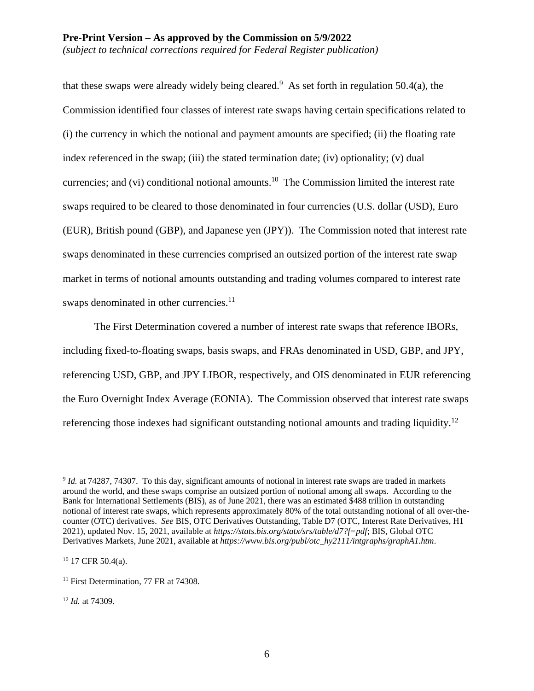that these swaps were already widely being cleared.<sup>9</sup> As set forth in regulation 50.4(a), the Commission identified four classes of interest rate swaps having certain specifications related to (i) the currency in which the notional and payment amounts are specified; (ii) the floating rate index referenced in the swap; (iii) the stated termination date; (iv) optionality; (v) dual currencies; and (vi) conditional notional amounts.<sup>10</sup> The Commission limited the interest rate swaps required to be cleared to those denominated in four currencies (U.S. dollar (USD), Euro (EUR), British pound (GBP), and Japanese yen (JPY)). The Commission noted that interest rate swaps denominated in these currencies comprised an outsized portion of the interest rate swap market in terms of notional amounts outstanding and trading volumes compared to interest rate swaps denominated in other currencies.<sup>11</sup>

The First Determination covered a number of interest rate swaps that reference IBORs, including fixed-to-floating swaps, basis swaps, and FRAs denominated in USD, GBP, and JPY, referencing USD, GBP, and JPY LIBOR, respectively, and OIS denominated in EUR referencing the Euro Overnight Index Average (EONIA). The Commission observed that interest rate swaps referencing those indexes had significant outstanding notional amounts and trading liquidity.<sup>12</sup>

<sup>10</sup> 17 CFR 50.4(a).

 $\overline{a}$ <sup>9</sup> *Id.* at 74287, 74307. To this day, significant amounts of notional in interest rate swaps are traded in markets around the world, and these swaps comprise an outsized portion of notional among all swaps. According to the Bank for International Settlements (BIS), as of June 2021, there was an estimated \$488 trillion in outstanding notional of interest rate swaps, which represents approximately 80% of the total outstanding notional of all over-thecounter (OTC) derivatives. *See* BIS, OTC Derivatives Outstanding, Table D7 (OTC, Interest Rate Derivatives, H1 2021), updated Nov. 15, 2021, available at *https://stats.bis.org/statx/srs/table/d7?f=pdf*; BIS, Global OTC Derivatives Markets, June 2021, available at *https://www.bis.org/publ/otc\_hy2111/intgraphs/graphA1.htm*.

<sup>&</sup>lt;sup>11</sup> First Determination, 77 FR at 74308.

<sup>12</sup> *Id.* at 74309.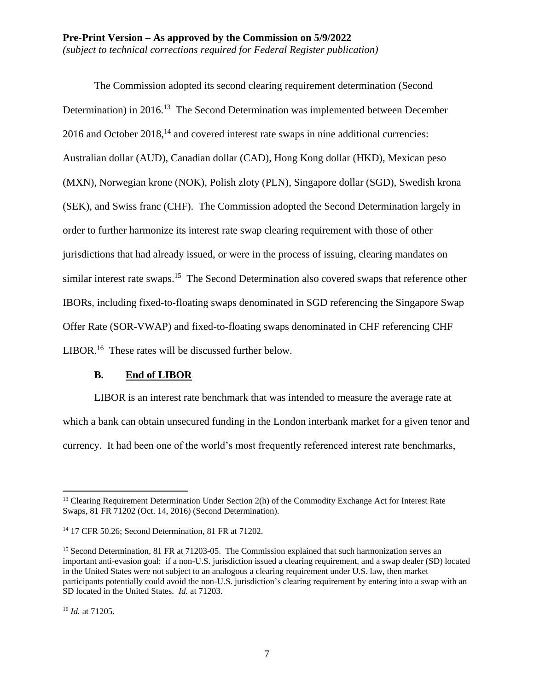The Commission adopted its second clearing requirement determination (Second Determination) in 2016.<sup>13</sup> The Second Determination was implemented between December 2016 and October 2018,<sup>14</sup> and covered interest rate swaps in nine additional currencies: Australian dollar (AUD), Canadian dollar (CAD), Hong Kong dollar (HKD), Mexican peso (MXN), Norwegian krone (NOK), Polish zloty (PLN), Singapore dollar (SGD), Swedish krona (SEK), and Swiss franc (CHF). The Commission adopted the Second Determination largely in order to further harmonize its interest rate swap clearing requirement with those of other jurisdictions that had already issued, or were in the process of issuing, clearing mandates on similar interest rate swaps.<sup>15</sup> The Second Determination also covered swaps that reference other IBORs, including fixed-to-floating swaps denominated in SGD referencing the Singapore Swap Offer Rate (SOR-VWAP) and fixed-to-floating swaps denominated in CHF referencing CHF LIBOR.<sup>16</sup> These rates will be discussed further below.

#### **B. End of LIBOR**

LIBOR is an interest rate benchmark that was intended to measure the average rate at which a bank can obtain unsecured funding in the London interbank market for a given tenor and currency. It had been one of the world's most frequently referenced interest rate benchmarks,

<sup>&</sup>lt;sup>13</sup> Clearing Requirement Determination Under Section 2(h) of the Commodity Exchange Act for Interest Rate Swaps, 81 FR 71202 (Oct. 14, 2016) (Second Determination).

<sup>14</sup> 17 CFR 50.26; Second Determination, 81 FR at 71202.

<sup>&</sup>lt;sup>15</sup> Second Determination, 81 FR at 71203-05. The Commission explained that such harmonization serves an important anti-evasion goal: if a non-U.S. jurisdiction issued a clearing requirement, and a swap dealer (SD) located in the United States were not subject to an analogous a clearing requirement under U.S. law, then market participants potentially could avoid the non-U.S. jurisdiction's clearing requirement by entering into a swap with an SD located in the United States. *Id.* at 71203.

<sup>16</sup> *Id.* at 71205.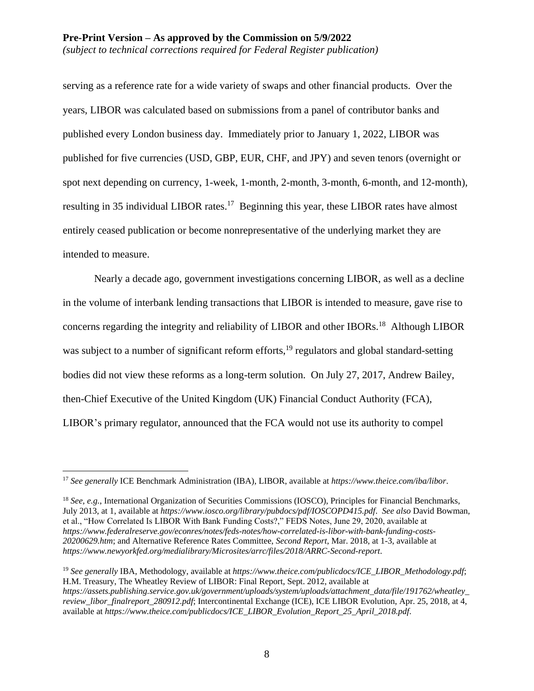serving as a reference rate for a wide variety of swaps and other financial products. Over the years, LIBOR was calculated based on submissions from a panel of contributor banks and published every London business day. Immediately prior to January 1, 2022, LIBOR was published for five currencies (USD, GBP, EUR, CHF, and JPY) and seven tenors (overnight or spot next depending on currency, 1-week, 1-month, 2-month, 3-month, 6-month, and 12-month), resulting in 35 individual LIBOR rates.<sup>17</sup> Beginning this year, these LIBOR rates have almost entirely ceased publication or become nonrepresentative of the underlying market they are intended to measure.

Nearly a decade ago, government investigations concerning LIBOR, as well as a decline in the volume of interbank lending transactions that LIBOR is intended to measure, gave rise to concerns regarding the integrity and reliability of LIBOR and other IBORs.<sup>18</sup> Although LIBOR was subject to a number of significant reform efforts,<sup>19</sup> regulators and global standard-setting bodies did not view these reforms as a long-term solution. On July 27, 2017, Andrew Bailey, then-Chief Executive of the United Kingdom (UK) Financial Conduct Authority (FCA), LIBOR's primary regulator, announced that the FCA would not use its authority to compel

<sup>19</sup> *See generally* IBA, Methodology, available at *https://www.theice.com/publicdocs/ICE\_LIBOR\_Methodology.pdf*; H.M. Treasury, The Wheatley Review of LIBOR: Final Report, Sept. 2012, available at *https://assets.publishing.service.gov.uk/government/uploads/system/uploads/attachment\_data/file/191762/wheatley\_ review\_libor\_finalreport\_280912.pdf*; Intercontinental Exchange (ICE), ICE LIBOR Evolution, Apr. 25, 2018, at 4, available at *https://www.theice.com/publicdocs/ICE\_LIBOR\_Evolution\_Report\_25\_April\_2018.pdf*.

 $\overline{a}$ <sup>17</sup> *See generally* ICE Benchmark Administration (IBA), LIBOR, available at *https://www.theice.com/iba/libor*.

<sup>&</sup>lt;sup>18</sup> *See, e.g.*, International Organization of Securities Commissions (IOSCO), Principles for Financial Benchmarks, July 2013, at 1, available at *https://www.iosco.org/library/pubdocs/pdf/IOSCOPD415.pdf*. *See also* David Bowman, et al., "How Correlated Is LIBOR With Bank Funding Costs?," FEDS Notes, June 29, 2020, available at *https://www.federalreserve.gov/econres/notes/feds-notes/how-correlated-is-libor-with-bank-funding-costs-20200629.htm*; and Alternative Reference Rates Committee, *Second Report*, Mar. 2018, at 1-3, available at *https://www.newyorkfed.org/medialibrary/Microsites/arrc/files/2018/ARRC-Second-report*.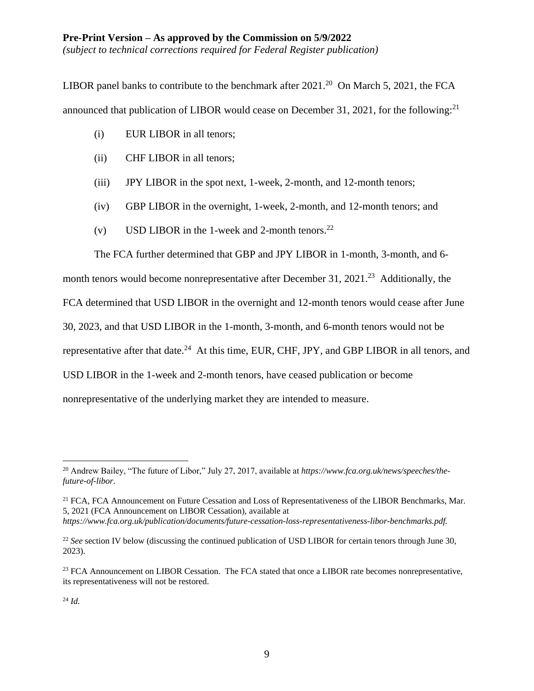LIBOR panel banks to contribute to the benchmark after  $2021$ .<sup>20</sup> On March 5, 2021, the FCA announced that publication of LIBOR would cease on December 31, 2021, for the following: $^{21}$ 

- (i) EUR LIBOR in all tenors;
- (ii) CHF LIBOR in all tenors;
- (iii) JPY LIBOR in the spot next, 1-week, 2-month, and 12-month tenors;
- (iv) GBP LIBOR in the overnight, 1-week, 2-month, and 12-month tenors; and
- (v) USD LIBOR in the 1-week and 2-month tenors.<sup>22</sup>

The FCA further determined that GBP and JPY LIBOR in 1-month, 3-month, and 6-

month tenors would become nonrepresentative after December 31,  $2021<sup>23</sup>$  Additionally, the FCA determined that USD LIBOR in the overnight and 12-month tenors would cease after June 30, 2023, and that USD LIBOR in the 1-month, 3-month, and 6-month tenors would not be representative after that date.<sup>24</sup> At this time, EUR, CHF, JPY, and GBP LIBOR in all tenors, and USD LIBOR in the 1-week and 2-month tenors, have ceased publication or become nonrepresentative of the underlying market they are intended to measure.

<sup>20</sup> Andrew Bailey, "The future of Libor," July 27, 2017, available at *https://www.fca.org.uk/news/speeches/thefuture-of-libor*.

<sup>&</sup>lt;sup>21</sup> FCA, FCA Announcement on Future Cessation and Loss of Representativeness of the LIBOR Benchmarks, Mar. 5, 2021 (FCA Announcement on LIBOR Cessation), available at

*https://www.fca.org.uk/publication/documents/future-cessation-loss-representativeness-libor-benchmarks.pdf.*

<sup>&</sup>lt;sup>22</sup> See section IV below (discussing the continued publication of USD LIBOR for certain tenors through June 30, 2023).

<sup>&</sup>lt;sup>23</sup> FCA Announcement on LIBOR Cessation. The FCA stated that once a LIBOR rate becomes nonrepresentative, its representativeness will not be restored.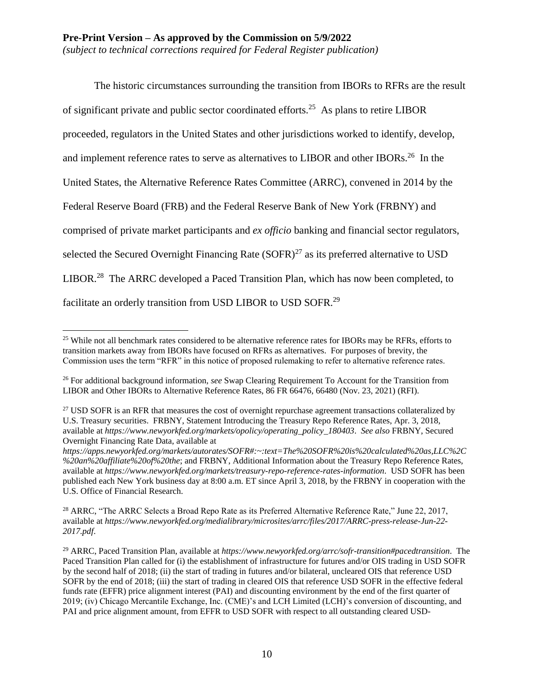The historic circumstances surrounding the transition from IBORs to RFRs are the result of significant private and public sector coordinated efforts.<sup>25</sup> As plans to retire LIBOR proceeded, regulators in the United States and other jurisdictions worked to identify, develop, and implement reference rates to serve as alternatives to LIBOR and other IBORs.<sup>26</sup> In the United States, the Alternative Reference Rates Committee (ARRC), convened in 2014 by the Federal Reserve Board (FRB) and the Federal Reserve Bank of New York (FRBNY) and comprised of private market participants and *ex officio* banking and financial sector regulators, selected the Secured Overnight Financing Rate  $(SOFR)^{27}$  as its preferred alternative to USD LIBOR.<sup>28</sup> The ARRC developed a Paced Transition Plan, which has now been completed, to facilitate an orderly transition from USD LIBOR to USD SOFR.<sup>29</sup>

<sup>&</sup>lt;sup>25</sup> While not all benchmark rates considered to be alternative reference rates for IBORs may be RFRs, efforts to transition markets away from IBORs have focused on RFRs as alternatives. For purposes of brevity, the Commission uses the term "RFR" in this notice of proposed rulemaking to refer to alternative reference rates.

<sup>26</sup> For additional background information, *see* Swap Clearing Requirement To Account for the Transition from LIBOR and Other IBORs to Alternative Reference Rates, 86 FR 66476, 66480 (Nov. 23, 2021) (RFI).

<sup>&</sup>lt;sup>27</sup> USD SOFR is an RFR that measures the cost of overnight repurchase agreement transactions collateralized by U.S. Treasury securities. FRBNY, Statement Introducing the Treasury Repo Reference Rates, Apr. 3, 2018, available at *https://www.newyorkfed.org/markets/opolicy/operating\_policy\_180403*. *See also* FRBNY, Secured Overnight Financing Rate Data, available at

*https://apps.newyorkfed.org/markets/autorates/SOFR#:~:text=The%20SOFR%20is%20calculated%20as,LLC%2C %20an%20affiliate%20of%20the*; and FRBNY, Additional Information about the Treasury Repo Reference Rates, available at *https://www.newyorkfed.org/markets/treasury-repo-reference-rates-information*. USD SOFR has been published each New York business day at 8:00 a.m. ET since April 3, 2018, by the FRBNY in cooperation with the U.S. Office of Financial Research.

<sup>&</sup>lt;sup>28</sup> ARRC, "The ARRC Selects a Broad Repo Rate as its Preferred Alternative Reference Rate," June 22, 2017, available at *https://www.newyorkfed.org/medialibrary/microsites/arrc/files/2017/ARRC-press-release-Jun-22- 2017.pdf*.

<sup>29</sup> ARRC, Paced Transition Plan, available at *https://www.newyorkfed.org/arrc/sofr-transition#pacedtransition*. The Paced Transition Plan called for (i) the establishment of infrastructure for futures and/or OIS trading in USD SOFR by the second half of 2018; (ii) the start of trading in futures and/or bilateral, uncleared OIS that reference USD SOFR by the end of 2018; (iii) the start of trading in cleared OIS that reference USD SOFR in the effective federal funds rate (EFFR) price alignment interest (PAI) and discounting environment by the end of the first quarter of 2019; (iv) Chicago Mercantile Exchange, Inc. (CME)'s and LCH Limited (LCH)'s conversion of discounting, and PAI and price alignment amount, from EFFR to USD SOFR with respect to all outstanding cleared USD-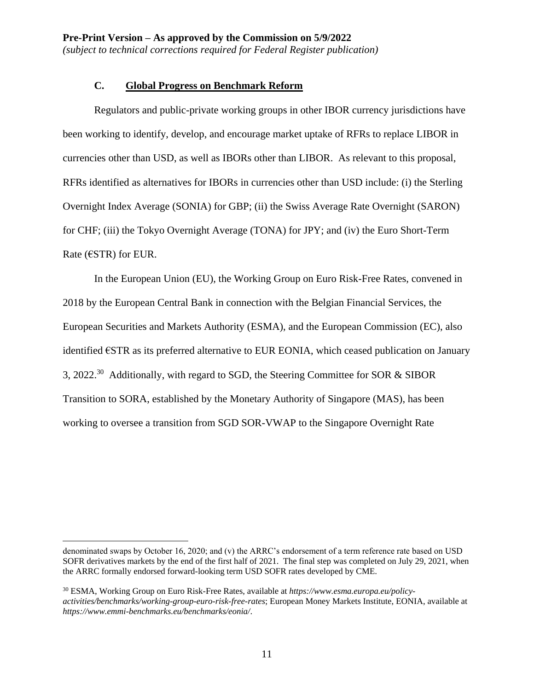## **C. Global Progress on Benchmark Reform**

Regulators and public-private working groups in other IBOR currency jurisdictions have been working to identify, develop, and encourage market uptake of RFRs to replace LIBOR in currencies other than USD, as well as IBORs other than LIBOR. As relevant to this proposal, RFRs identified as alternatives for IBORs in currencies other than USD include: (i) the Sterling Overnight Index Average (SONIA) for GBP; (ii) the Swiss Average Rate Overnight (SARON) for CHF; (iii) the Tokyo Overnight Average (TONA) for JPY; and (iv) the Euro Short-Term Rate ( $\epsilon$ STR) for EUR.

In the European Union (EU), the Working Group on Euro Risk-Free Rates, convened in 2018 by the European Central Bank in connection with the Belgian Financial Services, the European Securities and Markets Authority (ESMA), and the European Commission (EC), also identified €STR as its preferred alternative to EUR EONIA, which ceased publication on January 3, 2022.<sup>30</sup> Additionally, with regard to SGD, the Steering Committee for SOR & SIBOR Transition to SORA, established by the Monetary Authority of Singapore (MAS), has been working to oversee a transition from SGD SOR-VWAP to the Singapore Overnight Rate

denominated swaps by October 16, 2020; and (v) the ARRC's endorsement of a term reference rate based on USD SOFR derivatives markets by the end of the first half of 2021. The final step was completed on July 29, 2021, when the ARRC formally endorsed forward-looking term USD SOFR rates developed by CME.

<sup>30</sup> ESMA, Working Group on Euro Risk-Free Rates, available at *https://www.esma.europa.eu/policyactivities/benchmarks/working-group-euro-risk-free-rates*; European Money Markets Institute, EONIA, available at *https://www.emmi-benchmarks.eu/benchmarks/eonia/*.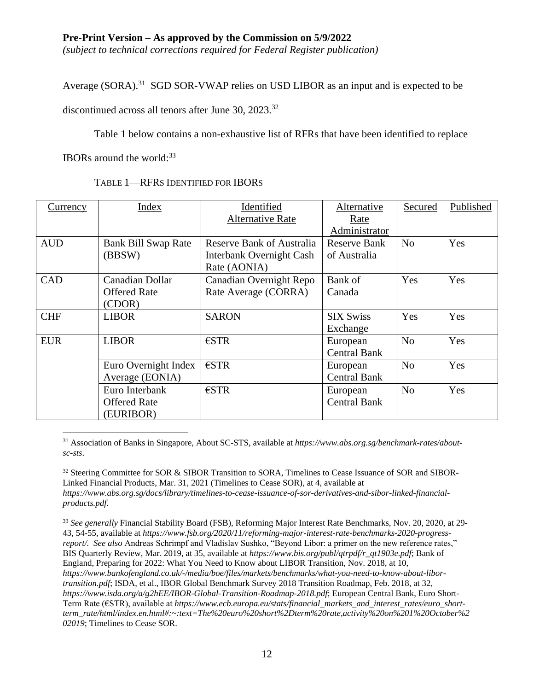*(subject to technical corrections required for Federal Register publication)*

Average (SORA).<sup>31</sup> SGD SOR-VWAP relies on USD LIBOR as an input and is expected to be

discontinued across all tenors after June 30, 2023.<sup>32</sup>

Table 1 below contains a non-exhaustive list of RFRs that have been identified to replace

IBORs around the world: $33$ 

TABLE 1—RFRS IDENTIFIED FOR IBORS

| Currency   | Index                      | Identified                       | Alternative         | Secured        | Published |
|------------|----------------------------|----------------------------------|---------------------|----------------|-----------|
|            |                            | <b>Alternative Rate</b>          | Rate                |                |           |
|            |                            |                                  | Administrator       |                |           |
| <b>AUD</b> | <b>Bank Bill Swap Rate</b> | <b>Reserve Bank of Australia</b> | <b>Reserve Bank</b> | No             | Yes       |
|            | (BBSW)                     | Interbank Overnight Cash         | of Australia        |                |           |
|            |                            | Rate (AONIA)                     |                     |                |           |
| <b>CAD</b> | Canadian Dollar            | Canadian Overnight Repo          | Bank of             | Yes            | Yes       |
|            | <b>Offered Rate</b>        | Rate Average (CORRA)             | Canada              |                |           |
|            | (CDOR)                     |                                  |                     |                |           |
| <b>CHF</b> | <b>LIBOR</b>               | <b>SARON</b>                     | <b>SIX Swiss</b>    | Yes            | Yes       |
|            |                            |                                  | Exchange            |                |           |
| <b>EUR</b> | <b>LIBOR</b>               | $\epsilon$ STR                   | European            | N <sub>o</sub> | Yes       |
|            |                            |                                  | <b>Central Bank</b> |                |           |
|            | Euro Overnight Index       | $\epsilon$ STR                   | European            | N <sub>o</sub> | Yes       |
|            | Average (EONIA)            |                                  | <b>Central Bank</b> |                |           |
|            | Euro Interbank             | $\epsilon$ STR                   | European            | N <sub>o</sub> | Yes       |
|            | <b>Offered Rate</b>        |                                  | <b>Central Bank</b> |                |           |
|            | (EURIBOR)                  |                                  |                     |                |           |

 $\overline{a}$ <sup>31</sup> Association of Banks in Singapore, About SC-STS, available at *https://www.abs.org.sg/benchmark-rates/aboutsc-sts*.

<sup>32</sup> Steering Committee for SOR & SIBOR Transition to SORA, Timelines to Cease Issuance of SOR and SIBOR-Linked Financial Products, Mar. 31, 2021 (Timelines to Cease SOR), at 4, available at *https://www.abs.org.sg/docs/library/timelines-to-cease-issuance-of-sor-derivatives-and-sibor-linked-financialproducts.pdf*.

<sup>33</sup> *See generally* Financial Stability Board (FSB), Reforming Major Interest Rate Benchmarks, Nov. 20, 2020, at 29- 43, 54-55, available at *https://www.fsb.org/2020/11/reforming-major-interest-rate-benchmarks-2020-progressreport/. See also* Andreas Schrimpf and Vladislav Sushko, "Beyond Libor: a primer on the new reference rates," BIS Quarterly Review, Mar. 2019, at 35, available at *https://www.bis.org/publ/qtrpdf/r\_qt1903e.pdf*; Bank of England, Preparing for 2022: What You Need to Know about LIBOR Transition, Nov. 2018, at 10, *https://www.bankofengland.co.uk/-/media/boe/files/markets/benchmarks/what-you-need-to-know-about-libortransition.pdf*; ISDA, et al., IBOR Global Benchmark Survey 2018 Transition Roadmap, Feb. 2018, at 32, *https://www.isda.org/a/g2hEE/IBOR-Global-Transition-Roadmap-2018.pdf*; European Central Bank, Euro Short-Term Rate (€STR), available at *https://www.ecb.europa.eu/stats/financial\_markets\_and\_interest\_rates/euro\_shortterm\_rate/html/index.en.html#:~:text=The%20euro%20short%2Dterm%20rate,activity%20on%201%20October%2 02019*; Timelines to Cease SOR.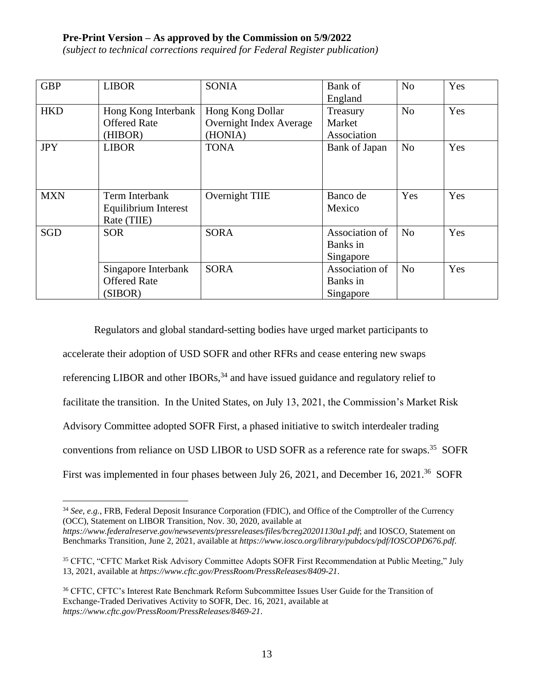*(subject to technical corrections required for Federal Register publication)*

| <b>GBP</b> | <b>LIBOR</b>         | <b>SONIA</b>            | Bank of        | N <sub>o</sub> | Yes |
|------------|----------------------|-------------------------|----------------|----------------|-----|
|            |                      |                         | England        |                |     |
| <b>HKD</b> | Hong Kong Interbank  | Hong Kong Dollar        | Treasury       | N <sub>o</sub> | Yes |
|            | <b>Offered Rate</b>  | Overnight Index Average | Market         |                |     |
|            | (HIBOR)              | (HONIA)                 | Association    |                |     |
| <b>JPY</b> | <b>LIBOR</b>         | <b>TONA</b>             | Bank of Japan  | N <sub>o</sub> | Yes |
|            |                      |                         |                |                |     |
|            |                      |                         |                |                |     |
| <b>MXN</b> | Term Interbank       | Overnight TIIE          | Banco de       | Yes            | Yes |
|            | Equilibrium Interest |                         | Mexico         |                |     |
|            | Rate (TIIE)          |                         |                |                |     |
| <b>SGD</b> | <b>SOR</b>           | <b>SORA</b>             | Association of | N <sub>0</sub> | Yes |
|            |                      |                         | Banks in       |                |     |
|            |                      |                         | Singapore      |                |     |
|            | Singapore Interbank  | <b>SORA</b>             | Association of | N <sub>0</sub> | Yes |
|            | <b>Offered Rate</b>  |                         | Banks in       |                |     |
|            | (SIBOR)              |                         | Singapore      |                |     |

Regulators and global standard-setting bodies have urged market participants to accelerate their adoption of USD SOFR and other RFRs and cease entering new swaps referencing LIBOR and other IBORs,  $34$  and have issued guidance and regulatory relief to facilitate the transition. In the United States, on July 13, 2021, the Commission's Market Risk Advisory Committee adopted SOFR First, a phased initiative to switch interdealer trading conventions from reliance on USD LIBOR to USD SOFR as a reference rate for swaps. 35 SOFR First was implemented in four phases between July 26, 2021, and December 16, 2021.<sup>36</sup> SOFR

 $\overline{a}$ <sup>34</sup> *See, e.g.*, FRB, Federal Deposit Insurance Corporation (FDIC), and Office of the Comptroller of the Currency (OCC), Statement on LIBOR Transition, Nov. 30, 2020, available at

*https://www.federalreserve.gov/newsevents/pressreleases/files/bcreg20201130a1.pdf*; and IOSCO, Statement on Benchmarks Transition, June 2, 2021, available at *https://www.iosco.org/library/pubdocs/pdf/IOSCOPD676.pdf*.

<sup>&</sup>lt;sup>35</sup> CFTC, "CFTC Market Risk Advisory Committee Adopts SOFR First Recommendation at Public Meeting," July 13, 2021, available at *https://www.cftc.gov/PressRoom/PressReleases/8409-21*.

<sup>36</sup> CFTC, CFTC's Interest Rate Benchmark Reform Subcommittee Issues User Guide for the Transition of Exchange-Traded Derivatives Activity to SOFR, Dec. 16, 2021, available at *https://www.cftc.gov/PressRoom/PressReleases/8469-21*.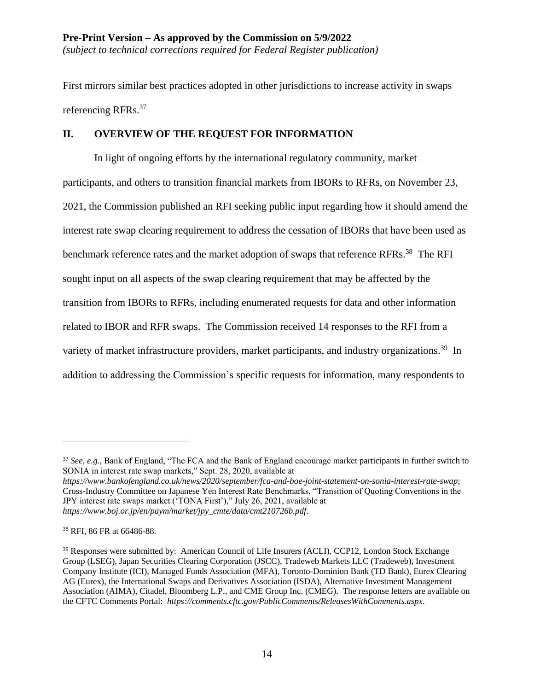First mirrors similar best practices adopted in other jurisdictions to increase activity in swaps referencing RFRs.<sup>37</sup>

### **II. OVERVIEW OF THE REQUEST FOR INFORMATION**

In light of ongoing efforts by the international regulatory community, market participants, and others to transition financial markets from IBORs to RFRs, on November 23, 2021, the Commission published an RFI seeking public input regarding how it should amend the interest rate swap clearing requirement to address the cessation of IBORs that have been used as benchmark reference rates and the market adoption of swaps that reference RFRs.<sup>38</sup> The RFI sought input on all aspects of the swap clearing requirement that may be affected by the transition from IBORs to RFRs, including enumerated requests for data and other information related to IBOR and RFR swaps. The Commission received 14 responses to the RFI from a variety of market infrastructure providers, market participants, and industry organizations.<sup>39</sup> In addition to addressing the Commission's specific requests for information, many respondents to

*https://www.bankofengland.co.uk/news/2020/september/fca-and-boe-joint-statement-on-sonia-interest-rate-swap*; Cross-Industry Committee on Japanese Yen Interest Rate Benchmarks, "Transition of Quoting Conventions in the JPY interest rate swaps market ('TONA First')," July 26, 2021, available at *https://www.boj.or.jp/en/paym/market/jpy\_cmte/data/cmt210726b.pdf*.

<sup>37</sup> *See, e.g.,* Bank of England, "The FCA and the Bank of England encourage market participants in further switch to SONIA in interest rate swap markets," Sept. 28, 2020, available at

<sup>38</sup> RFI, 86 FR at 66486-88.

<sup>&</sup>lt;sup>39</sup> Responses were submitted by: American Council of Life Insurers (ACLI), CCP12, London Stock Exchange Group (LSEG), Japan Securities Clearing Corporation (JSCC), Tradeweb Markets LLC (Tradeweb), Investment Company Institute (ICI), Managed Funds Association (MFA), Toronto-Dominion Bank (TD Bank), Eurex Clearing AG (Eurex), the International Swaps and Derivatives Association (ISDA), Alternative Investment Management Association (AIMA), Citadel, Bloomberg L.P., and CME Group Inc. (CMEG). The response letters are available on the CFTC Comments Portal: *https://comments.cftc.gov/PublicComments/ReleasesWithComments.aspx*.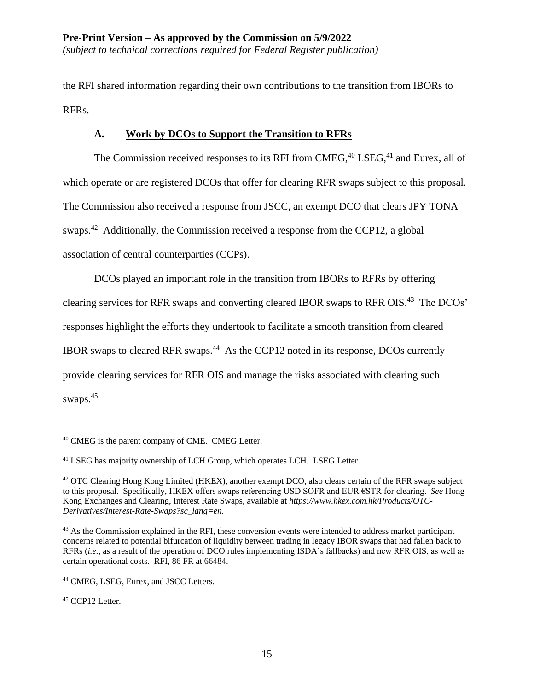the RFI shared information regarding their own contributions to the transition from IBORs to RFRs.

## **A. Work by DCOs to Support the Transition to RFRs**

The Commission received responses to its RFI from CMEG,<sup>40</sup> LSEG,<sup>41</sup> and Eurex, all of which operate or are registered DCOs that offer for clearing RFR swaps subject to this proposal. The Commission also received a response from JSCC, an exempt DCO that clears JPY TONA swaps.<sup>42</sup> Additionally, the Commission received a response from the CCP12, a global association of central counterparties (CCPs).

DCOs played an important role in the transition from IBORs to RFRs by offering clearing services for RFR swaps and converting cleared IBOR swaps to RFR OIS.<sup>43</sup> The DCOs' responses highlight the efforts they undertook to facilitate a smooth transition from cleared IBOR swaps to cleared RFR swaps.<sup>44</sup> As the CCP12 noted in its response, DCOs currently provide clearing services for RFR OIS and manage the risks associated with clearing such swaps. 45

<sup>45</sup> CCP12 Letter.

 $\overline{a}$ <sup>40</sup> CMEG is the parent company of CME. CMEG Letter.

<sup>&</sup>lt;sup>41</sup> LSEG has majority ownership of LCH Group, which operates LCH. LSEG Letter.

<sup>42</sup> OTC Clearing Hong Kong Limited (HKEX), another exempt DCO, also clears certain of the RFR swaps subject to this proposal. Specifically, HKEX offers swaps referencing USD SOFR and EUR €STR for clearing. *See* Hong Kong Exchanges and Clearing, Interest Rate Swaps, available at *https://www.hkex.com.hk/Products/OTC-Derivatives/Interest-Rate-Swaps?sc\_lang=en*.

<sup>&</sup>lt;sup>43</sup> As the Commission explained in the RFI, these conversion events were intended to address market participant concerns related to potential bifurcation of liquidity between trading in legacy IBOR swaps that had fallen back to RFRs (*i.e.*, as a result of the operation of DCO rules implementing ISDA's fallbacks) and new RFR OIS, as well as certain operational costs. RFI, 86 FR at 66484.

<sup>&</sup>lt;sup>44</sup> CMEG, LSEG, Eurex, and JSCC Letters.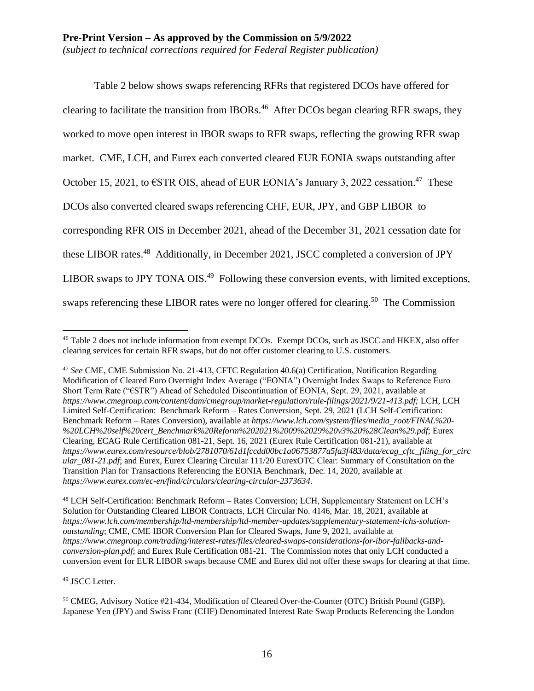Table 2 below shows swaps referencing RFRs that registered DCOs have offered for clearing to facilitate the transition from IBORs.<sup>46</sup> After DCOs began clearing RFR swaps, they worked to move open interest in IBOR swaps to RFR swaps, reflecting the growing RFR swap market. CME, LCH, and Eurex each converted cleared EUR EONIA swaps outstanding after October 15, 2021, to  $\epsilon$ STR OIS, ahead of EUR EONIA's January 3, 2022 cessation.<sup>47</sup> These DCOs also converted cleared swaps referencing CHF, EUR, JPY, and GBP LIBOR to corresponding RFR OIS in December 2021, ahead of the December 31, 2021 cessation date for these LIBOR rates.<sup>48</sup> Additionally, in December 2021, JSCC completed a conversion of JPY LIBOR swaps to JPY TONA OIS.<sup>49</sup> Following these conversion events, with limited exceptions, swaps referencing these LIBOR rates were no longer offered for clearing.<sup>50</sup> The Commission

<sup>48</sup> LCH Self-Certification: Benchmark Reform – Rates Conversion; LCH, Supplementary Statement on LCH's Solution for Outstanding Cleared LIBOR Contracts, LCH Circular No. 4146, Mar. 18, 2021, available at *https://www.lch.com/membership/ltd-membership/ltd-member-updates/supplementary-statement-lchs-solutionoutstanding*; CME, CME IBOR Conversion Plan for Cleared Swaps, June 9, 2021, available at *https://www.cmegroup.com/trading/interest-rates/files/cleared-swaps-considerations-for-ibor-fallbacks-andconversion-plan.pdf*; and Eurex Rule Certification 081-21. The Commission notes that only LCH conducted a conversion event for EUR LIBOR swaps because CME and Eurex did not offer these swaps for clearing at that time.

<sup>49</sup> JSCC Letter.

<sup>50</sup> CMEG, Advisory Notice #21-434, Modification of Cleared Over-the-Counter (OTC) British Pound (GBP), Japanese Yen (JPY) and Swiss Franc (CHF) Denominated Interest Rate Swap Products Referencing the London

 $\overline{a}$ <sup>46</sup> Table 2 does not include information from exempt DCOs. Exempt DCOs, such as JSCC and HKEX, also offer clearing services for certain RFR swaps, but do not offer customer clearing to U.S. customers.

<sup>47</sup> *See* CME, CME Submission No. 21-413, CFTC Regulation 40.6(a) Certification, Notification Regarding Modification of Cleared Euro Overnight Index Average ("EONIA") Overnight Index Swaps to Reference Euro Short Term Rate ("€STR") Ahead of Scheduled Discontinuation of EONIA, Sept. 29, 2021, available at *https://www.cmegroup.com/content/dam/cmegroup/market-regulation/rule-filings/2021/9/21-413.pdf;* LCH, LCH Limited Self-Certification: Benchmark Reform – Rates Conversion, Sept. 29, 2021 (LCH Self-Certification: Benchmark Reform – Rates Conversion), available at *https://www.lch.com/system/files/media\_root/FINAL%20- %20LCH%20self%20cert\_Benchmark%20Reform%202021%2009%2029%20v3%20%28Clean%29.pdf*; Eurex Clearing, ECAG Rule Certification 081-21, Sept. 16, 2021 (Eurex Rule Certification 081-21), available at *https://www.eurex.com/resource/blob/2781070/61d1fccdd00bc1a06753877a5fa3f483/data/ecag\_cftc\_filing\_for\_circ ular\_081-21.pdf*; and Eurex, Eurex Clearing Circular 111/20 EurexOTC Clear: Summary of Consultation on the Transition Plan for Transactions Referencing the EONIA Benchmark, Dec. 14, 2020, available at *https://www.eurex.com/ec-en/find/circulars/clearing-circular-2373634*.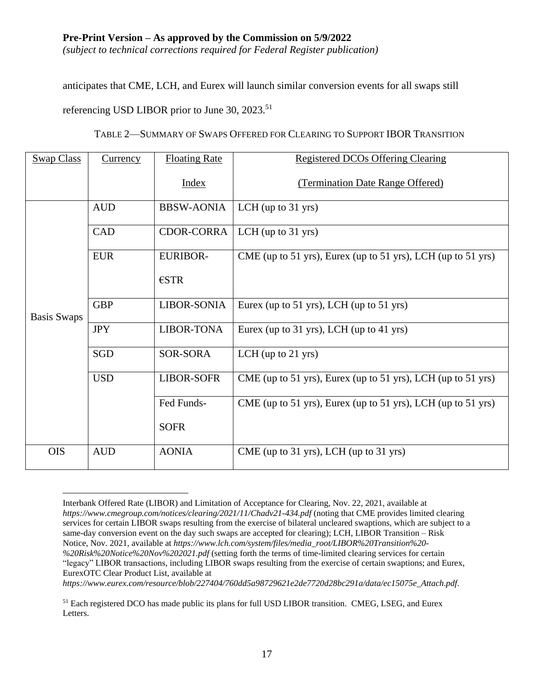*(subject to technical corrections required for Federal Register publication)*

anticipates that CME, LCH, and Eurex will launch similar conversion events for all swaps still

referencing USD LIBOR prior to June 30, 2023.<sup>51</sup>

 $\overline{a}$ 

| <b>Swap Class</b>  | Currency   | <b>Floating Rate</b> | <b>Registered DCOs Offering Clearing</b>                     |
|--------------------|------------|----------------------|--------------------------------------------------------------|
|                    |            | <b>Index</b>         | (Termination Date Range Offered)                             |
|                    | <b>AUD</b> | <b>BBSW-AONIA</b>    | LCH (up to $31$ yrs)                                         |
|                    | <b>CAD</b> | CDOR-CORRA           | LCH (up to $31$ yrs)                                         |
|                    | <b>EUR</b> | <b>EURIBOR-</b>      | CME (up to 51 yrs), Eurex (up to 51 yrs), LCH (up to 51 yrs) |
|                    |            | $\epsilon$ STR       |                                                              |
| <b>Basis Swaps</b> | <b>GBP</b> | LIBOR-SONIA          | Eurex (up to 51 yrs), LCH (up to 51 yrs)                     |
|                    | <b>JPY</b> | <b>LIBOR-TONA</b>    | Eurex (up to 31 yrs), LCH (up to 41 yrs)                     |
|                    | <b>SGD</b> | <b>SOR-SORA</b>      | LCH (up to $21$ yrs)                                         |
|                    | <b>USD</b> | <b>LIBOR-SOFR</b>    | CME (up to 51 yrs), Eurex (up to 51 yrs), LCH (up to 51 yrs) |
|                    |            | Fed Funds-           | CME (up to 51 yrs), Eurex (up to 51 yrs), LCH (up to 51 yrs) |
|                    |            | <b>SOFR</b>          |                                                              |
| <b>OIS</b>         | <b>AUD</b> | <b>AONIA</b>         | CME (up to 31 yrs), LCH (up to 31 yrs)                       |

TABLE 2—SUMMARY OF SWAPS OFFERED FOR CLEARING TO SUPPORT IBOR TRANSITION

*https://www.eurex.com/resource/blob/227404/760dd5a98729621e2de7720d28bc291a/data/ec15075e\_Attach.pdf*.

Interbank Offered Rate (LIBOR) and Limitation of Acceptance for Clearing, Nov. 22, 2021, available at *https://www.cmegroup.com/notices/clearing/2021/11/Chadv21-434.pdf* (noting that CME provides limited clearing services for certain LIBOR swaps resulting from the exercise of bilateral uncleared swaptions, which are subject to a same-day conversion event on the day such swaps are accepted for clearing); LCH, LIBOR Transition – Risk Notice, Nov. 2021, available at *https://www.lch.com/system/files/media\_root/LIBOR%20Transition%20- %20Risk%20Notice%20Nov%202021.pdf* (setting forth the terms of time-limited clearing services for certain "legacy" LIBOR transactions, including LIBOR swaps resulting from the exercise of certain swaptions; and Eurex, EurexOTC Clear Product List, available at

<sup>&</sup>lt;sup>51</sup> Each registered DCO has made public its plans for full USD LIBOR transition. CMEG, LSEG, and Eurex Letters.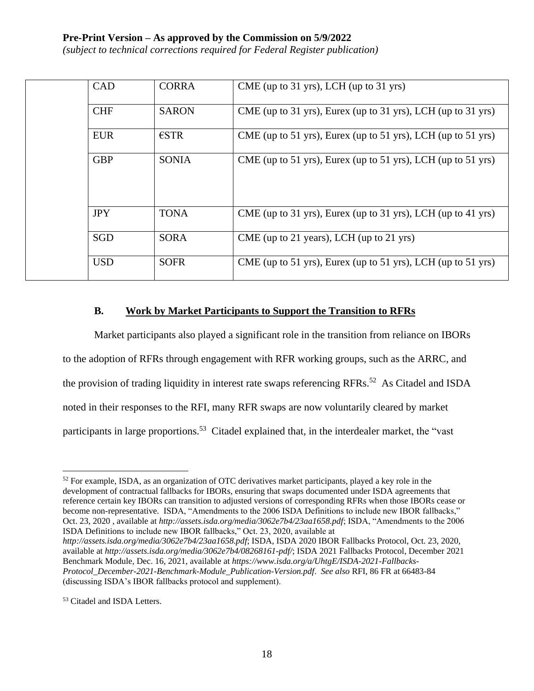*(subject to technical corrections required for Federal Register publication)*

| <b>CAD</b> | <b>CORRA</b>   | $CME$ (up to 31 yrs), LCH (up to 31 yrs)                     |
|------------|----------------|--------------------------------------------------------------|
| <b>CHF</b> | <b>SARON</b>   | CME (up to 31 yrs), Eurex (up to 31 yrs), LCH (up to 31 yrs) |
| <b>EUR</b> | $\epsilon$ STR | CME (up to 51 yrs), Eurex (up to 51 yrs), LCH (up to 51 yrs) |
| <b>GBP</b> | <b>SONIA</b>   | CME (up to 51 yrs), Eurex (up to 51 yrs), LCH (up to 51 yrs) |
| <b>JPY</b> | <b>TONA</b>    | CME (up to 31 yrs), Eurex (up to 31 yrs), LCH (up to 41 yrs) |
| <b>SGD</b> | <b>SORA</b>    | CME (up to 21 years), LCH (up to 21 yrs)                     |
| <b>USD</b> | <b>SOFR</b>    | CME (up to 51 yrs), Eurex (up to 51 yrs), LCH (up to 51 yrs) |

#### **B. Work by Market Participants to Support the Transition to RFRs**

Market participants also played a significant role in the transition from reliance on IBORs to the adoption of RFRs through engagement with RFR working groups, such as the ARRC, and the provision of trading liquidity in interest rate swaps referencing RFRs.<sup>52</sup> As Citadel and ISDA noted in their responses to the RFI, many RFR swaps are now voluntarily cleared by market participants in large proportions.<sup>53</sup> Citadel explained that, in the interdealer market, the "vast

 $52$  For example, ISDA, as an organization of OTC derivatives market participants, played a key role in the development of contractual fallbacks for IBORs, ensuring that swaps documented under ISDA agreements that reference certain key IBORs can transition to adjusted versions of corresponding RFRs when those IBORs cease or become non-representative. ISDA, "Amendments to the 2006 ISDA Definitions to include new IBOR fallbacks," Oct. 23, 2020 , available at *http://assets.isda.org/media/3062e7b4/23aa1658.pdf*; ISDA, "Amendments to the 2006 ISDA Definitions to include new IBOR fallbacks," Oct. 23, 2020, available at *http://assets.isda.org/media/3062e7b4/23aa1658.pdf*; ISDA, ISDA 2020 IBOR Fallbacks Protocol, Oct. 23, 2020, available at *http://assets.isda.org/media/3062e7b4/08268161-pdf/*; ISDA 2021 Fallbacks Protocol, December 2021 Benchmark Module, Dec. 16, 2021, available at *https://www.isda.org/a/UhtgE/ISDA-2021-Fallbacks-Protocol\_December-2021-Benchmark-Module\_Publication-Version.pdf*. *See also* RFI, 86 FR at 66483-84 (discussing ISDA's IBOR fallbacks protocol and supplement).

<sup>53</sup> Citadel and ISDA Letters.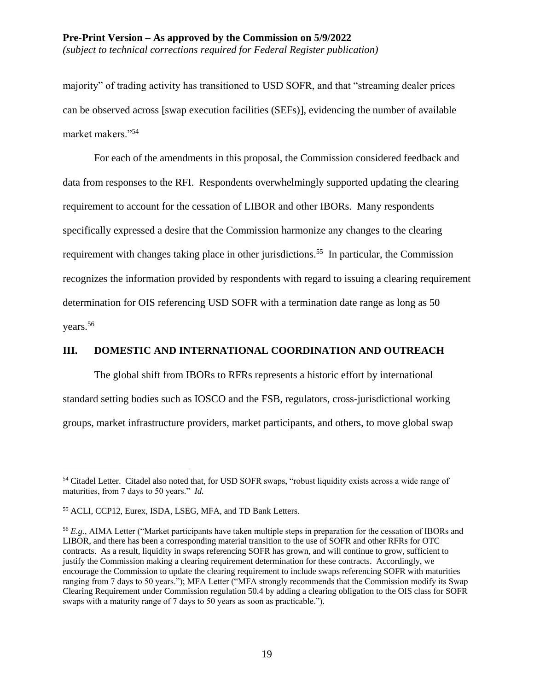#### **Pre-Print Version – As approved by the Commission on 5/9/2022** *(subject to technical corrections required for Federal Register publication)*

majority" of trading activity has transitioned to USD SOFR, and that "streaming dealer prices can be observed across [swap execution facilities (SEFs)], evidencing the number of available market makers."<sup>54</sup>

For each of the amendments in this proposal, the Commission considered feedback and data from responses to the RFI. Respondents overwhelmingly supported updating the clearing requirement to account for the cessation of LIBOR and other IBORs. Many respondents specifically expressed a desire that the Commission harmonize any changes to the clearing requirement with changes taking place in other jurisdictions.<sup>55</sup> In particular, the Commission recognizes the information provided by respondents with regard to issuing a clearing requirement determination for OIS referencing USD SOFR with a termination date range as long as 50 years.<sup>56</sup>

### **III. DOMESTIC AND INTERNATIONAL COORDINATION AND OUTREACH**

The global shift from IBORs to RFRs represents a historic effort by international standard setting bodies such as IOSCO and the FSB, regulators, cross-jurisdictional working groups, market infrastructure providers, market participants, and others, to move global swap

<sup>&</sup>lt;sup>54</sup> Citadel Letter. Citadel also noted that, for USD SOFR swaps, "robust liquidity exists across a wide range of maturities, from 7 days to 50 years." *Id.*

<sup>55</sup> ACLI, CCP12, Eurex, ISDA, LSEG, MFA, and TD Bank Letters.

<sup>56</sup> *E.g.*, AIMA Letter ("Market participants have taken multiple steps in preparation for the cessation of IBORs and LIBOR, and there has been a corresponding material transition to the use of SOFR and other RFRs for OTC contracts. As a result, liquidity in swaps referencing SOFR has grown, and will continue to grow, sufficient to justify the Commission making a clearing requirement determination for these contracts. Accordingly, we encourage the Commission to update the clearing requirement to include swaps referencing SOFR with maturities ranging from 7 days to 50 years."); MFA Letter ("MFA strongly recommends that the Commission modify its Swap Clearing Requirement under Commission regulation 50.4 by adding a clearing obligation to the OIS class for SOFR swaps with a maturity range of 7 days to 50 years as soon as practicable.").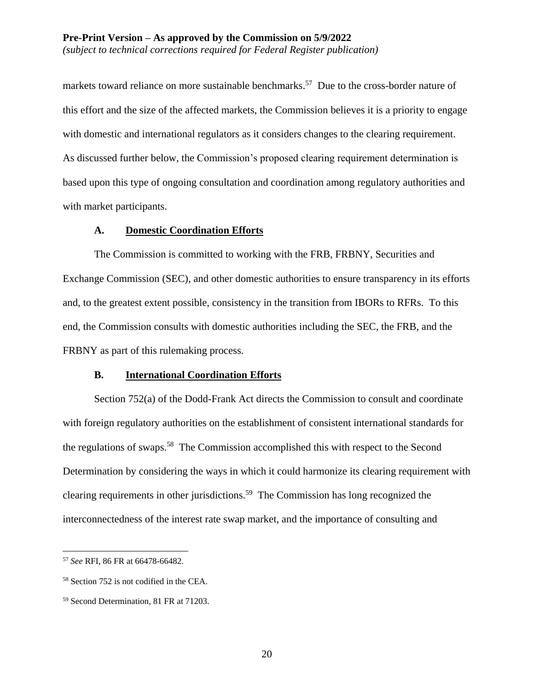markets toward reliance on more sustainable benchmarks.<sup>57</sup> Due to the cross-border nature of this effort and the size of the affected markets, the Commission believes it is a priority to engage with domestic and international regulators as it considers changes to the clearing requirement. As discussed further below, the Commission's proposed clearing requirement determination is based upon this type of ongoing consultation and coordination among regulatory authorities and with market participants.

#### **A. Domestic Coordination Efforts**

The Commission is committed to working with the FRB, FRBNY, Securities and Exchange Commission (SEC), and other domestic authorities to ensure transparency in its efforts and, to the greatest extent possible, consistency in the transition from IBORs to RFRs. To this end, the Commission consults with domestic authorities including the SEC, the FRB, and the FRBNY as part of this rulemaking process.

#### **B. International Coordination Efforts**

Section 752(a) of the Dodd-Frank Act directs the Commission to consult and coordinate with foreign regulatory authorities on the establishment of consistent international standards for the regulations of swaps.<sup>58</sup> The Commission accomplished this with respect to the Second Determination by considering the ways in which it could harmonize its clearing requirement with clearing requirements in other jurisdictions.<sup>59</sup> The Commission has long recognized the interconnectedness of the interest rate swap market, and the importance of consulting and

<sup>57</sup> *See* RFI, 86 FR at 66478-66482.

<sup>58</sup> Section 752 is not codified in the CEA.

<sup>59</sup> Second Determination, 81 FR at 71203.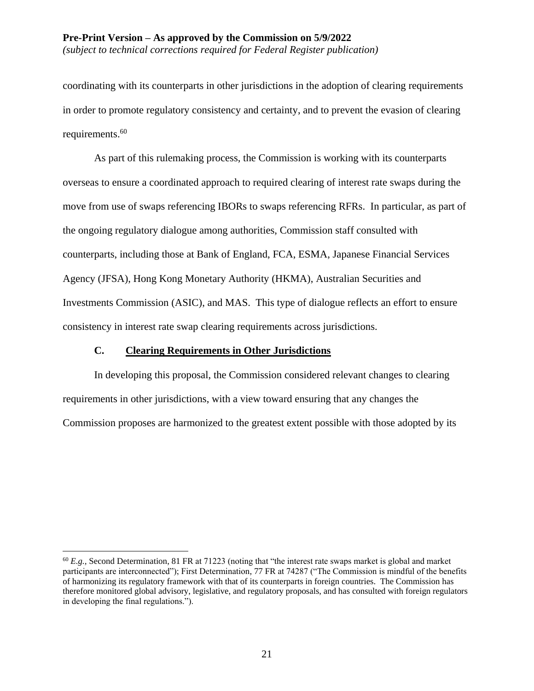coordinating with its counterparts in other jurisdictions in the adoption of clearing requirements in order to promote regulatory consistency and certainty, and to prevent the evasion of clearing requirements. 60

As part of this rulemaking process, the Commission is working with its counterparts overseas to ensure a coordinated approach to required clearing of interest rate swaps during the move from use of swaps referencing IBORs to swaps referencing RFRs. In particular, as part of the ongoing regulatory dialogue among authorities, Commission staff consulted with counterparts, including those at Bank of England, FCA, ESMA, Japanese Financial Services Agency (JFSA), Hong Kong Monetary Authority (HKMA), Australian Securities and Investments Commission (ASIC), and MAS. This type of dialogue reflects an effort to ensure consistency in interest rate swap clearing requirements across jurisdictions.

#### **C. Clearing Requirements in Other Jurisdictions**

 $\overline{a}$ 

In developing this proposal, the Commission considered relevant changes to clearing requirements in other jurisdictions, with a view toward ensuring that any changes the Commission proposes are harmonized to the greatest extent possible with those adopted by its

<sup>60</sup> *E.g.,* Second Determination, 81 FR at 71223 (noting that "the interest rate swaps market is global and market participants are interconnected"); First Determination, 77 FR at 74287 ("The Commission is mindful of the benefits of harmonizing its regulatory framework with that of its counterparts in foreign countries. The Commission has therefore monitored global advisory, legislative, and regulatory proposals, and has consulted with foreign regulators in developing the final regulations.").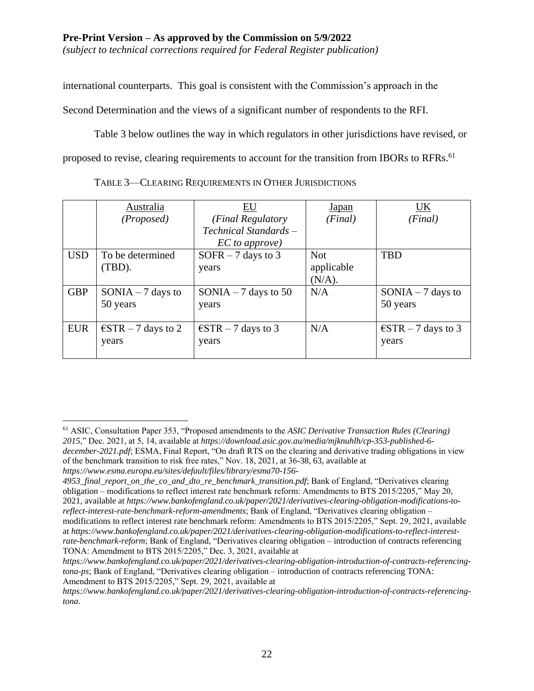*(subject to technical corrections required for Federal Register publication)*

international counterparts. This goal is consistent with the Commission's approach in the

Second Determination and the views of a significant number of respondents to the RFI.

Table 3 below outlines the way in which regulators in other jurisdictions have revised, or proposed to revise, clearing requirements to account for the transition from IBORs to RFRs.<sup>61</sup>

|            | Australia                    | EU                           | Japan      | UK                           |
|------------|------------------------------|------------------------------|------------|------------------------------|
|            | (Proposed)                   | (Final Regulatory            | (Final)    | (Final)                      |
|            |                              | Technical Standards –        |            |                              |
|            |                              | EC to approve)               |            |                              |
| <b>USD</b> | To be determined             | SOFR $-7$ days to 3          | <b>Not</b> | <b>TBD</b>                   |
|            | (TBD).                       | years                        | applicable |                              |
|            |                              |                              | $(N/A)$ .  |                              |
| <b>GBP</b> | $SONIA - 7$ days to          | SONIA $-7$ days to 50        | N/A        | $SONIA - 7$ days to          |
|            | 50 years                     | years                        |            | 50 years                     |
|            |                              |                              |            |                              |
| <b>EUR</b> | $\epsilon$ STR – 7 days to 2 | $\epsilon$ STR – 7 days to 3 | N/A        | $\epsilon$ STR – 7 days to 3 |
|            | years                        | years                        |            | years                        |
|            |                              |                              |            |                              |

TABLE 3—CLEARING REQUIREMENTS IN OTHER JURISDICTIONS

<sup>61</sup> ASIC, Consultation Paper 353, "Proposed amendments to the *ASIC Derivative Transaction Rules (Clearing) 2015*," Dec. 2021, at 5, 14, available at *https://download.asic.gov.au/media/mjknuhlh/cp-353-published-6 december-2021.pdf*; ESMA, Final Report, "On draft RTS on the clearing and derivative trading obligations in view of the benchmark transition to risk free rates," Nov. 18, 2021, at 36-38, 63, available at *https://www.esma.europa.eu/sites/default/files/library/esma70-156-*

<sup>4953</sup>\_final\_report\_on\_the\_co\_and\_dto\_re\_benchmark\_transition.pdf; Bank of England, "Derivatives clearing obligation – modifications to reflect interest rate benchmark reform: Amendments to BTS 2015/2205," May 20, 2021, available at *https://www.bankofengland.co.uk/paper/2021/derivatives-clearing-obligation-modifications-toreflect-interest-rate-benchmark-reform-amendments*; Bank of England, "Derivatives clearing obligation – modifications to reflect interest rate benchmark reform: Amendments to BTS 2015/2205," Sept. 29, 2021, available at *https://www.bankofengland.co.uk/paper/2021/derivatives-clearing-obligation-modifications-to-reflect-interestrate-benchmark-reform*; Bank of England, "Derivatives clearing obligation – introduction of contracts referencing TONA: Amendment to BTS 2015/2205," Dec. 3, 2021, available at

*https://www.bankofengland.co.uk/paper/2021/derivatives-clearing-obligation-introduction-of-contracts-referencingtona-ps*; Bank of England, "Derivatives clearing obligation – introduction of contracts referencing TONA: Amendment to BTS 2015/2205," Sept. 29, 2021, available at

*https://www.bankofengland.co.uk/paper/2021/derivatives-clearing-obligation-introduction-of-contracts-referencingtona*.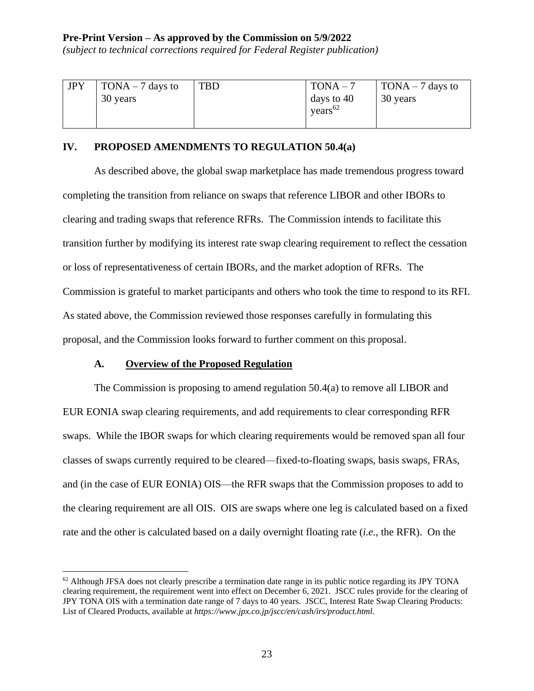*(subject to technical corrections required for Federal Register publication)*

| <b>JPY</b> | TONA $-7$ days to | TBD | $TONA - 7$          | TONA $-7$ days to |
|------------|-------------------|-----|---------------------|-------------------|
|            | 30 years          |     | days to $40$        | 30 years          |
|            |                   |     | years <sup>62</sup> |                   |
|            |                   |     |                     |                   |

#### **IV. PROPOSED AMENDMENTS TO REGULATION 50.4(a)**

As described above, the global swap marketplace has made tremendous progress toward completing the transition from reliance on swaps that reference LIBOR and other IBORs to clearing and trading swaps that reference RFRs. The Commission intends to facilitate this transition further by modifying its interest rate swap clearing requirement to reflect the cessation or loss of representativeness of certain IBORs, and the market adoption of RFRs. The Commission is grateful to market participants and others who took the time to respond to its RFI. As stated above, the Commission reviewed those responses carefully in formulating this proposal, and the Commission looks forward to further comment on this proposal.

#### **A. Overview of the Proposed Regulation**

 $\overline{a}$ 

The Commission is proposing to amend regulation 50.4(a) to remove all LIBOR and EUR EONIA swap clearing requirements, and add requirements to clear corresponding RFR swaps. While the IBOR swaps for which clearing requirements would be removed span all four classes of swaps currently required to be cleared—fixed-to-floating swaps, basis swaps, FRAs, and (in the case of EUR EONIA) OIS—the RFR swaps that the Commission proposes to add to the clearing requirement are all OIS. OIS are swaps where one leg is calculated based on a fixed rate and the other is calculated based on a daily overnight floating rate (*i.e.*, the RFR). On the

 $62$  Although JFSA does not clearly prescribe a termination date range in its public notice regarding its JPY TONA clearing requirement, the requirement went into effect on December 6, 2021. JSCC rules provide for the clearing of JPY TONA OIS with a termination date range of 7 days to 40 years. JSCC, Interest Rate Swap Clearing Products: List of Cleared Products, available at *https://www.jpx.co.jp/jscc/en/cash/irs/product.html*.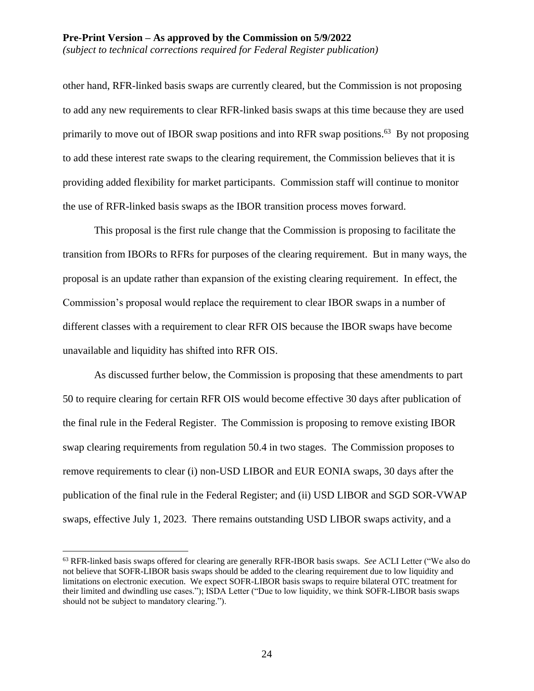other hand, RFR-linked basis swaps are currently cleared, but the Commission is not proposing to add any new requirements to clear RFR-linked basis swaps at this time because they are used primarily to move out of IBOR swap positions and into RFR swap positions.<sup>63</sup> By not proposing to add these interest rate swaps to the clearing requirement, the Commission believes that it is providing added flexibility for market participants. Commission staff will continue to monitor the use of RFR-linked basis swaps as the IBOR transition process moves forward.

This proposal is the first rule change that the Commission is proposing to facilitate the transition from IBORs to RFRs for purposes of the clearing requirement. But in many ways, the proposal is an update rather than expansion of the existing clearing requirement. In effect, the Commission's proposal would replace the requirement to clear IBOR swaps in a number of different classes with a requirement to clear RFR OIS because the IBOR swaps have become unavailable and liquidity has shifted into RFR OIS.

As discussed further below, the Commission is proposing that these amendments to part 50 to require clearing for certain RFR OIS would become effective 30 days after publication of the final rule in the Federal Register. The Commission is proposing to remove existing IBOR swap clearing requirements from regulation 50.4 in two stages. The Commission proposes to remove requirements to clear (i) non-USD LIBOR and EUR EONIA swaps, 30 days after the publication of the final rule in the Federal Register; and (ii) USD LIBOR and SGD SOR-VWAP swaps, effective July 1, 2023. There remains outstanding USD LIBOR swaps activity, and a

<sup>63</sup> RFR-linked basis swaps offered for clearing are generally RFR-IBOR basis swaps. *See* ACLI Letter ("We also do not believe that SOFR-LIBOR basis swaps should be added to the clearing requirement due to low liquidity and limitations on electronic execution. We expect SOFR-LIBOR basis swaps to require bilateral OTC treatment for their limited and dwindling use cases."); ISDA Letter ("Due to low liquidity, we think SOFR-LIBOR basis swaps should not be subject to mandatory clearing.").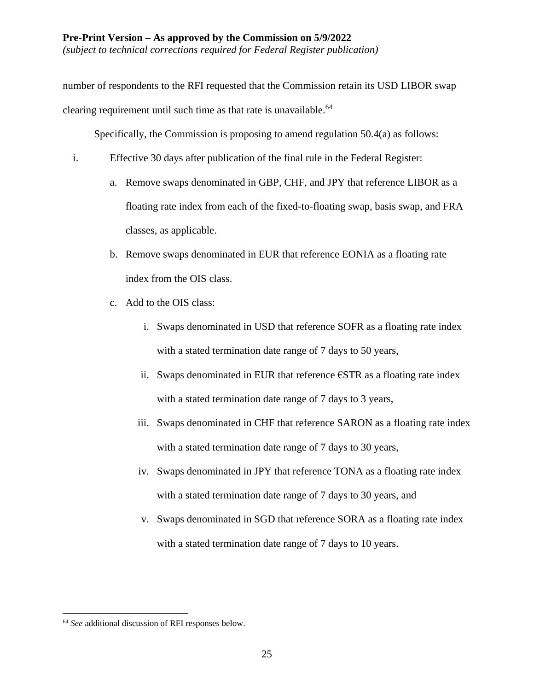*(subject to technical corrections required for Federal Register publication)*

number of respondents to the RFI requested that the Commission retain its USD LIBOR swap clearing requirement until such time as that rate is unavailable.<sup>64</sup>

Specifically, the Commission is proposing to amend regulation 50.4(a) as follows:

- i. Effective 30 days after publication of the final rule in the Federal Register:
	- a. Remove swaps denominated in GBP, CHF, and JPY that reference LIBOR as a floating rate index from each of the fixed-to-floating swap, basis swap, and FRA classes, as applicable.
	- b. Remove swaps denominated in EUR that reference EONIA as a floating rate index from the OIS class.
	- c. Add to the OIS class:
		- i. Swaps denominated in USD that reference SOFR as a floating rate index with a stated termination date range of 7 days to 50 years,
		- ii. Swaps denominated in EUR that reference  $\epsilon$ STR as a floating rate index with a stated termination date range of 7 days to 3 years,
		- iii. Swaps denominated in CHF that reference SARON as a floating rate index with a stated termination date range of 7 days to 30 years,
		- iv. Swaps denominated in JPY that reference TONA as a floating rate index with a stated termination date range of 7 days to 30 years, and
		- v. Swaps denominated in SGD that reference SORA as a floating rate index with a stated termination date range of 7 days to 10 years.

<sup>64</sup> *See* additional discussion of RFI responses below.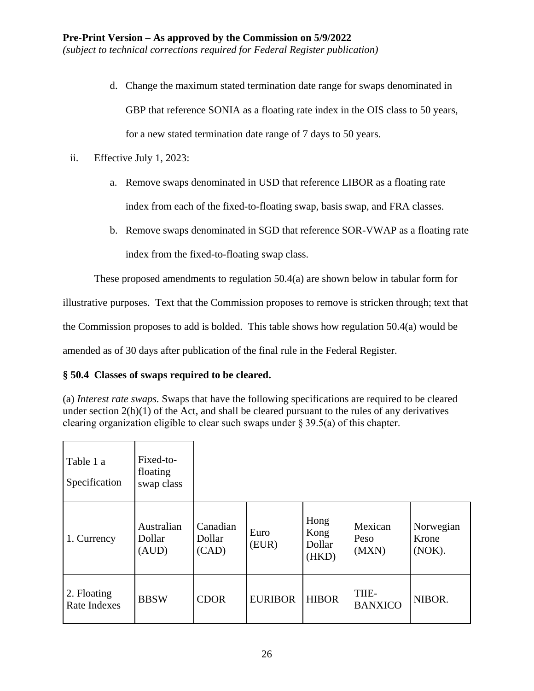- d. Change the maximum stated termination date range for swaps denominated in GBP that reference SONIA as a floating rate index in the OIS class to 50 years, for a new stated termination date range of 7 days to 50 years.
- ii. Effective July 1, 2023:
	- a. Remove swaps denominated in USD that reference LIBOR as a floating rate index from each of the fixed-to-floating swap, basis swap, and FRA classes.
	- b. Remove swaps denominated in SGD that reference SOR-VWAP as a floating rate index from the fixed-to-floating swap class.

These proposed amendments to regulation 50.4(a) are shown below in tabular form for

illustrative purposes. Text that the Commission proposes to remove is stricken through; text that

the Commission proposes to add is bolded. This table shows how regulation 50.4(a) would be

amended as of 30 days after publication of the final rule in the Federal Register.

### **§ 50.4 Classes of swaps required to be cleared.**

(a) *Interest rate swaps.* Swaps that have the following specifications are required to be cleared under section 2(h)(1) of the Act, and shall be cleared pursuant to the rules of any derivatives clearing organization eligible to clear such swaps under § 39.5(a) of this chapter.

| Table 1 a<br>Specification  | Fixed-to-<br>floating<br>swap class |                             |                |                                 |                          |                              |
|-----------------------------|-------------------------------------|-----------------------------|----------------|---------------------------------|--------------------------|------------------------------|
| 1. Currency                 | Australian<br>Dollar<br>(AUD)       | Canadian<br>Dollar<br>(CAD) | Euro<br>(EUR)  | Hong<br>Kong<br>Dollar<br>(HKD) | Mexican<br>Peso<br>(MXN) | Norwegian<br>Krone<br>(NOK). |
| 2. Floating<br>Rate Indexes | <b>BBSW</b>                         | <b>CDOR</b>                 | <b>EURIBOR</b> | <b>HIBOR</b>                    | TIIE-<br><b>BANXICO</b>  | NIBOR.                       |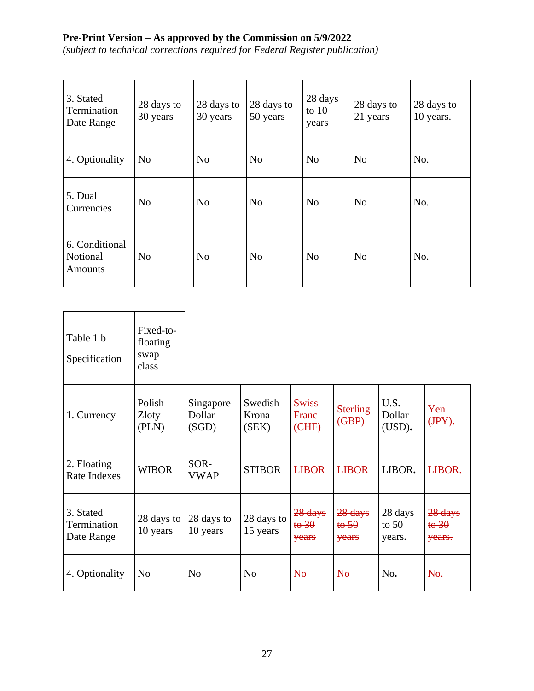| 3. Stated<br>Termination<br>Date Range       | 28 days to<br>30 years | 28 days to<br>30 years | 28 days to<br>50 years | 28 days<br>to $10$<br>years | 28 days to<br>21 years | 28 days to<br>10 years. |
|----------------------------------------------|------------------------|------------------------|------------------------|-----------------------------|------------------------|-------------------------|
| 4. Optionality                               | N <sub>o</sub>         | N <sub>o</sub>         | N <sub>o</sub>         | N <sub>o</sub>              | N <sub>o</sub>         | No.                     |
| 5. Dual<br>Currencies                        | N <sub>0</sub>         | No                     | N <sub>o</sub>         | No                          | N <sub>o</sub>         | No.                     |
| 6. Conditional<br>Notional<br><b>Amounts</b> | N <sub>0</sub>         | No                     | N <sub>0</sub>         | No                          | N <sub>o</sub>         | No.                     |

| Table 1 b<br>Specification             | Fixed-to-<br>floating<br>swap<br>class |                              |                           |                                      |                                   |                              |                                   |
|----------------------------------------|----------------------------------------|------------------------------|---------------------------|--------------------------------------|-----------------------------------|------------------------------|-----------------------------------|
| 1. Currency                            | Polish<br><b>Zloty</b><br>(PLN)        | Singapore<br>Dollar<br>(SGD) | Swedish<br>Krona<br>(SEK) | <b>Swiss</b><br>Frane<br>(EHF)       | <b>Sterling</b><br>( <b>GBP</b> ) | U.S.<br>Dollar<br>(USD).     | Yen<br>$(HPY)$ .                  |
| 2. Floating<br>Rate Indexes            | <b>WIBOR</b>                           | SOR-<br><b>VWAP</b>          | <b>STIBOR</b>             | <b>LIBOR</b>                         | <b>LIBOR</b>                      | LIBOR.                       | <b>LIBOR.</b>                     |
| 3. Stated<br>Termination<br>Date Range | 28 days to<br>10 years                 | 28 days to<br>10 years       | 28 days to<br>15 years    | $28$ days<br>$\frac{16}{9}$<br>years | $28$ days<br>to 50<br>years       | 28 days<br>to $50$<br>years. | 28 days<br>$t\theta$ 30<br>years. |
| 4. Optionality                         | N <sub>0</sub>                         | N <sub>o</sub>               | N <sub>o</sub>            | $N_{\theta}$                         | $N_{\theta}$                      | No.                          | N <sub>0</sub>                    |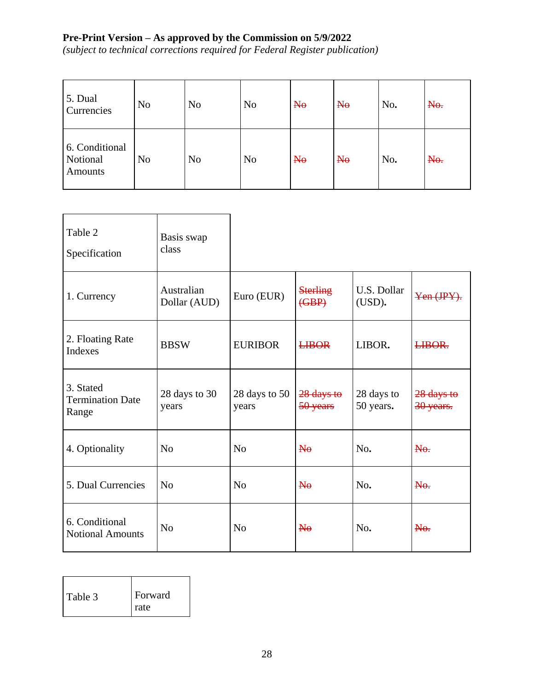| 5. Dual<br>Currencies                 | N <sub>o</sub> | N <sub>o</sub> | N <sub>o</sub> | $N_{\theta}$   | $N_{\theta}$   | No. | No. |
|---------------------------------------|----------------|----------------|----------------|----------------|----------------|-----|-----|
| 6. Conditional<br>Notional<br>Amounts | N <sub>o</sub> | N <sub>o</sub> | N <sub>o</sub> | N <sub>0</sub> | N <sub>0</sub> | No. | No. |

| Table 2<br>Specification                      | Basis swap<br>class        |                        |                                   |                         |                           |
|-----------------------------------------------|----------------------------|------------------------|-----------------------------------|-------------------------|---------------------------|
| 1. Currency                                   | Australian<br>Dollar (AUD) | Euro (EUR)             | <b>Sterling</b><br>( <b>GBP</b> ) | U.S. Dollar<br>(USD).   | Yen (JPY).                |
| 2. Floating Rate<br>Indexes                   | <b>BBSW</b>                | <b>EURIBOR</b>         | <b>LIBOR</b>                      | LIBOR.                  | LIBOR.                    |
| 3. Stated<br><b>Termination Date</b><br>Range | 28 days to 30<br>years     | 28 days to 50<br>years | $28$ days to<br>50 years          | 28 days to<br>50 years. | $28$ days to<br>30 years. |
| 4. Optionality                                | N <sub>o</sub>             | N <sub>o</sub>         | $N_{\theta}$                      | No.                     | No.                       |
| 5. Dual Currencies                            | N <sub>o</sub>             | N <sub>0</sub>         | $N_{\theta}$                      | No.                     | $N0$ .                    |
| 6. Conditional<br><b>Notional Amounts</b>     | N <sub>0</sub>             | N <sub>o</sub>         | $N_{\theta}$                      | No.                     | $N0$ .                    |

| Table 3 | Forward     |
|---------|-------------|
|         | <b>rate</b> |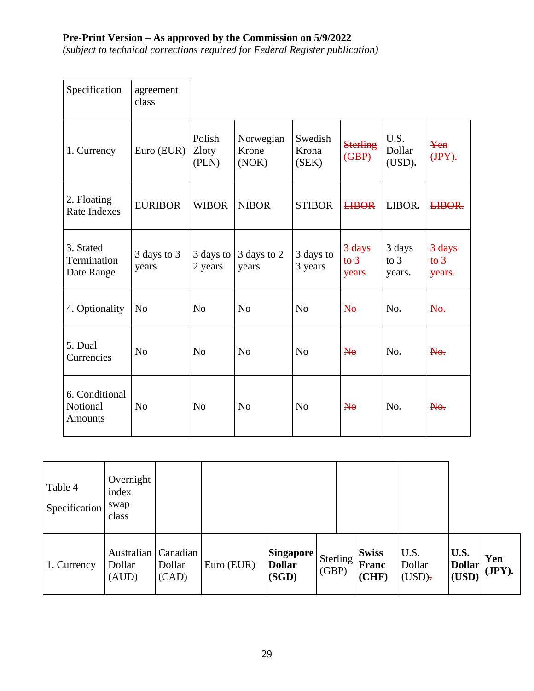| Specification                                | agreement<br>class   |                          |                             |                           |                                             |                            |                                            |
|----------------------------------------------|----------------------|--------------------------|-----------------------------|---------------------------|---------------------------------------------|----------------------------|--------------------------------------------|
| 1. Currency                                  | Euro (EUR)           | Polish<br>Zloty<br>(PLN) | Norwegian<br>Krone<br>(NOK) | Swedish<br>Krona<br>(SEK) | <b>Sterling</b><br>( <b>GBP</b> )           | U.S.<br>Dollar<br>(USD).   | Yen<br>$(HPY)$ .                           |
| 2. Floating<br>Rate Indexes                  | <b>EURIBOR</b>       | <b>WIBOR</b>             | <b>NIBOR</b>                | <b>STIBOR</b>             | <b>LIBOR</b>                                | LIBOR.                     | LIBOR.                                     |
| 3. Stated<br>Termination<br>Date Range       | 3 days to 3<br>years | 3 days to<br>2 years     | 3 days to 2<br>years        | 3 days to<br>3 years      | $3$ days<br>$t\theta$ <sup>3</sup><br>years | 3 days<br>to $3$<br>years. | 3 days<br>$t\theta$ <sup>3</sup><br>years. |
| 4. Optionality                               | N <sub>o</sub>       | No                       | N <sub>o</sub>              | N <sub>o</sub>            | $N_{\theta}$                                | No.                        | $N0$ .                                     |
| 5. Dual<br>Currencies                        | N <sub>o</sub>       | No                       | N <sub>o</sub>              | N <sub>0</sub>            | $N_{\theta}$                                | No.                        | N <sub>0</sub>                             |
| 6. Conditional<br>Notional<br><b>Amounts</b> | N <sub>0</sub>       | N <sub>0</sub>           | N <sub>o</sub>              | N <sub>0</sub>            | $N_{\theta}$                                | No.                        | No.                                        |

| Table 4<br>Specification | Overnight<br>index<br>swap<br>class      |                 |            |                                            |                     |                                |                             |                                |               |
|--------------------------|------------------------------------------|-----------------|------------|--------------------------------------------|---------------------|--------------------------------|-----------------------------|--------------------------------|---------------|
| 1. Currency              | Australian   Canadian<br>Dollar<br>(AUD) | Dollar<br>(CAD) | Euro (EUR) | <b>Singapore</b><br><b>Dollar</b><br>(SGD) | Sterling  <br>(GBP) | <b>Swiss</b><br>Franc<br>(CHF) | U.S.<br>Dollar<br>$(USD)$ . | U.S.<br><b>Dollar</b><br>(USD) | Yen<br>(JPY). |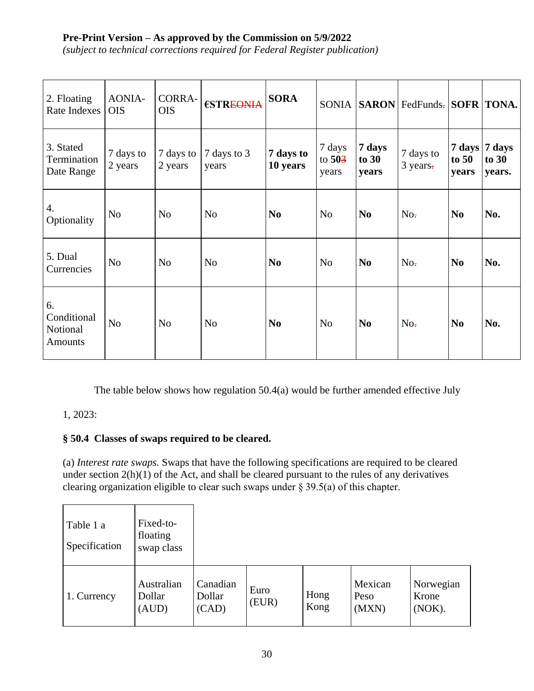*(subject to technical corrections required for Federal Register publication)*

| 2. Floating<br>Rate Indexes                     | AONIA-<br><b>OIS</b> | <b>CORRA-</b><br><b>OIS</b> | €STREONIA            | <b>SORA</b>           | <b>SONIA</b>                |                            | <b>SARON</b> FedFunds- SOFR TONA. |                  |                                    |
|-------------------------------------------------|----------------------|-----------------------------|----------------------|-----------------------|-----------------------------|----------------------------|-----------------------------------|------------------|------------------------------------|
| 3. Stated<br>Termination<br>Date Range          | 7 days to<br>2 years | 7 days to<br>2 years        | 7 days to 3<br>years | 7 days to<br>10 years | 7 days<br>to $503$<br>years | 7 days<br>to $30$<br>years | 7 days to<br>3 years.             | to $50$<br>years | 7 days 7 days<br>to $30$<br>years. |
| 4.<br>Optionality                               | N <sub>o</sub>       | N <sub>o</sub>              | N <sub>o</sub>       | N <sub>0</sub>        | N <sub>o</sub>              | N <sub>0</sub>             | No <sub>z</sub>                   | N <sub>0</sub>   | No.                                |
| 5. Dual<br>Currencies                           | N <sub>o</sub>       | N <sub>0</sub>              | N <sub>o</sub>       | N <sub>0</sub>        | N <sub>o</sub>              | N <sub>0</sub>             | No <sub>z</sub>                   | No               | No.                                |
| 6.<br>Conditional<br>Notional<br><b>Amounts</b> | N <sub>o</sub>       | N <sub>o</sub>              | N <sub>o</sub>       | N <sub>0</sub>        | N <sub>o</sub>              | N <sub>0</sub>             | No <sub>z</sub>                   | N <sub>0</sub>   | No.                                |

The table below shows how regulation 50.4(a) would be further amended effective July

### 1, 2023:

### **§ 50.4 Classes of swaps required to be cleared.**

(a) *Interest rate swaps.* Swaps that have the following specifications are required to be cleared under section  $2(h)(1)$  of the Act, and shall be cleared pursuant to the rules of any derivatives clearing organization eligible to clear such swaps under § 39.5(a) of this chapter.

| Table 1 a<br>Specification | Fixed-to-<br>floating<br>swap class |                             |               |              |                          |                              |
|----------------------------|-------------------------------------|-----------------------------|---------------|--------------|--------------------------|------------------------------|
| 1. Currency                | Australian<br>Dollar<br>(AUD)       | Canadian<br>Dollar<br>(CAD) | Euro<br>(EUR) | Hong<br>Kong | Mexican<br>Peso<br>(MXN) | Norwegian<br>Krone<br>(NOK). |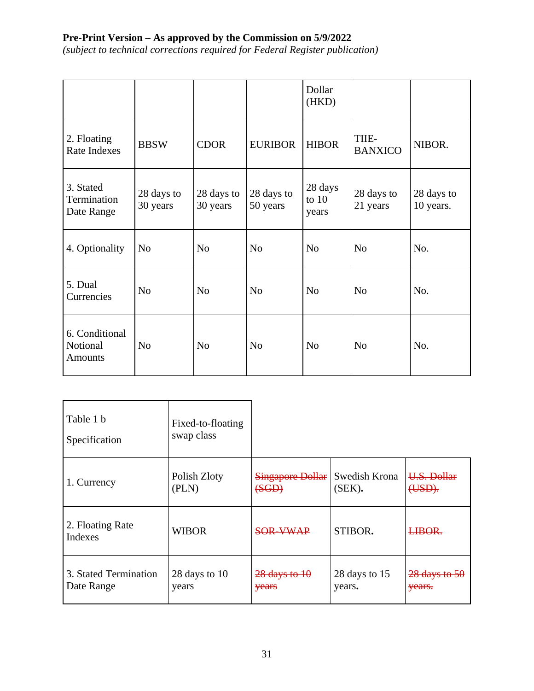|                                              |                        |                        |                        | Dollar<br>(HKD)             |                         |                         |
|----------------------------------------------|------------------------|------------------------|------------------------|-----------------------------|-------------------------|-------------------------|
| 2. Floating<br>Rate Indexes                  | <b>BBSW</b>            | <b>CDOR</b>            | <b>EURIBOR</b>         | <b>HIBOR</b>                | TIIE-<br><b>BANXICO</b> | NIBOR.                  |
| 3. Stated<br>Termination<br>Date Range       | 28 days to<br>30 years | 28 days to<br>30 years | 28 days to<br>50 years | 28 days<br>to $10$<br>years | 28 days to<br>21 years  | 28 days to<br>10 years. |
| 4. Optionality                               | N <sub>0</sub>         | N <sub>o</sub>         | N <sub>o</sub>         | N <sub>o</sub>              | N <sub>o</sub>          | No.                     |
| 5. Dual<br>Currencies                        | N <sub>o</sub>         | N <sub>o</sub>         | N <sub>o</sub>         | N <sub>o</sub>              | N <sub>o</sub>          | No.                     |
| 6. Conditional<br>Notional<br><b>Amounts</b> | N <sub>o</sub>         | N <sub>0</sub>         | N <sub>o</sub>         | N <sub>o</sub>              | N <sub>o</sub>          | No.                     |

| Table 1 b<br>Specification  | Fixed-to-floating<br>swap class |                         |               |                 |
|-----------------------------|---------------------------------|-------------------------|---------------|-----------------|
| 1. Currency                 | Polish Zloty                    | <b>Singapore Dollar</b> | Swedish Krona | U.S. Dollar     |
|                             | (PLN)                           | (SGD)                   | (SEK).        | $(HSD)$ .       |
| 2. Floating Rate<br>Indexes | <b>WIBOR</b>                    | <b>SOR-VWAP</b>         | STIBOR.       | LIBOR.          |
| 3. Stated Termination       | 28 days to 10                   | $28$ days to $10$       | 28 days to 15 | $28$ days to 50 |
| Date Range                  | years                           | years                   | years.        | years.          |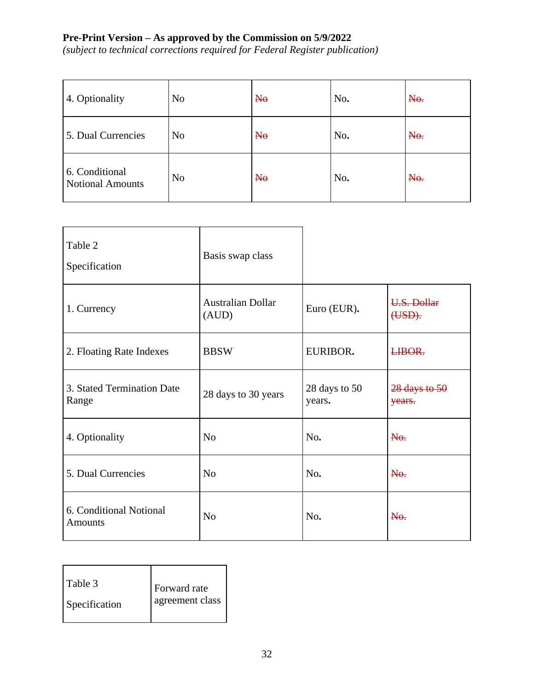| 4. Optionality                            | N <sub>o</sub> | $H_{\theta}$ | No. | N <sub>0</sub> |
|-------------------------------------------|----------------|--------------|-----|----------------|
| 5. Dual Currencies                        | N <sub>o</sub> | $N_{\theta}$ | No. | No.            |
| 6. Conditional<br><b>Notional Amounts</b> | N <sub>o</sub> | $H_{\theta}$ | No. | No.            |

| Table 2<br>Specification                  | Basis swap class                  |                         |                             |
|-------------------------------------------|-----------------------------------|-------------------------|-----------------------------|
| 1. Currency                               | <b>Australian Dollar</b><br>(AUD) | Euro (EUR).             | U.S. Dollar<br>(USD).       |
| 2. Floating Rate Indexes                  | <b>BBSW</b>                       | EURIBOR.                | LIBOR.                      |
| 3. Stated Termination Date<br>Range       | 28 days to 30 years               | 28 days to 50<br>years. | $28$ days to $50$<br>years. |
| 4. Optionality                            | N <sub>o</sub>                    | No.                     | No.                         |
| 5. Dual Currencies                        | N <sub>o</sub>                    | No.                     | No.                         |
| 6. Conditional Notional<br><b>Amounts</b> | N <sub>o</sub>                    | No.                     | N <sub>0</sub>              |

| l Table 3<br>Forward rate<br>agreement class<br>Specification |
|---------------------------------------------------------------|
|---------------------------------------------------------------|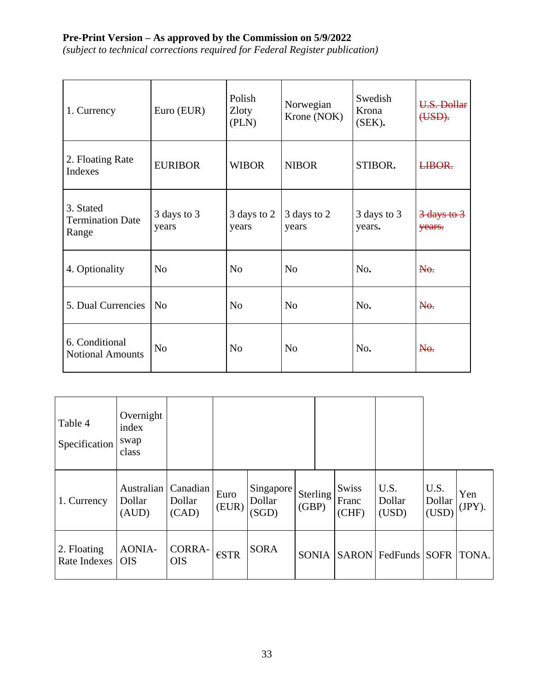| 1. Currency                                   | Euro (EUR)           | Polish<br>Zloty<br>(PLN) | Norwegian<br>Krone (NOK) | Swedish<br>Krona<br>$(SEK)$ . | U.S. Dollar<br>(USD).            |
|-----------------------------------------------|----------------------|--------------------------|--------------------------|-------------------------------|----------------------------------|
| 2. Floating Rate<br>Indexes                   | <b>EURIBOR</b>       | <b>WIBOR</b>             | <b>NIBOR</b>             | STIBOR.                       | LIBOR.                           |
| 3. Stated<br><b>Termination Date</b><br>Range | 3 days to 3<br>years | 3 days to 2<br>years     | 3 days to 2<br>years     | 3 days to 3<br>years.         | <del>3 days to 3</del><br>vears. |
| 4. Optionality                                | N <sub>o</sub>       | N <sub>o</sub>           | N <sub>o</sub>           | No.                           | No.                              |
| 5. Dual Currencies                            | N <sub>0</sub>       | N <sub>o</sub>           | N <sub>o</sub>           | No.                           | No.                              |
| 6. Conditional<br><b>Notional Amounts</b>     | N <sub>0</sub>       | N <sub>o</sub>           | N <sub>o</sub>           | No.                           | N <sub>0</sub>                   |

| Table 4<br>Specification    | Overnight<br>index<br>swap<br>class  |                             |                |                              |                   |                                |                         |                         |               |
|-----------------------------|--------------------------------------|-----------------------------|----------------|------------------------------|-------------------|--------------------------------|-------------------------|-------------------------|---------------|
| 1. Currency                 | <b>Australian</b><br>Dollar<br>(AUD) | Canadian<br>Dollar<br>(CAD) | Euro<br>(EUR)  | Singapore<br>Dollar<br>(SGD) | Sterling<br>(GBP) | <b>Swiss</b><br>Franc<br>(CHF) | U.S.<br>Dollar<br>(USD) | U.S.<br>Dollar<br>(USD) | Yen<br>(JPY). |
| 2. Floating<br>Rate Indexes | <b>AONIA-</b><br><b>OIS</b>          | <b>CORRA-</b><br><b>OIS</b> | $\epsilon$ STR | <b>SORA</b>                  | <b>SONIA</b>      |                                | SARON FedFunds SOFR     |                         | TONA.         |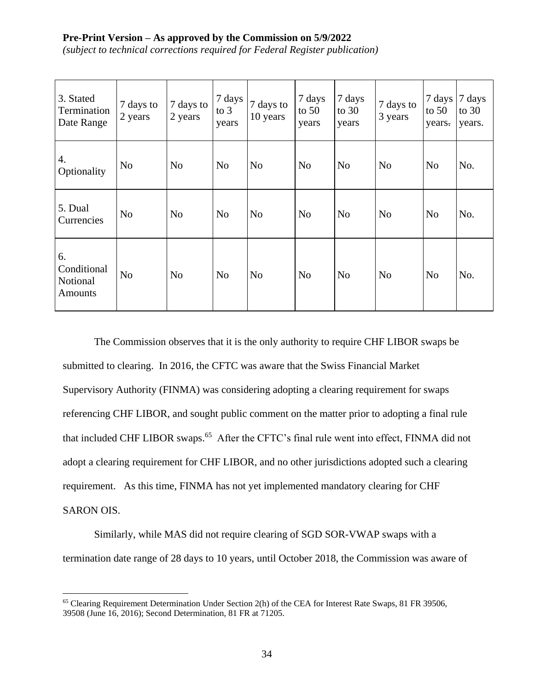*(subject to technical corrections required for Federal Register publication)*

| 3. Stated<br>Termination<br>Date Range          | 7 days to<br>2 years | 7 days to<br>2 years | 7 days<br>to $3$<br>years | 7 days to<br>10 years | 7 days<br>to $50$<br>years | 7 days<br>to $30$<br>years | 7 days to<br>3 years | 7 days<br>to $50$<br>years. | 7 days<br>to $30$<br>years. |
|-------------------------------------------------|----------------------|----------------------|---------------------------|-----------------------|----------------------------|----------------------------|----------------------|-----------------------------|-----------------------------|
| 4.<br>Optionality                               | N <sub>o</sub>       | N <sub>o</sub>       | N <sub>o</sub>            | N <sub>o</sub>        | N <sub>0</sub>             | N <sub>0</sub>             | N <sub>0</sub>       | N <sub>o</sub>              | No.                         |
| 5. Dual<br>Currencies                           | N <sub>0</sub>       | N <sub>o</sub>       | N <sub>o</sub>            | N <sub>o</sub>        | N <sub>0</sub>             | N <sub>0</sub>             | N <sub>o</sub>       | N <sub>o</sub>              | No.                         |
| 6.<br>Conditional<br>Notional<br><b>Amounts</b> | N <sub>o</sub>       | N <sub>o</sub>       | N <sub>o</sub>            | N <sub>o</sub>        | N <sub>o</sub>             | N <sub>0</sub>             | N <sub>o</sub>       | N <sub>o</sub>              | No.                         |

The Commission observes that it is the only authority to require CHF LIBOR swaps be submitted to clearing. In 2016, the CFTC was aware that the Swiss Financial Market Supervisory Authority (FINMA) was considering adopting a clearing requirement for swaps referencing CHF LIBOR, and sought public comment on the matter prior to adopting a final rule that included CHF LIBOR swaps.<sup>65</sup> After the CFTC's final rule went into effect, FINMA did not adopt a clearing requirement for CHF LIBOR, and no other jurisdictions adopted such a clearing requirement. As this time, FINMA has not yet implemented mandatory clearing for CHF SARON OIS.

Similarly, while MAS did not require clearing of SGD SOR-VWAP swaps with a termination date range of 28 days to 10 years, until October 2018, the Commission was aware of

<sup>&</sup>lt;sup>65</sup> Clearing Requirement Determination Under Section 2(h) of the CEA for Interest Rate Swaps, 81 FR 39506, 39508 (June 16, 2016); Second Determination, 81 FR at 71205.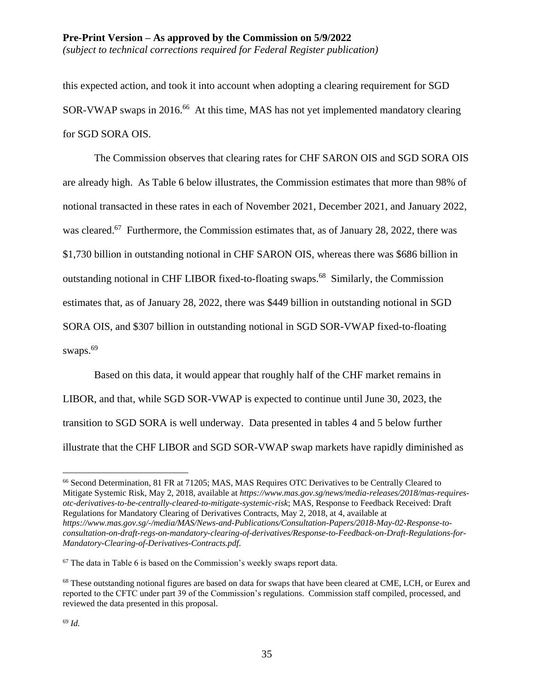this expected action, and took it into account when adopting a clearing requirement for SGD SOR-VWAP swaps in 2016.<sup>66</sup> At this time, MAS has not yet implemented mandatory clearing for SGD SORA OIS.

The Commission observes that clearing rates for CHF SARON OIS and SGD SORA OIS are already high. As Table 6 below illustrates, the Commission estimates that more than 98% of notional transacted in these rates in each of November 2021, December 2021, and January 2022, was cleared.<sup>67</sup> Furthermore, the Commission estimates that, as of January 28, 2022, there was \$1,730 billion in outstanding notional in CHF SARON OIS, whereas there was \$686 billion in outstanding notional in CHF LIBOR fixed-to-floating swaps.<sup>68</sup> Similarly, the Commission estimates that, as of January 28, 2022, there was \$449 billion in outstanding notional in SGD SORA OIS, and \$307 billion in outstanding notional in SGD SOR-VWAP fixed-to-floating swaps.<sup>69</sup>

Based on this data, it would appear that roughly half of the CHF market remains in LIBOR, and that, while SGD SOR-VWAP is expected to continue until June 30, 2023, the transition to SGD SORA is well underway. Data presented in tables 4 and 5 below further illustrate that the CHF LIBOR and SGD SOR-VWAP swap markets have rapidly diminished as

<sup>66</sup> Second Determination, 81 FR at 71205; MAS, MAS Requires OTC Derivatives to be Centrally Cleared to Mitigate Systemic Risk, May 2, 2018, available at *https://www.mas.gov.sg/news/media-releases/2018/mas-requiresotc-derivatives-to-be-centrally-cleared-to-mitigate-systemic-risk*; MAS, Response to Feedback Received: Draft Regulations for Mandatory Clearing of Derivatives Contracts, May 2, 2018, at 4, available at *https://www.mas.gov.sg/-/media/MAS/News-and-Publications/Consultation-Papers/2018-May-02-Response-toconsultation-on-draft-regs-on-mandatory-clearing-of-derivatives/Response-to-Feedback-on-Draft-Regulations-for-Mandatory-Clearing-of-Derivatives-Contracts.pdf*.

<sup>67</sup> The data in Table 6 is based on the Commission's weekly swaps report data.

<sup>&</sup>lt;sup>68</sup> These outstanding notional figures are based on data for swaps that have been cleared at CME, LCH, or Eurex and reported to the CFTC under part 39 of the Commission's regulations. Commission staff compiled, processed, and reviewed the data presented in this proposal.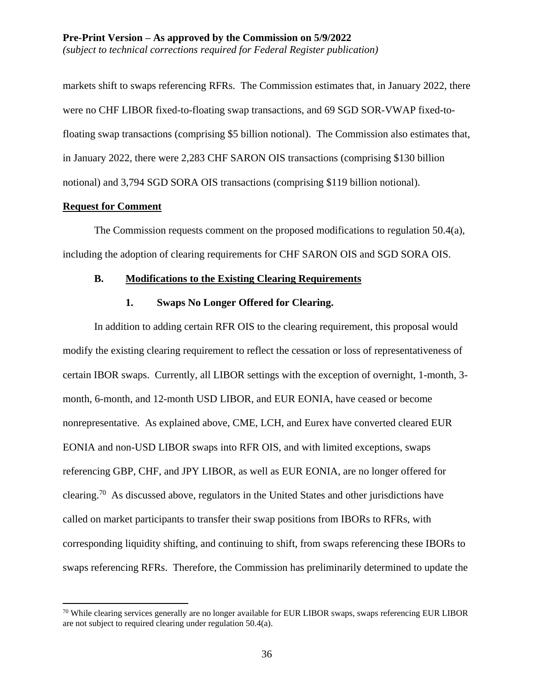markets shift to swaps referencing RFRs. The Commission estimates that, in January 2022, there were no CHF LIBOR fixed-to-floating swap transactions, and 69 SGD SOR-VWAP fixed-tofloating swap transactions (comprising \$5 billion notional). The Commission also estimates that, in January 2022, there were 2,283 CHF SARON OIS transactions (comprising \$130 billion notional) and 3,794 SGD SORA OIS transactions (comprising \$119 billion notional).

#### **Request for Comment**

 $\overline{a}$ 

The Commission requests comment on the proposed modifications to regulation 50.4(a), including the adoption of clearing requirements for CHF SARON OIS and SGD SORA OIS.

#### **B. Modifications to the Existing Clearing Requirements**

#### **1. Swaps No Longer Offered for Clearing.**

In addition to adding certain RFR OIS to the clearing requirement, this proposal would modify the existing clearing requirement to reflect the cessation or loss of representativeness of certain IBOR swaps. Currently, all LIBOR settings with the exception of overnight, 1-month, 3 month, 6-month, and 12-month USD LIBOR, and EUR EONIA, have ceased or become nonrepresentative. As explained above, CME, LCH, and Eurex have converted cleared EUR EONIA and non-USD LIBOR swaps into RFR OIS, and with limited exceptions, swaps referencing GBP, CHF, and JPY LIBOR, as well as EUR EONIA, are no longer offered for clearing.<sup>70</sup> As discussed above, regulators in the United States and other jurisdictions have called on market participants to transfer their swap positions from IBORs to RFRs, with corresponding liquidity shifting, and continuing to shift, from swaps referencing these IBORs to swaps referencing RFRs. Therefore, the Commission has preliminarily determined to update the

<sup>&</sup>lt;sup>70</sup> While clearing services generally are no longer available for EUR LIBOR swaps, swaps referencing EUR LIBOR are not subject to required clearing under regulation 50.4(a).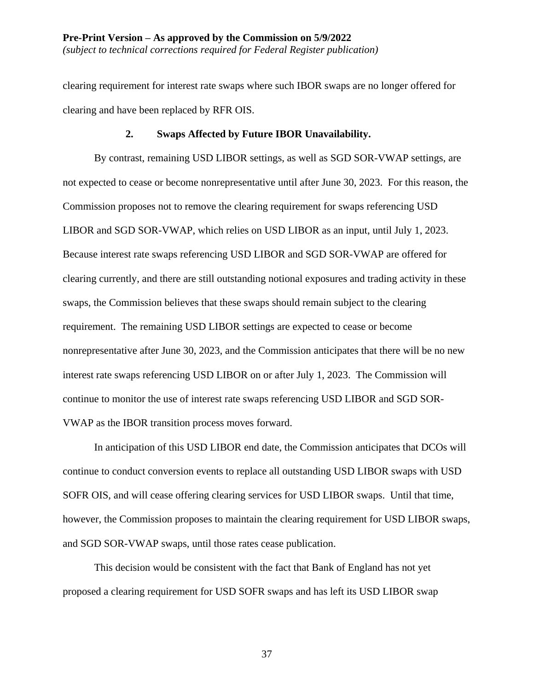clearing requirement for interest rate swaps where such IBOR swaps are no longer offered for clearing and have been replaced by RFR OIS.

#### **2. Swaps Affected by Future IBOR Unavailability.**

By contrast, remaining USD LIBOR settings, as well as SGD SOR-VWAP settings, are not expected to cease or become nonrepresentative until after June 30, 2023. For this reason, the Commission proposes not to remove the clearing requirement for swaps referencing USD LIBOR and SGD SOR-VWAP, which relies on USD LIBOR as an input, until July 1, 2023. Because interest rate swaps referencing USD LIBOR and SGD SOR-VWAP are offered for clearing currently, and there are still outstanding notional exposures and trading activity in these swaps, the Commission believes that these swaps should remain subject to the clearing requirement. The remaining USD LIBOR settings are expected to cease or become nonrepresentative after June 30, 2023, and the Commission anticipates that there will be no new interest rate swaps referencing USD LIBOR on or after July 1, 2023. The Commission will continue to monitor the use of interest rate swaps referencing USD LIBOR and SGD SOR-VWAP as the IBOR transition process moves forward.

In anticipation of this USD LIBOR end date, the Commission anticipates that DCOs will continue to conduct conversion events to replace all outstanding USD LIBOR swaps with USD SOFR OIS, and will cease offering clearing services for USD LIBOR swaps. Until that time, however, the Commission proposes to maintain the clearing requirement for USD LIBOR swaps, and SGD SOR-VWAP swaps, until those rates cease publication.

This decision would be consistent with the fact that Bank of England has not yet proposed a clearing requirement for USD SOFR swaps and has left its USD LIBOR swap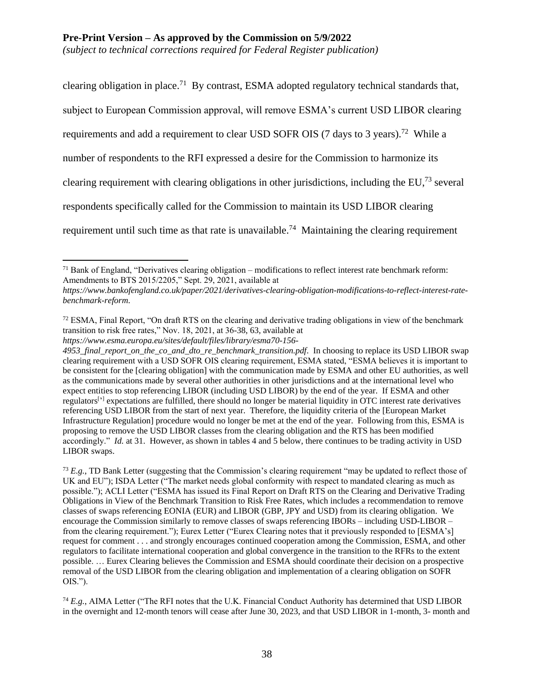*(subject to technical corrections required for Federal Register publication)*

clearing obligation in place.<sup>71</sup> By contrast, ESMA adopted regulatory technical standards that, subject to European Commission approval, will remove ESMA's current USD LIBOR clearing requirements and add a requirement to clear USD SOFR OIS (7 days to 3 years).<sup>72</sup> While a number of respondents to the RFI expressed a desire for the Commission to harmonize its clearing requirement with clearing obligations in other jurisdictions, including the EU,<sup>73</sup> several respondents specifically called for the Commission to maintain its USD LIBOR clearing requirement until such time as that rate is unavailable.<sup>74</sup> Maintaining the clearing requirement

 $71$  Bank of England, "Derivatives clearing obligation – modifications to reflect interest rate benchmark reform: Amendments to BTS 2015/2205," Sept. 29, 2021, available at

*https://www.bankofengland.co.uk/paper/2021/derivatives-clearing-obligation-modifications-to-reflect-interest-ratebenchmark-reform*.

<sup>&</sup>lt;sup>72</sup> ESMA, Final Report, "On draft RTS on the clearing and derivative trading obligations in view of the benchmark transition to risk free rates," Nov. 18, 2021, at 36-38, 63, available at

*https://www.esma.europa.eu/sites/default/files/library/esma70-156-*

<sup>4953</sup>\_final\_report\_on\_the\_co\_and\_dto\_re\_benchmark\_transition.pdf. In choosing to replace its USD LIBOR swap clearing requirement with a USD SOFR OIS clearing requirement, ESMA stated, "ESMA believes it is important to be consistent for the [clearing obligation] with the communication made by ESMA and other EU authorities, as well as the communications made by several other authorities in other jurisdictions and at the international level who expect entities to stop referencing LIBOR (including USD LIBOR) by the end of the year. If ESMA and other regulators<sup>[']</sup> expectations are fulfilled, there should no longer be material liquidity in OTC interest rate derivatives referencing USD LIBOR from the start of next year. Therefore, the liquidity criteria of the [European Market Infrastructure Regulation] procedure would no longer be met at the end of the year. Following from this, ESMA is proposing to remove the USD LIBOR classes from the clearing obligation and the RTS has been modified accordingly." *Id.* at 31. However, as shown in tables 4 and 5 below, there continues to be trading activity in USD LIBOR swaps.

<sup>73</sup> *E.g.*, TD Bank Letter (suggesting that the Commission's clearing requirement "may be updated to reflect those of UK and EU"); ISDA Letter ("The market needs global conformity with respect to mandated clearing as much as possible."); ACLI Letter ("ESMA has issued its Final Report on Draft RTS on the Clearing and Derivative Trading Obligations in View of the Benchmark Transition to Risk Free Rates, which includes a recommendation to remove classes of swaps referencing EONIA (EUR) and LIBOR (GBP, JPY and USD) from its clearing obligation. We encourage the Commission similarly to remove classes of swaps referencing IBORs – including USD-LIBOR – from the clearing requirement."); Eurex Letter ("Eurex Clearing notes that it previously responded to [ESMA's] request for comment . . . and strongly encourages continued cooperation among the Commission, ESMA, and other regulators to facilitate international cooperation and global convergence in the transition to the RFRs to the extent possible. … Eurex Clearing believes the Commission and ESMA should coordinate their decision on a prospective removal of the USD LIBOR from the clearing obligation and implementation of a clearing obligation on SOFR OIS.").

<sup>74</sup> *E.g.*, AIMA Letter ("The RFI notes that the U.K. Financial Conduct Authority has determined that USD LIBOR in the overnight and 12-month tenors will cease after June 30, 2023, and that USD LIBOR in 1-month, 3- month and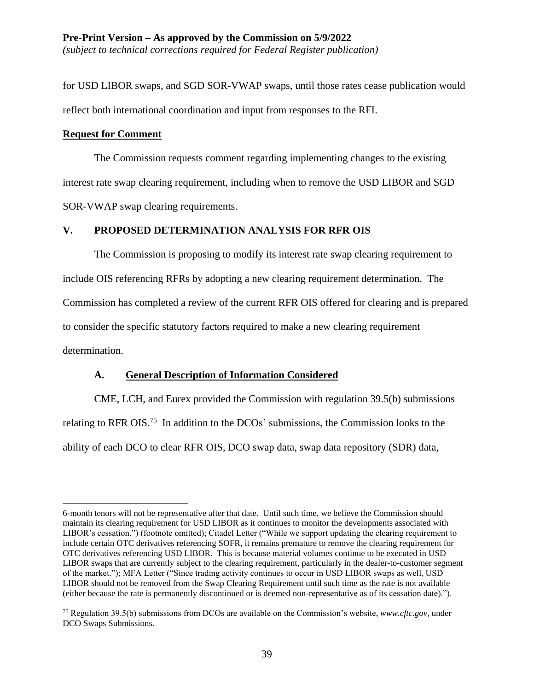for USD LIBOR swaps, and SGD SOR-VWAP swaps, until those rates cease publication would reflect both international coordination and input from responses to the RFI.

### **Request for Comment**

 $\overline{a}$ 

The Commission requests comment regarding implementing changes to the existing interest rate swap clearing requirement, including when to remove the USD LIBOR and SGD SOR-VWAP swap clearing requirements.

# **V. PROPOSED DETERMINATION ANALYSIS FOR RFR OIS**

The Commission is proposing to modify its interest rate swap clearing requirement to include OIS referencing RFRs by adopting a new clearing requirement determination. The Commission has completed a review of the current RFR OIS offered for clearing and is prepared to consider the specific statutory factors required to make a new clearing requirement determination.

# **A. General Description of Information Considered**

CME, LCH, and Eurex provided the Commission with regulation 39.5(b) submissions relating to RFR OIS.<sup>75</sup> In addition to the DCOs' submissions, the Commission looks to the ability of each DCO to clear RFR OIS, DCO swap data, swap data repository (SDR) data,

<sup>6-</sup>month tenors will not be representative after that date. Until such time, we believe the Commission should maintain its clearing requirement for USD LIBOR as it continues to monitor the developments associated with LIBOR's cessation.") (footnote omitted); Citadel Letter ("While we support updating the clearing requirement to include certain OTC derivatives referencing SOFR, it remains premature to remove the clearing requirement for OTC derivatives referencing USD LIBOR. This is because material volumes continue to be executed in USD LIBOR swaps that are currently subject to the clearing requirement, particularly in the dealer-to-customer segment of the market."); MFA Letter ("Since trading activity continues to occur in USD LIBOR swaps as well, USD LIBOR should not be removed from the Swap Clearing Requirement until such time as the rate is not available (either because the rate is permanently discontinued or is deemed non-representative as of its cessation date).").

<sup>75</sup> Regulation 39.5(b) submissions from DCOs are available on the Commission's website, *www.cftc.gov*, under DCO Swaps Submissions.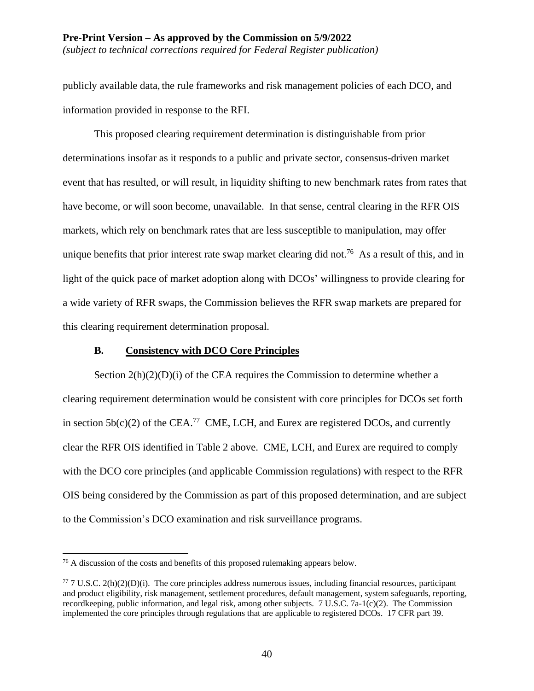*(subject to technical corrections required for Federal Register publication)*

publicly available data, the rule frameworks and risk management policies of each DCO, and information provided in response to the RFI.

This proposed clearing requirement determination is distinguishable from prior determinations insofar as it responds to a public and private sector, consensus-driven market event that has resulted, or will result, in liquidity shifting to new benchmark rates from rates that have become, or will soon become, unavailable. In that sense, central clearing in the RFR OIS markets, which rely on benchmark rates that are less susceptible to manipulation, may offer unique benefits that prior interest rate swap market clearing did not.<sup>76</sup> As a result of this, and in light of the quick pace of market adoption along with DCOs' willingness to provide clearing for a wide variety of RFR swaps, the Commission believes the RFR swap markets are prepared for this clearing requirement determination proposal.

## **B. Consistency with DCO Core Principles**

Section  $2(h)(2)(D)(i)$  of the CEA requires the Commission to determine whether a clearing requirement determination would be consistent with core principles for DCOs set forth in section  $5b(c)(2)$  of the CEA.<sup>77</sup> CME, LCH, and Eurex are registered DCOs, and currently clear the RFR OIS identified in Table 2 above. CME, LCH, and Eurex are required to comply with the DCO core principles (and applicable Commission regulations) with respect to the RFR OIS being considered by the Commission as part of this proposed determination, and are subject to the Commission's DCO examination and risk surveillance programs.

<sup>&</sup>lt;sup>76</sup> A discussion of the costs and benefits of this proposed rulemaking appears below.

 $77$  7 U.S.C. 2(h)(2)(D)(i). The core principles address numerous issues, including financial resources, participant and product eligibility, risk management, settlement procedures, default management, system safeguards, reporting, recordkeeping, public information, and legal risk, among other subjects. 7 U.S.C. 7a-1(c)(2). The Commission implemented the core principles through regulations that are applicable to registered DCOs. 17 CFR part 39.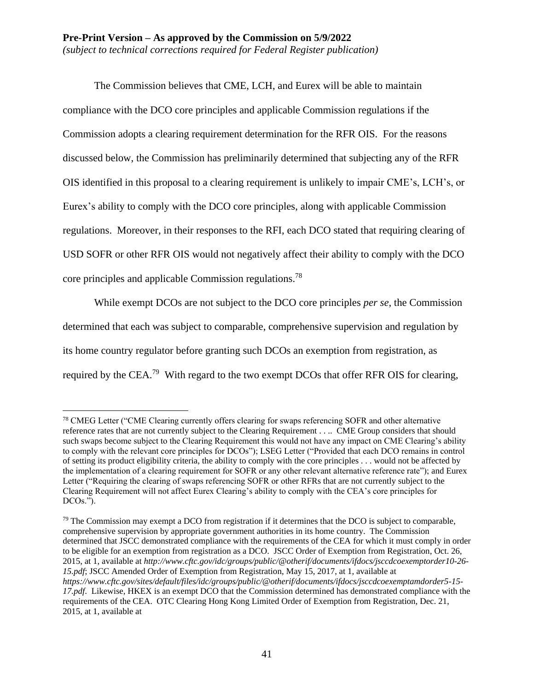The Commission believes that CME, LCH, and Eurex will be able to maintain compliance with the DCO core principles and applicable Commission regulations if the Commission adopts a clearing requirement determination for the RFR OIS. For the reasons discussed below, the Commission has preliminarily determined that subjecting any of the RFR OIS identified in this proposal to a clearing requirement is unlikely to impair CME's, LCH's, or Eurex's ability to comply with the DCO core principles, along with applicable Commission regulations. Moreover, in their responses to the RFI, each DCO stated that requiring clearing of USD SOFR or other RFR OIS would not negatively affect their ability to comply with the DCO core principles and applicable Commission regulations. 78

While exempt DCOs are not subject to the DCO core principles *per se*, the Commission determined that each was subject to comparable, comprehensive supervision and regulation by its home country regulator before granting such DCOs an exemption from registration, as required by the CEA.<sup>79</sup> With regard to the two exempt DCOs that offer RFR OIS for clearing,

<sup>&</sup>lt;sup>78</sup> CMEG Letter ("CME Clearing currently offers clearing for swaps referencing SOFR and other alternative reference rates that are not currently subject to the Clearing Requirement . . .. CME Group considers that should such swaps become subject to the Clearing Requirement this would not have any impact on CME Clearing's ability to comply with the relevant core principles for DCOs"); LSEG Letter ("Provided that each DCO remains in control of setting its product eligibility criteria, the ability to comply with the core principles . . . would not be affected by the implementation of a clearing requirement for SOFR or any other relevant alternative reference rate"); and Eurex Letter ("Requiring the clearing of swaps referencing SOFR or other RFRs that are not currently subject to the Clearing Requirement will not affect Eurex Clearing's ability to comply with the CEA's core principles for DCOs.").

 $79$  The Commission may exempt a DCO from registration if it determines that the DCO is subject to comparable, comprehensive supervision by appropriate government authorities in its home country. The Commission determined that JSCC demonstrated compliance with the requirements of the CEA for which it must comply in order to be eligible for an exemption from registration as a DCO. JSCC Order of Exemption from Registration, Oct. 26, 2015, at 1, available at *http://www.cftc.gov/idc/groups/public/@otherif/documents/ifdocs/jsccdcoexemptorder10-26- 15.pdf*; JSCC Amended Order of Exemption from Registration, May 15, 2017, at 1, available at *https://www.cftc.gov/sites/default/files/idc/groups/public/@otherif/documents/ifdocs/jsccdcoexemptamdorder5-15- 17.pdf*. Likewise, HKEX is an exempt DCO that the Commission determined has demonstrated compliance with the requirements of the CEA. OTC Clearing Hong Kong Limited Order of Exemption from Registration, Dec. 21, 2015, at 1, available at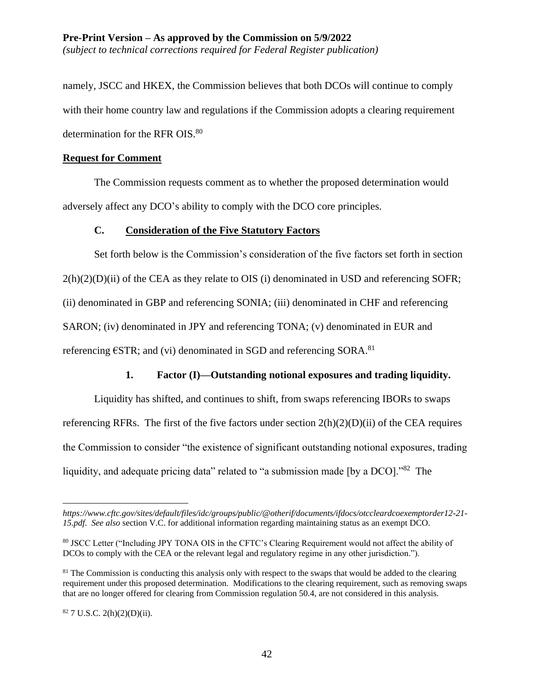### **Pre-Print Version – As approved by the Commission on 5/9/2022** *(subject to technical corrections required for Federal Register publication)*

namely, JSCC and HKEX, the Commission believes that both DCOs will continue to comply with their home country law and regulations if the Commission adopts a clearing requirement determination for the RFR OIS.<sup>80</sup>

## **Request for Comment**

The Commission requests comment as to whether the proposed determination would adversely affect any DCO's ability to comply with the DCO core principles.

# **C. Consideration of the Five Statutory Factors**

Set forth below is the Commission's consideration of the five factors set forth in section  $2(h)(2)(D)(ii)$  of the CEA as they relate to OIS (i) denominated in USD and referencing SOFR; (ii) denominated in GBP and referencing SONIA; (iii) denominated in CHF and referencing SARON; (iv) denominated in JPY and referencing TONA; (v) denominated in EUR and referencing  $\epsilon$ STR; and (vi) denominated in SGD and referencing SORA.<sup>81</sup>

# **1. Factor (I)—Outstanding notional exposures and trading liquidity.**

Liquidity has shifted, and continues to shift, from swaps referencing IBORs to swaps referencing RFRs. The first of the five factors under section  $2(h)(2)(D)(ii)$  of the CEA requires the Commission to consider "the existence of significant outstanding notional exposures, trading liquidity, and adequate pricing data" related to "a submission made [by a DCO]."<sup>82</sup> The

 $82$  7 U.S.C. 2(h)(2)(D)(ii).

*https://www.cftc.gov/sites/default/files/idc/groups/public/@otherif/documents/ifdocs/otccleardcoexemptorder12-21- 15.pdf*. *See also* section V.C. for additional information regarding maintaining status as an exempt DCO.

<sup>80</sup> JSCC Letter ("Including JPY TONA OIS in the CFTC's Clearing Requirement would not affect the ability of DCOs to comply with the CEA or the relevant legal and regulatory regime in any other jurisdiction.").

 $81$  The Commission is conducting this analysis only with respect to the swaps that would be added to the clearing requirement under this proposed determination. Modifications to the clearing requirement, such as removing swaps that are no longer offered for clearing from Commission regulation 50.4, are not considered in this analysis.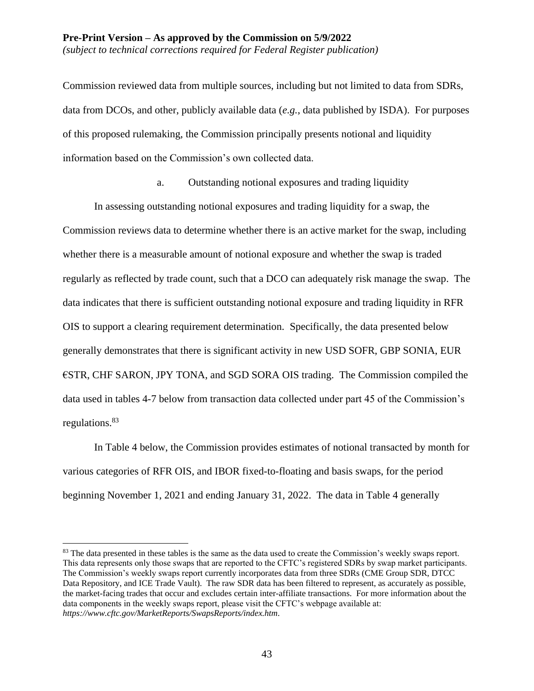Commission reviewed data from multiple sources, including but not limited to data from SDRs, data from DCOs, and other, publicly available data (*e.g.*, data published by ISDA). For purposes of this proposed rulemaking, the Commission principally presents notional and liquidity information based on the Commission's own collected data.

a. Outstanding notional exposures and trading liquidity

In assessing outstanding notional exposures and trading liquidity for a swap, the Commission reviews data to determine whether there is an active market for the swap, including whether there is a measurable amount of notional exposure and whether the swap is traded regularly as reflected by trade count, such that a DCO can adequately risk manage the swap. The data indicates that there is sufficient outstanding notional exposure and trading liquidity in RFR OIS to support a clearing requirement determination. Specifically, the data presented below generally demonstrates that there is significant activity in new USD SOFR, GBP SONIA, EUR €STR, CHF SARON, JPY TONA, and SGD SORA OIS trading. The Commission compiled the data used in tables 4-7 below from transaction data collected under part 45 of the Commission's regulations.<sup>83</sup>

In Table 4 below, the Commission provides estimates of notional transacted by month for various categories of RFR OIS, and IBOR fixed-to-floating and basis swaps, for the period beginning November 1, 2021 and ending January 31, 2022. The data in Table 4 generally

<sup>&</sup>lt;sup>83</sup> The data presented in these tables is the same as the data used to create the Commission's weekly swaps report. This data represents only those swaps that are reported to the CFTC's registered SDRs by swap market participants. The Commission's weekly swaps report currently incorporates data from three SDRs (CME Group SDR, DTCC Data Repository, and ICE Trade Vault). The raw SDR data has been filtered to represent, as accurately as possible, the market-facing trades that occur and excludes certain inter-affiliate transactions. For more information about the data components in the weekly swaps report, please visit the CFTC's webpage available at: *https://www.cftc.gov/MarketReports/SwapsReports/index.htm*.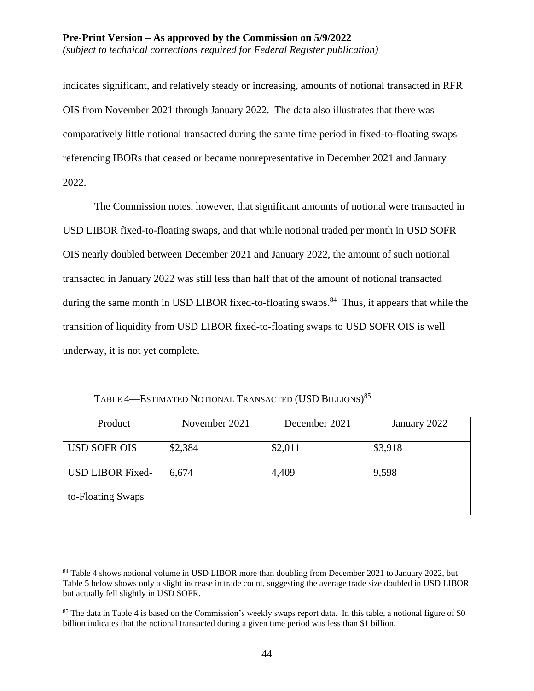indicates significant, and relatively steady or increasing, amounts of notional transacted in RFR OIS from November 2021 through January 2022. The data also illustrates that there was comparatively little notional transacted during the same time period in fixed-to-floating swaps referencing IBORs that ceased or became nonrepresentative in December 2021 and January 2022.

The Commission notes, however, that significant amounts of notional were transacted in USD LIBOR fixed-to-floating swaps, and that while notional traded per month in USD SOFR OIS nearly doubled between December 2021 and January 2022, the amount of such notional transacted in January 2022 was still less than half that of the amount of notional transacted during the same month in USD LIBOR fixed-to-floating swaps.<sup>84</sup> Thus, it appears that while the transition of liquidity from USD LIBOR fixed-to-floating swaps to USD SOFR OIS is well underway, it is not yet complete.

| Product                 | November 2021 | December 2021 | January 2022 |
|-------------------------|---------------|---------------|--------------|
| <b>USD SOFR OIS</b>     | \$2,384       | \$2,011       | \$3,918      |
| <b>USD LIBOR Fixed-</b> | 6,674         | 4,409         | 9,598        |
| to-Floating Swaps       |               |               |              |

TABLE 4—ESTIMATED NOTIONAL TRANSACTED (USD BILLIONS)<sup>85</sup>

<sup>&</sup>lt;sup>84</sup> Table 4 shows notional volume in USD LIBOR more than doubling from December 2021 to January 2022, but Table 5 below shows only a slight increase in trade count, suggesting the average trade size doubled in USD LIBOR but actually fell slightly in USD SOFR.

<sup>&</sup>lt;sup>85</sup> The data in Table 4 is based on the Commission's weekly swaps report data. In this table, a notional figure of \$0 billion indicates that the notional transacted during a given time period was less than \$1 billion.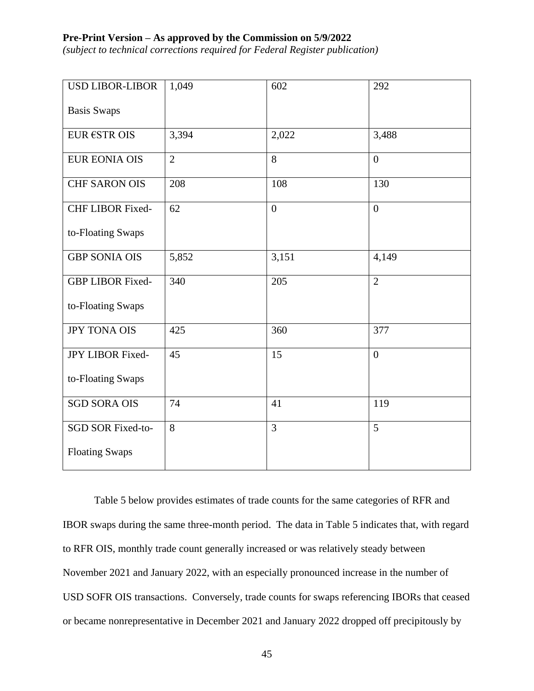*(subject to technical corrections required for Federal Register publication)*

| <b>USD LIBOR-LIBOR</b>  | 1,049          | 602            | 292            |
|-------------------------|----------------|----------------|----------------|
| <b>Basis Swaps</b>      |                |                |                |
| EUR €STR OIS            | 3,394          | 2,022          | 3,488          |
| <b>EUR EONIA OIS</b>    | $\overline{2}$ | 8              | $\overline{0}$ |
| <b>CHF SARON OIS</b>    | 208            | 108            | 130            |
| <b>CHF LIBOR Fixed-</b> | 62             | $\overline{0}$ | $\overline{0}$ |
| to-Floating Swaps       |                |                |                |
| <b>GBP SONIA OIS</b>    | 5,852          | 3,151          | 4,149          |
| <b>GBP LIBOR Fixed-</b> | 340            | 205            | $\overline{2}$ |
| to-Floating Swaps       |                |                |                |
| <b>JPY TONA OIS</b>     | 425            | 360            | 377            |
| JPY LIBOR Fixed-        | 45             | 15             | $\overline{0}$ |
| to-Floating Swaps       |                |                |                |
| <b>SGD SORA OIS</b>     | 74             | 41             | 119            |
| SGD SOR Fixed-to-       | 8              | 3              | 5              |
| <b>Floating Swaps</b>   |                |                |                |

Table 5 below provides estimates of trade counts for the same categories of RFR and IBOR swaps during the same three-month period. The data in Table 5 indicates that, with regard to RFR OIS, monthly trade count generally increased or was relatively steady between November 2021 and January 2022, with an especially pronounced increase in the number of USD SOFR OIS transactions. Conversely, trade counts for swaps referencing IBORs that ceased or became nonrepresentative in December 2021 and January 2022 dropped off precipitously by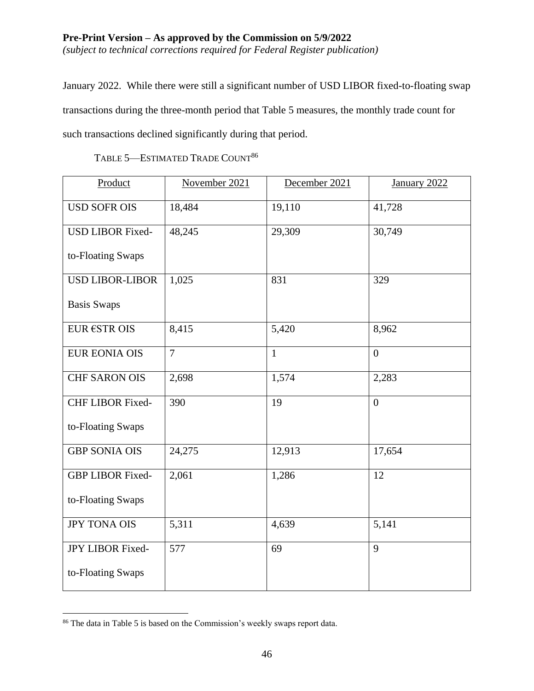# **Pre-Print Version – As approved by the Commission on 5/9/2022** *(subject to technical corrections required for Federal Register publication)*

January 2022. While there were still a significant number of USD LIBOR fixed-to-floating swap transactions during the three-month period that Table 5 measures, the monthly trade count for such transactions declined significantly during that period.

Product November 2021 December 2021 January 2022 USD SOFR OIS 18,484 19,110 41,728 USD LIBOR Fixedto-Floating Swaps 48,245 29,309 30,749 USD LIBOR-LIBOR Basis Swaps 1,025 831 329 EUR  $\epsilon$ STR OIS 8,415 5,420 8,962 EUR EONIA OIS 7 1 0 CHF SARON OIS 2,698 1,574 2,283 CHF LIBOR Fixedto-Floating Swaps 390 | 19 | 0 GBP SONIA OIS 24,275 12,913 17,654 GBP LIBOR Fixedto-Floating Swaps 2,061 1,286 12  $JPY$  TONA OIS  $\begin{array}{|l|l|} \hline 5,311 & 4,639 \end{array}$  5,141 JPY LIBOR Fixedto-Floating Swaps 577 | 69 | 9

TABLE 5-ESTIMATED TRADE COUNT<sup>86</sup>

<sup>86</sup> The data in Table 5 is based on the Commission's weekly swaps report data.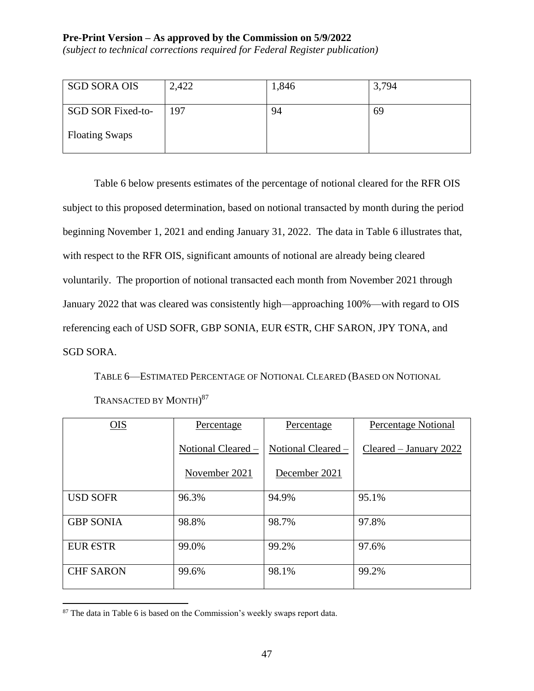*(subject to technical corrections required for Federal Register publication)*

| <b>SGD SORA OIS</b>      | 2,422 | 1,846 | 3,794 |
|--------------------------|-------|-------|-------|
| <b>SGD SOR Fixed-to-</b> | 197   | 94    | 69    |
| <b>Floating Swaps</b>    |       |       |       |

Table 6 below presents estimates of the percentage of notional cleared for the RFR OIS subject to this proposed determination, based on notional transacted by month during the period beginning November 1, 2021 and ending January 31, 2022. The data in Table 6 illustrates that, with respect to the RFR OIS, significant amounts of notional are already being cleared voluntarily. The proportion of notional transacted each month from November 2021 through January 2022 that was cleared was consistently high—approaching 100%—with regard to OIS referencing each of USD SOFR, GBP SONIA, EUR €STR, CHF SARON, JPY TONA, and SGD SORA.

TABLE 6—ESTIMATED PERCENTAGE OF NOTIONAL CLEARED (BASED ON NOTIONAL

| OIS              | Percentage         | Percentage         | <b>Percentage Notional</b> |
|------------------|--------------------|--------------------|----------------------------|
|                  | Notional Cleared - | Notional Cleared - | Cleared – January 2022     |
|                  | November 2021      | December 2021      |                            |
| <b>USD SOFR</b>  | 96.3%              | 94.9%              | 95.1%                      |
| <b>GBP SONIA</b> | 98.8%              | 98.7%              | 97.8%                      |
| <b>EUR €STR</b>  | 99.0%              | 99.2%              | 97.6%                      |
| <b>CHF SARON</b> | 99.6%              | 98.1%              | 99.2%                      |

<sup>&</sup>lt;sup>87</sup> The data in Table 6 is based on the Commission's weekly swaps report data.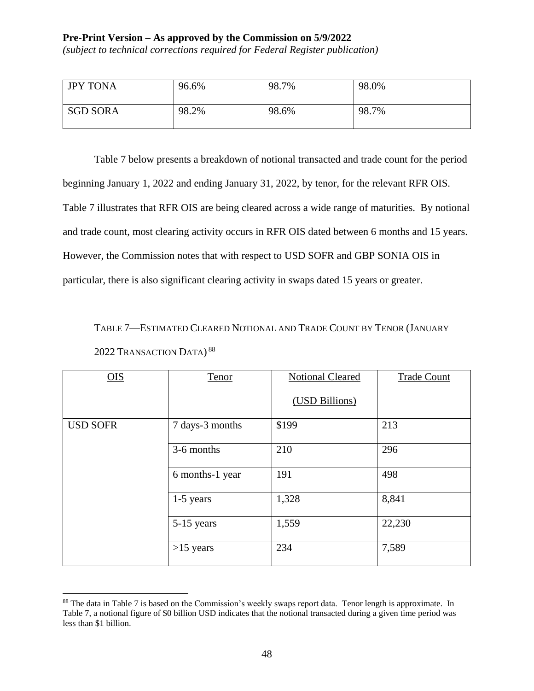*(subject to technical corrections required for Federal Register publication)*

| <b>JPY TONA</b> | 96.6% | 98.7% | 98.0% |
|-----------------|-------|-------|-------|
| <b>SGD SORA</b> | 98.2% | 98.6% | 98.7% |

Table 7 below presents a breakdown of notional transacted and trade count for the period beginning January 1, 2022 and ending January 31, 2022, by tenor, for the relevant RFR OIS. Table 7 illustrates that RFR OIS are being cleared across a wide range of maturities. By notional and trade count, most clearing activity occurs in RFR OIS dated between 6 months and 15 years. However, the Commission notes that with respect to USD SOFR and GBP SONIA OIS in particular, there is also significant clearing activity in swaps dated 15 years or greater.

TABLE 7—ESTIMATED CLEARED NOTIONAL AND TRADE COUNT BY TENOR (JANUARY 2022 TRANSACTION DATA)<sup>88</sup>

| OIS             | Tenor           | <b>Notional Cleared</b> | <b>Trade Count</b> |
|-----------------|-----------------|-------------------------|--------------------|
|                 |                 | (USD Billions)          |                    |
| <b>USD SOFR</b> | 7 days-3 months | \$199                   | 213                |
|                 | 3-6 months      | 210                     | 296                |
|                 | 6 months-1 year | 191                     | 498                |
|                 | $1-5$ years     | 1,328                   | 8,841              |
|                 | 5-15 years      | 1,559                   | 22,230             |
|                 | $>15$ years     | 234                     | 7,589              |

<sup>88</sup> The data in Table 7 is based on the Commission's weekly swaps report data. Tenor length is approximate. In Table 7, a notional figure of \$0 billion USD indicates that the notional transacted during a given time period was less than \$1 billion.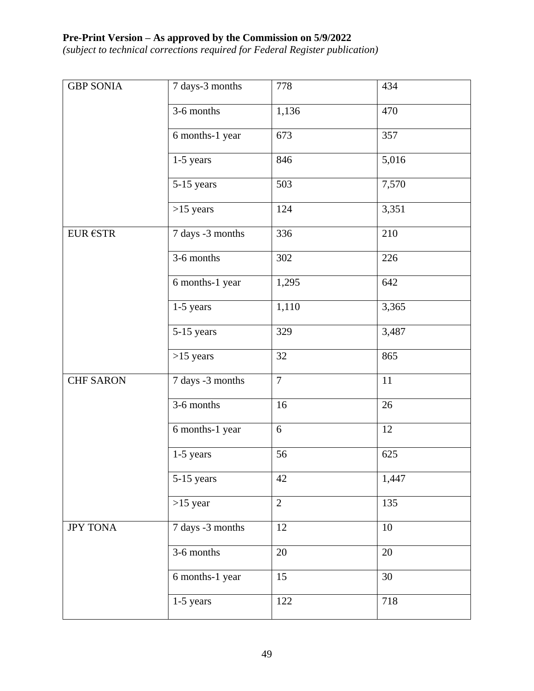*(subject to technical corrections required for Federal Register publication)*

| <b>GBP SONIA</b> | 7 days-3 months  | 778            | 434   |
|------------------|------------------|----------------|-------|
|                  | 3-6 months       | 1,136          | 470   |
|                  | 6 months-1 year  | 673            | 357   |
|                  | 1-5 years        | 846            | 5,016 |
|                  | 5-15 years       | 503            | 7,570 |
|                  | $>15$ years      | 124            | 3,351 |
| <b>EUR €STR</b>  | 7 days -3 months | 336            | 210   |
|                  | 3-6 months       | 302            | 226   |
|                  | 6 months-1 year  | 1,295          | 642   |
|                  | 1-5 years        | 1,110          | 3,365 |
|                  | 5-15 years       | 329            | 3,487 |
|                  | $>15$ years      | 32             | 865   |
| <b>CHF SARON</b> | 7 days -3 months | $\overline{7}$ | 11    |
|                  | 3-6 months       | 16             | 26    |
|                  | 6 months-1 year  | 6              | 12    |
|                  | $1-5$ years      | 56             | 625   |
|                  | 5-15 years       | 42             | 1,447 |
|                  | $>15$ year       | $\overline{2}$ | 135   |
| <b>JPY TONA</b>  | 7 days -3 months | 12             | 10    |
|                  | 3-6 months       | 20             | 20    |
|                  | 6 months-1 year  | 15             | 30    |
|                  | 1-5 years        | 122            | 718   |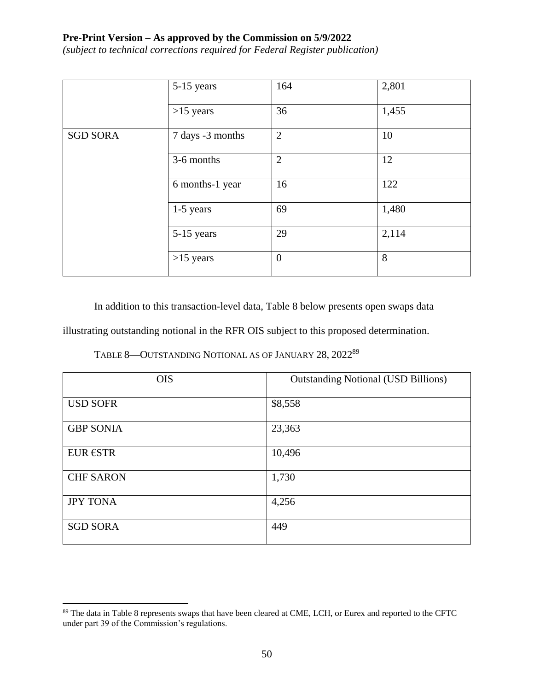*(subject to technical corrections required for Federal Register publication)*

|                 | 5-15 years       | 164            | 2,801 |
|-----------------|------------------|----------------|-------|
|                 | $>15$ years      | 36             | 1,455 |
| <b>SGD SORA</b> | 7 days -3 months | $\overline{2}$ | 10    |
|                 | 3-6 months       | $\overline{2}$ | 12    |
|                 | 6 months-1 year  | 16             | 122   |
|                 | 1-5 years        | 69             | 1,480 |
|                 | 5-15 years       | 29             | 2,114 |
|                 | $>15$ years      | $\mathbf{0}$   | 8     |

In addition to this transaction-level data, Table 8 below presents open swaps data

illustrating outstanding notional in the RFR OIS subject to this proposed determination.

TABLE 8—OUTSTANDING NOTIONAL AS OF JANUARY 28, 2022<sup>89</sup>

| OIS              | <b>Outstanding Notional (USD Billions)</b> |
|------------------|--------------------------------------------|
| <b>USD SOFR</b>  | \$8,558                                    |
| <b>GBP SONIA</b> | 23,363                                     |
| <b>EUR €STR</b>  | 10,496                                     |
| <b>CHF SARON</b> | 1,730                                      |
| <b>JPY TONA</b>  | 4,256                                      |
| <b>SGD SORA</b>  | 449                                        |

<sup>&</sup>lt;sup>89</sup> The data in Table 8 represents swaps that have been cleared at CME, LCH, or Eurex and reported to the CFTC under part 39 of the Commission's regulations.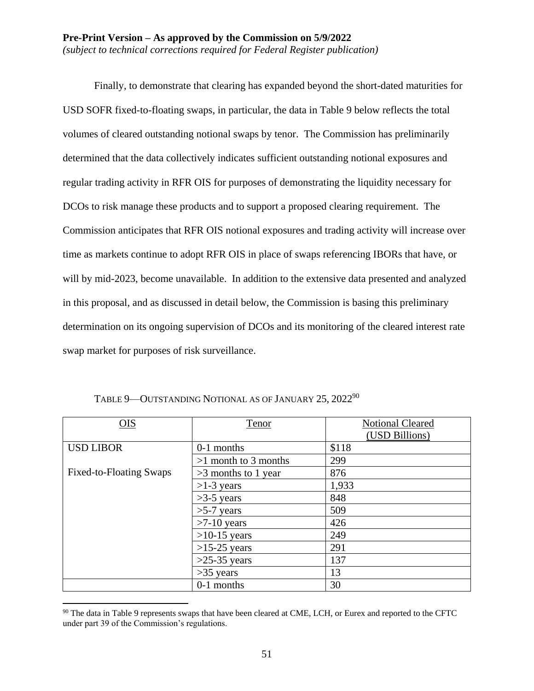Finally, to demonstrate that clearing has expanded beyond the short-dated maturities for USD SOFR fixed-to-floating swaps, in particular, the data in Table 9 below reflects the total volumes of cleared outstanding notional swaps by tenor. The Commission has preliminarily determined that the data collectively indicates sufficient outstanding notional exposures and regular trading activity in RFR OIS for purposes of demonstrating the liquidity necessary for DCOs to risk manage these products and to support a proposed clearing requirement. The Commission anticipates that RFR OIS notional exposures and trading activity will increase over time as markets continue to adopt RFR OIS in place of swaps referencing IBORs that have, or will by mid-2023, become unavailable. In addition to the extensive data presented and analyzed in this proposal, and as discussed in detail below, the Commission is basing this preliminary determination on its ongoing supervision of DCOs and its monitoring of the cleared interest rate swap market for purposes of risk surveillance.

| OIS                     | <b>Tenor</b>           | <b>Notional Cleared</b> |
|-------------------------|------------------------|-------------------------|
|                         |                        | (USD Billions)          |
| <b>USD LIBOR</b>        | 0-1 months             | \$118                   |
|                         | $>1$ month to 3 months | 299                     |
| Fixed-to-Floating Swaps | $>3$ months to 1 year  | 876                     |
|                         | $>1-3$ years           | 1,933                   |
|                         | $>3-5$ years           | 848                     |
|                         | $>5-7$ years           | 509                     |
|                         | $>7-10$ years          | 426                     |
|                         | $>10-15$ years         | 249                     |
|                         | $>15-25$ years         | 291                     |
|                         | $>25-35$ years         | 137                     |
|                         | $>35$ years            | 13                      |
|                         | 0-1 months             | 30                      |

TABLE 9-OUTSTANDING NOTIONAL AS OF JANUARY 25, 2022<sup>90</sup>

<sup>&</sup>lt;sup>90</sup> The data in Table 9 represents swaps that have been cleared at CME, LCH, or Eurex and reported to the CFTC under part 39 of the Commission's regulations.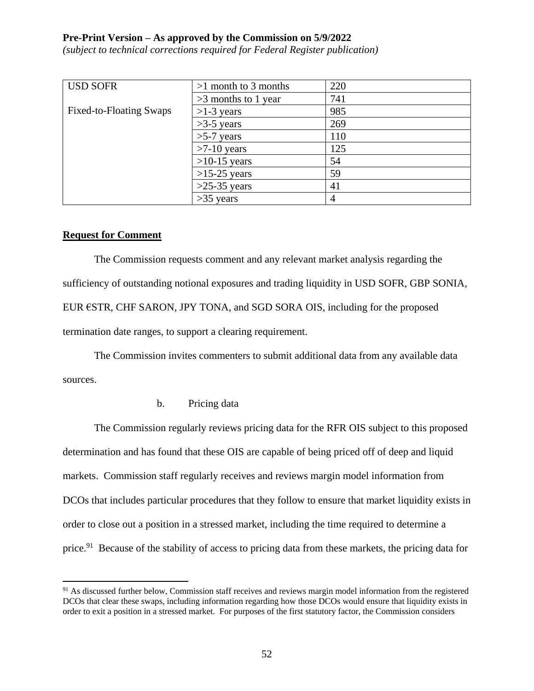*(subject to technical corrections required for Federal Register publication)*

| <b>USD SOFR</b>         | $>1$ month to 3 months | 220 |
|-------------------------|------------------------|-----|
|                         | $>3$ months to 1 year  | 741 |
| Fixed-to-Floating Swaps | $>1-3$ years           | 985 |
|                         | $>3-5$ years           | 269 |
|                         | $>5-7$ years           | 110 |
|                         | $>7-10$ years          | 125 |
|                         | $>10-15$ years         | 54  |
|                         | $>15-25$ years         | 59  |
|                         | $>25-35$ years         | 41  |
|                         | $>35$ years            | 4   |

## **Request for Comment**

 $\overline{a}$ 

The Commission requests comment and any relevant market analysis regarding the sufficiency of outstanding notional exposures and trading liquidity in USD SOFR, GBP SONIA, EUR €STR, CHF SARON, JPY TONA, and SGD SORA OIS, including for the proposed termination date ranges, to support a clearing requirement.

The Commission invites commenters to submit additional data from any available data sources.

b. Pricing data

The Commission regularly reviews pricing data for the RFR OIS subject to this proposed determination and has found that these OIS are capable of being priced off of deep and liquid markets. Commission staff regularly receives and reviews margin model information from DCOs that includes particular procedures that they follow to ensure that market liquidity exists in order to close out a position in a stressed market, including the time required to determine a price.<sup>91</sup> Because of the stability of access to pricing data from these markets, the pricing data for

<sup>&</sup>lt;sup>91</sup> As discussed further below, Commission staff receives and reviews margin model information from the registered DCOs that clear these swaps, including information regarding how those DCOs would ensure that liquidity exists in order to exit a position in a stressed market. For purposes of the first statutory factor, the Commission considers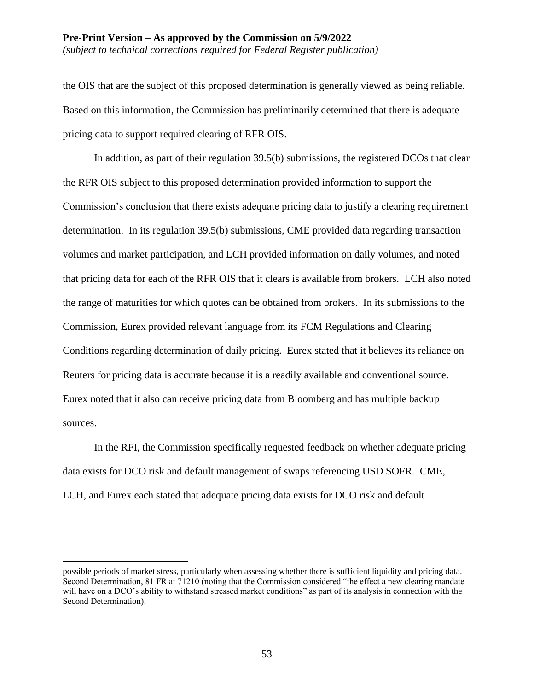## **Pre-Print Version – As approved by the Commission on 5/9/2022** *(subject to technical corrections required for Federal Register publication)*

the OIS that are the subject of this proposed determination is generally viewed as being reliable. Based on this information, the Commission has preliminarily determined that there is adequate pricing data to support required clearing of RFR OIS.

In addition, as part of their regulation 39.5(b) submissions, the registered DCOs that clear the RFR OIS subject to this proposed determination provided information to support the Commission's conclusion that there exists adequate pricing data to justify a clearing requirement determination. In its regulation 39.5(b) submissions, CME provided data regarding transaction volumes and market participation, and LCH provided information on daily volumes, and noted that pricing data for each of the RFR OIS that it clears is available from brokers. LCH also noted the range of maturities for which quotes can be obtained from brokers. In its submissions to the Commission, Eurex provided relevant language from its FCM Regulations and Clearing Conditions regarding determination of daily pricing. Eurex stated that it believes its reliance on Reuters for pricing data is accurate because it is a readily available and conventional source. Eurex noted that it also can receive pricing data from Bloomberg and has multiple backup sources.

In the RFI, the Commission specifically requested feedback on whether adequate pricing data exists for DCO risk and default management of swaps referencing USD SOFR. CME, LCH, and Eurex each stated that adequate pricing data exists for DCO risk and default

possible periods of market stress, particularly when assessing whether there is sufficient liquidity and pricing data. Second Determination, 81 FR at 71210 (noting that the Commission considered "the effect a new clearing mandate will have on a DCO's ability to withstand stressed market conditions" as part of its analysis in connection with the Second Determination).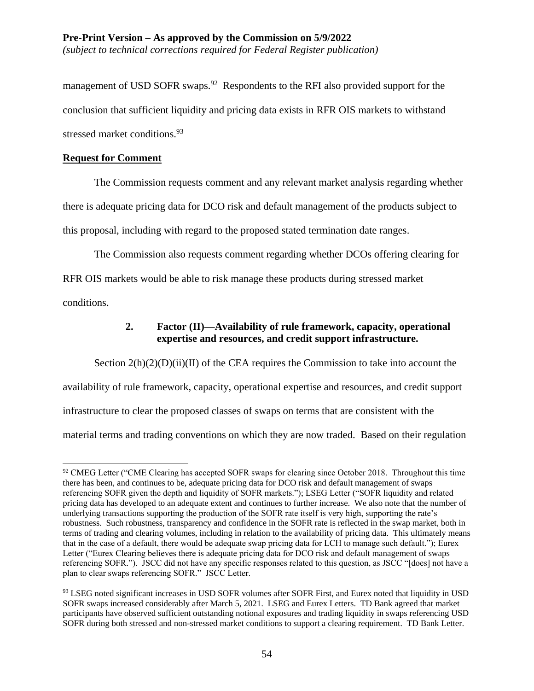*(subject to technical corrections required for Federal Register publication)*

management of USD SOFR swaps.<sup>92</sup> Respondents to the RFI also provided support for the conclusion that sufficient liquidity and pricing data exists in RFR OIS markets to withstand stressed market conditions.<sup>93</sup>

## **Request for Comment**

The Commission requests comment and any relevant market analysis regarding whether there is adequate pricing data for DCO risk and default management of the products subject to this proposal, including with regard to the proposed stated termination date ranges.

The Commission also requests comment regarding whether DCOs offering clearing for RFR OIS markets would be able to risk manage these products during stressed market

conditions.

 $\overline{a}$ 

# **2. Factor (II)—Availability of rule framework, capacity, operational expertise and resources, and credit support infrastructure.**

Section  $2(h)(2)(D)(ii)(II)$  of the CEA requires the Commission to take into account the availability of rule framework, capacity, operational expertise and resources, and credit support infrastructure to clear the proposed classes of swaps on terms that are consistent with the material terms and trading conventions on which they are now traded. Based on their regulation

<sup>&</sup>lt;sup>92</sup> CMEG Letter ("CME Clearing has accepted SOFR swaps for clearing since October 2018. Throughout this time there has been, and continues to be, adequate pricing data for DCO risk and default management of swaps referencing SOFR given the depth and liquidity of SOFR markets."); LSEG Letter ("SOFR liquidity and related pricing data has developed to an adequate extent and continues to further increase. We also note that the number of underlying transactions supporting the production of the SOFR rate itself is very high, supporting the rate's robustness. Such robustness, transparency and confidence in the SOFR rate is reflected in the swap market, both in terms of trading and clearing volumes, including in relation to the availability of pricing data. This ultimately means that in the case of a default, there would be adequate swap pricing data for LCH to manage such default."); Eurex Letter ("Eurex Clearing believes there is adequate pricing data for DCO risk and default management of swaps referencing SOFR."). JSCC did not have any specific responses related to this question, as JSCC "[does] not have a plan to clear swaps referencing SOFR." JSCC Letter.

<sup>93</sup> LSEG noted significant increases in USD SOFR volumes after SOFR First, and Eurex noted that liquidity in USD SOFR swaps increased considerably after March 5, 2021. LSEG and Eurex Letters. TD Bank agreed that market participants have observed sufficient outstanding notional exposures and trading liquidity in swaps referencing USD SOFR during both stressed and non-stressed market conditions to support a clearing requirement. TD Bank Letter.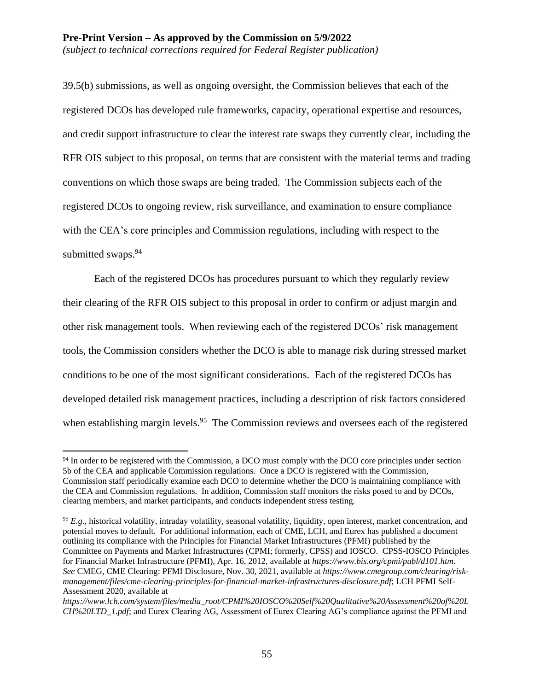39.5(b) submissions, as well as ongoing oversight, the Commission believes that each of the registered DCOs has developed rule frameworks, capacity, operational expertise and resources, and credit support infrastructure to clear the interest rate swaps they currently clear, including the RFR OIS subject to this proposal, on terms that are consistent with the material terms and trading conventions on which those swaps are being traded. The Commission subjects each of the registered DCOs to ongoing review, risk surveillance, and examination to ensure compliance with the CEA's core principles and Commission regulations, including with respect to the submitted swaps.<sup>94</sup>

Each of the registered DCOs has procedures pursuant to which they regularly review their clearing of the RFR OIS subject to this proposal in order to confirm or adjust margin and other risk management tools. When reviewing each of the registered DCOs' risk management tools, the Commission considers whether the DCO is able to manage risk during stressed market conditions to be one of the most significant considerations. Each of the registered DCOs has developed detailed risk management practices, including a description of risk factors considered when establishing margin levels.<sup>95</sup> The Commission reviews and oversees each of the registered

<sup>&</sup>lt;sup>94</sup> In order to be registered with the Commission, a DCO must comply with the DCO core principles under section 5b of the CEA and applicable Commission regulations. Once a DCO is registered with the Commission, Commission staff periodically examine each DCO to determine whether the DCO is maintaining compliance with the CEA and Commission regulations. In addition, Commission staff monitors the risks posed to and by DCOs, clearing members, and market participants, and conducts independent stress testing.

<sup>&</sup>lt;sup>95</sup> E.g., historical volatility, intraday volatility, seasonal volatility, liquidity, open interest, market concentration, and potential moves to default. For additional information, each of CME, LCH, and Eurex has published a document outlining its compliance with the Principles for Financial Market Infrastructures (PFMI) published by the Committee on Payments and Market Infrastructures (CPMI; formerly, CPSS) and IOSCO. CPSS-IOSCO Principles for Financial Market Infrastructure (PFMI), Apr. 16, 2012, available at *https://www.bis.org/cpmi/publ/d101.htm*. *See* CMEG, CME Clearing: PFMI Disclosure, Nov. 30, 2021, available at *https://www.cmegroup.com/clearing/riskmanagement/files/cme-clearing-principles-for-financial-market-infrastructures-disclosure.pdf*; LCH PFMI Self-Assessment 2020, available at

*https://www.lch.com/system/files/media\_root/CPMI%20IOSCO%20Self%20Qualitative%20Assessment%20of%20L CH%20LTD\_1.pdf*; and Eurex Clearing AG, Assessment of Eurex Clearing AG's compliance against the PFMI and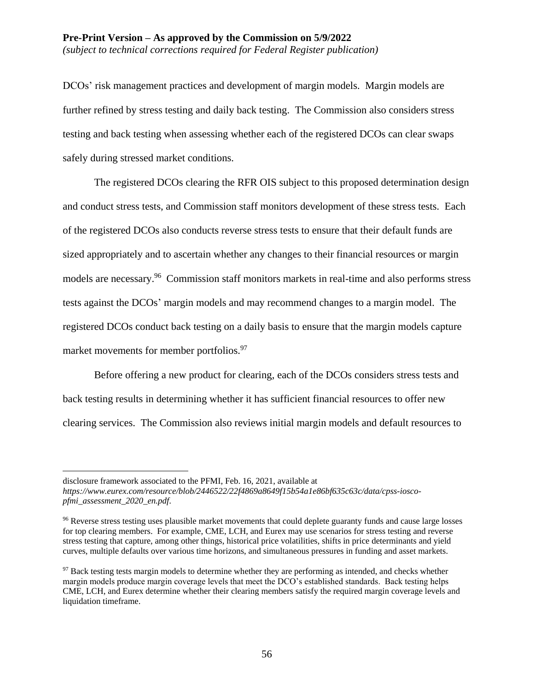#### **Pre-Print Version – As approved by the Commission on 5/9/2022** *(subject to technical corrections required for Federal Register publication)*

DCOs' risk management practices and development of margin models. Margin models are further refined by stress testing and daily back testing. The Commission also considers stress testing and back testing when assessing whether each of the registered DCOs can clear swaps safely during stressed market conditions.

The registered DCOs clearing the RFR OIS subject to this proposed determination design and conduct stress tests, and Commission staff monitors development of these stress tests. Each of the registered DCOs also conducts reverse stress tests to ensure that their default funds are sized appropriately and to ascertain whether any changes to their financial resources or margin models are necessary.<sup>96</sup> Commission staff monitors markets in real-time and also performs stress tests against the DCOs' margin models and may recommend changes to a margin model. The registered DCOs conduct back testing on a daily basis to ensure that the margin models capture market movements for member portfolios.<sup>97</sup>

Before offering a new product for clearing, each of the DCOs considers stress tests and back testing results in determining whether it has sufficient financial resources to offer new clearing services. The Commission also reviews initial margin models and default resources to

disclosure framework associated to the PFMI, Feb. 16, 2021, available at

*https://www.eurex.com/resource/blob/2446522/22f4869a8649f15b54a1e86bf635c63c/data/cpss-ioscopfmi\_assessment\_2020\_en.pdf*.

<sup>&</sup>lt;sup>96</sup> Reverse stress testing uses plausible market movements that could deplete guaranty funds and cause large losses for top clearing members. For example, CME, LCH, and Eurex may use scenarios for stress testing and reverse stress testing that capture, among other things, historical price volatilities, shifts in price determinants and yield curves, multiple defaults over various time horizons, and simultaneous pressures in funding and asset markets.

<sup>&</sup>lt;sup>97</sup> Back testing tests margin models to determine whether they are performing as intended, and checks whether margin models produce margin coverage levels that meet the DCO's established standards. Back testing helps CME, LCH, and Eurex determine whether their clearing members satisfy the required margin coverage levels and liquidation timeframe.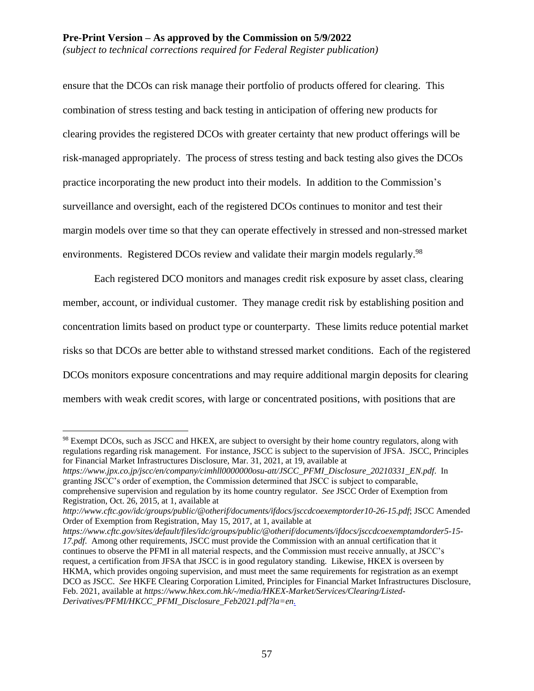ensure that the DCOs can risk manage their portfolio of products offered for clearing. This combination of stress testing and back testing in anticipation of offering new products for clearing provides the registered DCOs with greater certainty that new product offerings will be risk-managed appropriately. The process of stress testing and back testing also gives the DCOs practice incorporating the new product into their models. In addition to the Commission's surveillance and oversight, each of the registered DCOs continues to monitor and test their margin models over time so that they can operate effectively in stressed and non-stressed market environments. Registered DCOs review and validate their margin models regularly.<sup>98</sup>

Each registered DCO monitors and manages credit risk exposure by asset class, clearing member, account, or individual customer. They manage credit risk by establishing position and concentration limits based on product type or counterparty. These limits reduce potential market risks so that DCOs are better able to withstand stressed market conditions. Each of the registered DCOs monitors exposure concentrations and may require additional margin deposits for clearing members with weak credit scores, with large or concentrated positions, with positions that are

*https://www.jpx.co.jp/jscc/en/company/cimhll0000000osu-att/JSCC\_PFMI\_Disclosure\_20210331\_EN.pdf*. In granting JSCC's order of exemption, the Commission determined that JSCC is subject to comparable, comprehensive supervision and regulation by its home country regulator. *See* JSCC Order of Exemption from Registration, Oct. 26, 2015, at 1, available at

<sup>&</sup>lt;sup>98</sup> Exempt DCOs, such as JSCC and HKEX, are subject to oversight by their home country regulators, along with regulations regarding risk management. For instance, JSCC is subject to the supervision of JFSA. JSCC, Principles for Financial Market Infrastructures Disclosure, Mar. 31, 2021, at 19, available at

*http://www.cftc.gov/idc/groups/public/@otherif/documents/ifdocs/jsccdcoexemptorder10-26-15.pdf*; JSCC Amended Order of Exemption from Registration, May 15, 2017, at 1, available at

*https://www.cftc.gov/sites/default/files/idc/groups/public/@otherif/documents/ifdocs/jsccdcoexemptamdorder5-15- 17.pdf*. Among other requirements, JSCC must provide the Commission with an annual certification that it continues to observe the PFMI in all material respects, and the Commission must receive annually, at JSCC's request, a certification from JFSA that JSCC is in good regulatory standing. Likewise, HKEX is overseen by HKMA, which provides ongoing supervision, and must meet the same requirements for registration as an exempt DCO as JSCC. *See* HKFE Clearing Corporation Limited, Principles for Financial Market Infrastructures Disclosure, Feb. 2021, available at *https://www.hkex.com.hk/-/media/HKEX-Market/Services/Clearing/Listed-Derivatives/PFMI/HKCC\_PFMI\_Disclosure\_Feb2021.pdf?la=en.*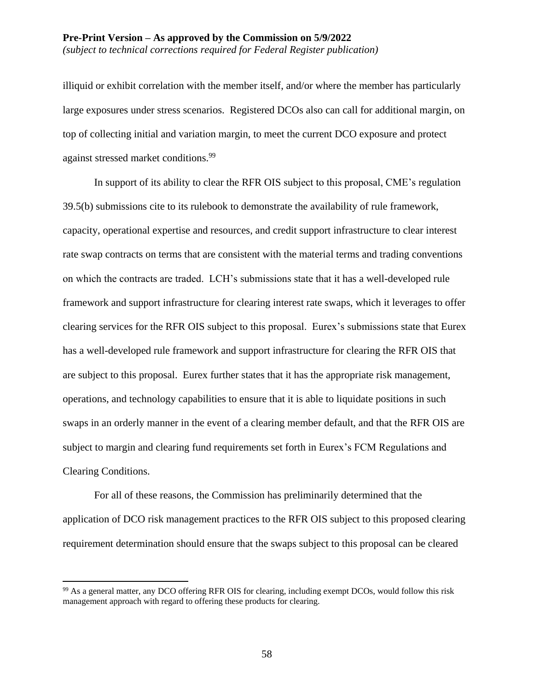illiquid or exhibit correlation with the member itself, and/or where the member has particularly large exposures under stress scenarios. Registered DCOs also can call for additional margin, on top of collecting initial and variation margin, to meet the current DCO exposure and protect against stressed market conditions.<sup>99</sup>

In support of its ability to clear the RFR OIS subject to this proposal, CME's regulation 39.5(b) submissions cite to its rulebook to demonstrate the availability of rule framework, capacity, operational expertise and resources, and credit support infrastructure to clear interest rate swap contracts on terms that are consistent with the material terms and trading conventions on which the contracts are traded. LCH's submissions state that it has a well-developed rule framework and support infrastructure for clearing interest rate swaps, which it leverages to offer clearing services for the RFR OIS subject to this proposal. Eurex's submissions state that Eurex has a well-developed rule framework and support infrastructure for clearing the RFR OIS that are subject to this proposal. Eurex further states that it has the appropriate risk management, operations, and technology capabilities to ensure that it is able to liquidate positions in such swaps in an orderly manner in the event of a clearing member default, and that the RFR OIS are subject to margin and clearing fund requirements set forth in Eurex's FCM Regulations and Clearing Conditions.

For all of these reasons, the Commission has preliminarily determined that the application of DCO risk management practices to the RFR OIS subject to this proposed clearing requirement determination should ensure that the swaps subject to this proposal can be cleared

<sup>99</sup> As a general matter, any DCO offering RFR OIS for clearing, including exempt DCOs, would follow this risk management approach with regard to offering these products for clearing.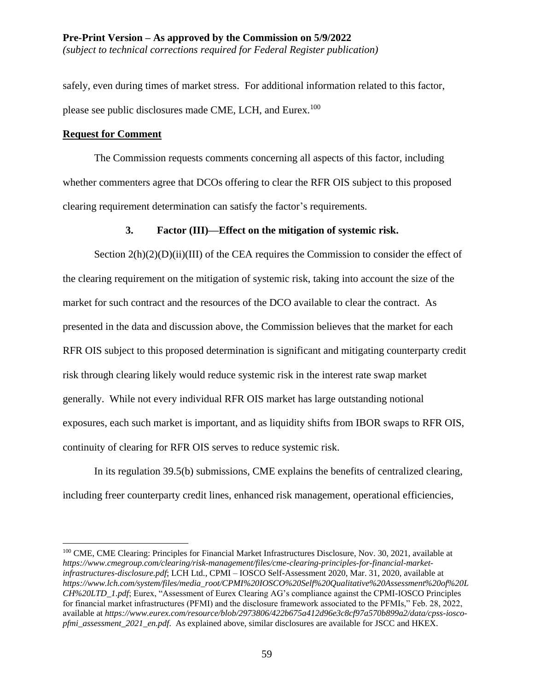safely, even during times of market stress. For additional information related to this factor, please see public disclosures made CME, LCH, and Eurex.<sup>100</sup>

## **Request for Comment**

 $\overline{a}$ 

The Commission requests comments concerning all aspects of this factor, including whether commenters agree that DCOs offering to clear the RFR OIS subject to this proposed clearing requirement determination can satisfy the factor's requirements.

# **3. Factor (III)—Effect on the mitigation of systemic risk.**

Section 2(h)(2)(D)(ii)(III) of the CEA requires the Commission to consider the effect of the clearing requirement on the mitigation of systemic risk, taking into account the size of the market for such contract and the resources of the DCO available to clear the contract. As presented in the data and discussion above, the Commission believes that the market for each RFR OIS subject to this proposed determination is significant and mitigating counterparty credit risk through clearing likely would reduce systemic risk in the interest rate swap market generally. While not every individual RFR OIS market has large outstanding notional exposures, each such market is important, and as liquidity shifts from IBOR swaps to RFR OIS, continuity of clearing for RFR OIS serves to reduce systemic risk.

In its regulation 39.5(b) submissions, CME explains the benefits of centralized clearing, including freer counterparty credit lines, enhanced risk management, operational efficiencies,

<sup>&</sup>lt;sup>100</sup> CME, CME Clearing: Principles for Financial Market Infrastructures Disclosure, Nov. 30, 2021, available at *https://www.cmegroup.com/clearing/risk-management/files/cme-clearing-principles-for-financial-marketinfrastructures-disclosure.pdf*; LCH Ltd., CPMI – IOSCO Self-Assessment 2020, Mar. 31, 2020, available at *https://www.lch.com/system/files/media\_root/CPMI%20IOSCO%20Self%20Qualitative%20Assessment%20of%20L CH%20LTD\_1.pdf*; Eurex, "Assessment of Eurex Clearing AG's compliance against the CPMI-IOSCO Principles for financial market infrastructures (PFMI) and the disclosure framework associated to the PFMIs," Feb. 28, 2022, available at *https://www.eurex.com/resource/blob/2973806/422b675a412d96e3c8cf97a570b899a2/data/cpss-ioscopfmi\_assessment\_2021\_en.pdf*. As explained above, similar disclosures are available for JSCC and HKEX.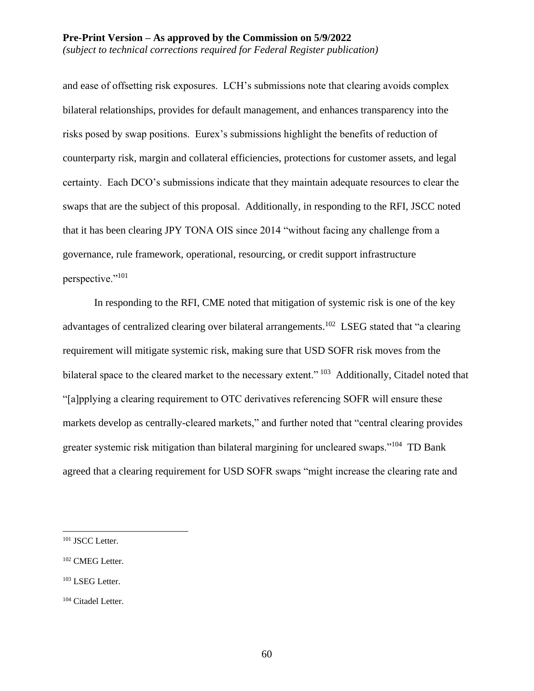and ease of offsetting risk exposures. LCH's submissions note that clearing avoids complex bilateral relationships, provides for default management, and enhances transparency into the risks posed by swap positions. Eurex's submissions highlight the benefits of reduction of counterparty risk, margin and collateral efficiencies, protections for customer assets, and legal certainty. Each DCO's submissions indicate that they maintain adequate resources to clear the swaps that are the subject of this proposal. Additionally, in responding to the RFI, JSCC noted that it has been clearing JPY TONA OIS since 2014 "without facing any challenge from a governance, rule framework, operational, resourcing, or credit support infrastructure perspective."<sup>101</sup>

In responding to the RFI, CME noted that mitigation of systemic risk is one of the key advantages of centralized clearing over bilateral arrangements.<sup>102</sup> LSEG stated that "a clearing requirement will mitigate systemic risk, making sure that USD SOFR risk moves from the bilateral space to the cleared market to the necessary extent." <sup>103</sup> Additionally, Citadel noted that "[a]pplying a clearing requirement to OTC derivatives referencing SOFR will ensure these markets develop as centrally-cleared markets," and further noted that "central clearing provides greater systemic risk mitigation than bilateral margining for uncleared swaps."<sup>104</sup> TD Bank agreed that a clearing requirement for USD SOFR swaps "might increase the clearing rate and

<sup>&</sup>lt;sup>101</sup> JSCC Letter.

<sup>102</sup> CMEG Letter.

<sup>&</sup>lt;sup>103</sup> LSEG Letter.

<sup>104</sup> Citadel Letter.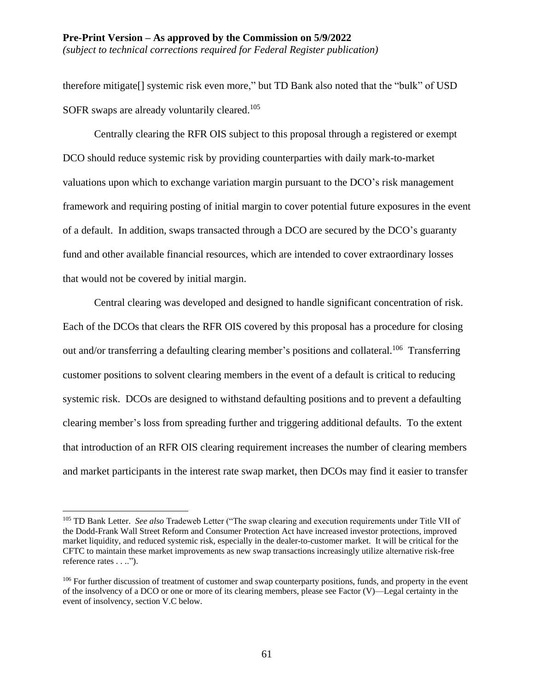*(subject to technical corrections required for Federal Register publication)*

therefore mitigate[] systemic risk even more," but TD Bank also noted that the "bulk" of USD SOFR swaps are already voluntarily cleared.<sup>105</sup>

Centrally clearing the RFR OIS subject to this proposal through a registered or exempt DCO should reduce systemic risk by providing counterparties with daily mark-to-market valuations upon which to exchange variation margin pursuant to the DCO's risk management framework and requiring posting of initial margin to cover potential future exposures in the event of a default. In addition, swaps transacted through a DCO are secured by the DCO's guaranty fund and other available financial resources, which are intended to cover extraordinary losses that would not be covered by initial margin.

Central clearing was developed and designed to handle significant concentration of risk. Each of the DCOs that clears the RFR OIS covered by this proposal has a procedure for closing out and/or transferring a defaulting clearing member's positions and collateral.<sup>106</sup> Transferring customer positions to solvent clearing members in the event of a default is critical to reducing systemic risk. DCOs are designed to withstand defaulting positions and to prevent a defaulting clearing member's loss from spreading further and triggering additional defaults. To the extent that introduction of an RFR OIS clearing requirement increases the number of clearing members and market participants in the interest rate swap market, then DCOs may find it easier to transfer

<sup>105</sup> TD Bank Letter. *See also* Tradeweb Letter ("The swap clearing and execution requirements under Title VII of the Dodd-Frank Wall Street Reform and Consumer Protection Act have increased investor protections, improved market liquidity, and reduced systemic risk, especially in the dealer-to-customer market. It will be critical for the CFTC to maintain these market improvements as new swap transactions increasingly utilize alternative risk-free reference rates . . ..").

<sup>&</sup>lt;sup>106</sup> For further discussion of treatment of customer and swap counterparty positions, funds, and property in the event of the insolvency of a DCO or one or more of its clearing members, please see Factor (V)—Legal certainty in the event of insolvency, section V.C below.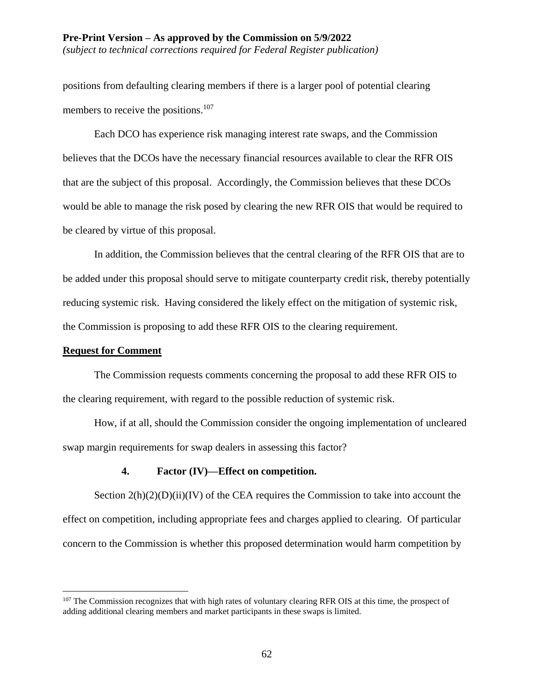*(subject to technical corrections required for Federal Register publication)*

positions from defaulting clearing members if there is a larger pool of potential clearing members to receive the positions.<sup>107</sup>

Each DCO has experience risk managing interest rate swaps, and the Commission believes that the DCOs have the necessary financial resources available to clear the RFR OIS that are the subject of this proposal. Accordingly, the Commission believes that these DCOs would be able to manage the risk posed by clearing the new RFR OIS that would be required to be cleared by virtue of this proposal.

In addition, the Commission believes that the central clearing of the RFR OIS that are to be added under this proposal should serve to mitigate counterparty credit risk, thereby potentially reducing systemic risk. Having considered the likely effect on the mitigation of systemic risk, the Commission is proposing to add these RFR OIS to the clearing requirement.

#### **Request for Comment**

 $\overline{a}$ 

The Commission requests comments concerning the proposal to add these RFR OIS to the clearing requirement, with regard to the possible reduction of systemic risk.

How, if at all, should the Commission consider the ongoing implementation of uncleared swap margin requirements for swap dealers in assessing this factor?

## **4. Factor (IV)—Effect on competition.**

Section  $2(h)(2)(D)(ii)(IV)$  of the CEA requires the Commission to take into account the effect on competition, including appropriate fees and charges applied to clearing. Of particular concern to the Commission is whether this proposed determination would harm competition by

<sup>&</sup>lt;sup>107</sup> The Commission recognizes that with high rates of voluntary clearing RFR OIS at this time, the prospect of adding additional clearing members and market participants in these swaps is limited.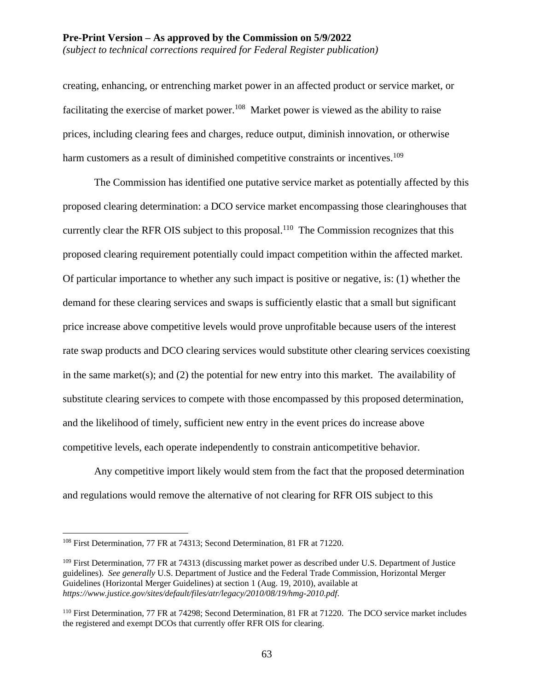#### **Pre-Print Version – As approved by the Commission on 5/9/2022** *(subject to technical corrections required for Federal Register publication)*

creating, enhancing, or entrenching market power in an affected product or service market, or facilitating the exercise of market power.<sup>108</sup> Market power is viewed as the ability to raise prices, including clearing fees and charges, reduce output, diminish innovation, or otherwise harm customers as a result of diminished competitive constraints or incentives.<sup>109</sup>

The Commission has identified one putative service market as potentially affected by this proposed clearing determination: a DCO service market encompassing those clearinghouses that currently clear the RFR OIS subject to this proposal.<sup>110</sup> The Commission recognizes that this proposed clearing requirement potentially could impact competition within the affected market. Of particular importance to whether any such impact is positive or negative, is: (1) whether the demand for these clearing services and swaps is sufficiently elastic that a small but significant price increase above competitive levels would prove unprofitable because users of the interest rate swap products and DCO clearing services would substitute other clearing services coexisting in the same market(s); and  $(2)$  the potential for new entry into this market. The availability of substitute clearing services to compete with those encompassed by this proposed determination, and the likelihood of timely, sufficient new entry in the event prices do increase above competitive levels, each operate independently to constrain anticompetitive behavior.

Any competitive import likely would stem from the fact that the proposed determination and regulations would remove the alternative of not clearing for RFR OIS subject to this

<sup>108</sup> First Determination, 77 FR at 74313; Second Determination, 81 FR at 71220.

<sup>&</sup>lt;sup>109</sup> First Determination, 77 FR at 74313 (discussing market power as described under U.S. Department of Justice guidelines). *See generally* U.S. Department of Justice and the Federal Trade Commission, Horizontal Merger Guidelines (Horizontal Merger Guidelines) at section 1 (Aug. 19, 2010), available at *https://www.justice.gov/sites/default/files/atr/legacy/2010/08/19/hmg-2010.pdf*.

<sup>110</sup> First Determination, 77 FR at 74298; Second Determination, 81 FR at 71220. The DCO service market includes the registered and exempt DCOs that currently offer RFR OIS for clearing.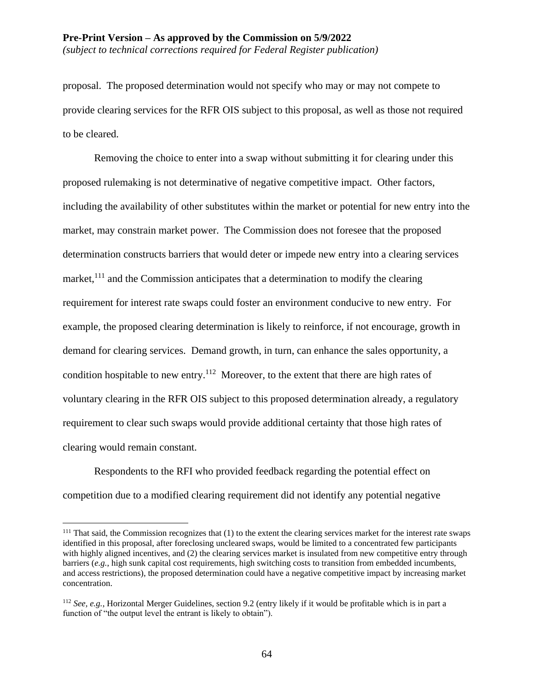*(subject to technical corrections required for Federal Register publication)*

proposal. The proposed determination would not specify who may or may not compete to provide clearing services for the RFR OIS subject to this proposal, as well as those not required to be cleared.

Removing the choice to enter into a swap without submitting it for clearing under this proposed rulemaking is not determinative of negative competitive impact. Other factors, including the availability of other substitutes within the market or potential for new entry into the market, may constrain market power. The Commission does not foresee that the proposed determination constructs barriers that would deter or impede new entry into a clearing services market,<sup>111</sup> and the Commission anticipates that a determination to modify the clearing requirement for interest rate swaps could foster an environment conducive to new entry. For example, the proposed clearing determination is likely to reinforce, if not encourage, growth in demand for clearing services. Demand growth, in turn, can enhance the sales opportunity, a condition hospitable to new entry.<sup>112</sup> Moreover, to the extent that there are high rates of voluntary clearing in the RFR OIS subject to this proposed determination already, a regulatory requirement to clear such swaps would provide additional certainty that those high rates of clearing would remain constant.

Respondents to the RFI who provided feedback regarding the potential effect on competition due to a modified clearing requirement did not identify any potential negative

 $111$  That said, the Commission recognizes that  $(1)$  to the extent the clearing services market for the interest rate swaps identified in this proposal, after foreclosing uncleared swaps, would be limited to a concentrated few participants with highly aligned incentives, and (2) the clearing services market is insulated from new competitive entry through barriers (*e.g.*, high sunk capital cost requirements, high switching costs to transition from embedded incumbents, and access restrictions), the proposed determination could have a negative competitive impact by increasing market concentration.

<sup>112</sup> *See, e.g.*, Horizontal Merger Guidelines, section 9.2 (entry likely if it would be profitable which is in part a function of "the output level the entrant is likely to obtain").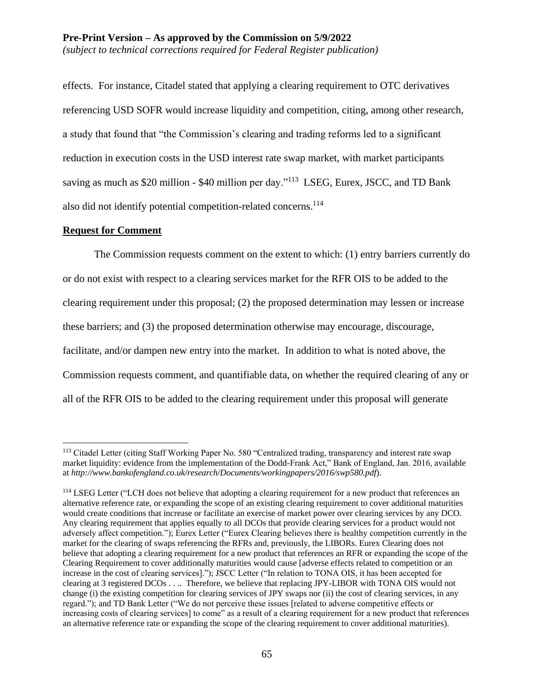effects. For instance, Citadel stated that applying a clearing requirement to OTC derivatives referencing USD SOFR would increase liquidity and competition, citing, among other research, a study that found that "the Commission's clearing and trading reforms led to a significant reduction in execution costs in the USD interest rate swap market, with market participants saving as much as \$20 million - \$40 million per day."<sup>113</sup> LSEG, Eurex, JSCC, and TD Bank also did not identify potential competition-related concerns. 114

#### **Request for Comment**

 $\overline{a}$ 

The Commission requests comment on the extent to which: (1) entry barriers currently do or do not exist with respect to a clearing services market for the RFR OIS to be added to the clearing requirement under this proposal; (2) the proposed determination may lessen or increase these barriers; and (3) the proposed determination otherwise may encourage, discourage, facilitate, and/or dampen new entry into the market. In addition to what is noted above, the Commission requests comment, and quantifiable data, on whether the required clearing of any or all of the RFR OIS to be added to the clearing requirement under this proposal will generate

<sup>&</sup>lt;sup>113</sup> Citadel Letter (citing Staff Working Paper No. 580 "Centralized trading, transparency and interest rate swap market liquidity: evidence from the implementation of the Dodd-Frank Act," Bank of England, Jan. 2016, available at *http://www.bankofengland.co.uk/research/Documents/workingpapers/2016/swp580.pdf*).

<sup>&</sup>lt;sup>114</sup> LSEG Letter ("LCH does not believe that adopting a clearing requirement for a new product that references an alternative reference rate, or expanding the scope of an existing clearing requirement to cover additional maturities would create conditions that increase or facilitate an exercise of market power over clearing services by any DCO. Any clearing requirement that applies equally to all DCOs that provide clearing services for a product would not adversely affect competition."); Eurex Letter ("Eurex Clearing believes there is healthy competition currently in the market for the clearing of swaps referencing the RFRs and, previously, the LIBORs. Eurex Clearing does not believe that adopting a clearing requirement for a new product that references an RFR or expanding the scope of the Clearing Requirement to cover additionally maturities would cause [adverse effects related to competition or an increase in the cost of clearing services]."); JSCC Letter ("In relation to TONA OIS, it has been accepted for clearing at 3 registered DCOs . . .. Therefore, we believe that replacing JPY-LIBOR with TONA OIS would not change (i) the existing competition for clearing services of JPY swaps nor (ii) the cost of clearing services, in any regard."); and TD Bank Letter ("We do not perceive these issues [related to adverse competitive effects or increasing costs of clearing services] to come" as a result of a clearing requirement for a new product that references an alternative reference rate or expanding the scope of the clearing requirement to cover additional maturities).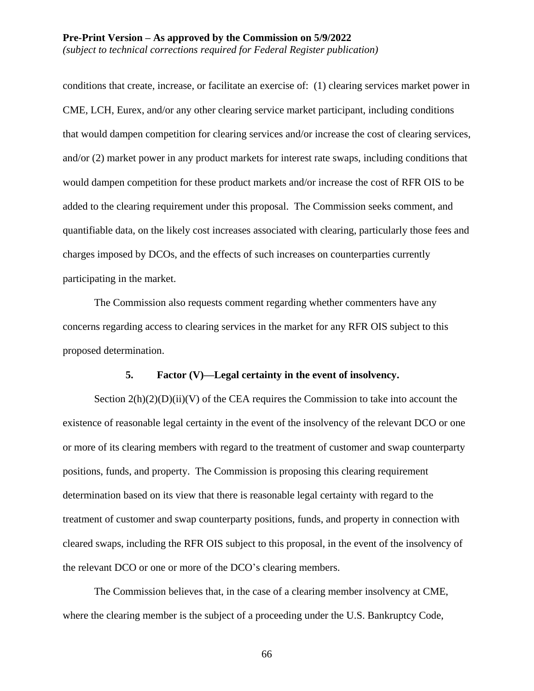conditions that create, increase, or facilitate an exercise of: (1) clearing services market power in CME, LCH, Eurex, and/or any other clearing service market participant, including conditions that would dampen competition for clearing services and/or increase the cost of clearing services, and/or (2) market power in any product markets for interest rate swaps, including conditions that would dampen competition for these product markets and/or increase the cost of RFR OIS to be added to the clearing requirement under this proposal. The Commission seeks comment, and quantifiable data, on the likely cost increases associated with clearing, particularly those fees and charges imposed by DCOs, and the effects of such increases on counterparties currently participating in the market.

The Commission also requests comment regarding whether commenters have any concerns regarding access to clearing services in the market for any RFR OIS subject to this proposed determination.

#### **5. Factor (V)—Legal certainty in the event of insolvency.**

Section  $2(h)(2)(D)(ii)(V)$  of the CEA requires the Commission to take into account the existence of reasonable legal certainty in the event of the insolvency of the relevant DCO or one or more of its clearing members with regard to the treatment of customer and swap counterparty positions, funds, and property. The Commission is proposing this clearing requirement determination based on its view that there is reasonable legal certainty with regard to the treatment of customer and swap counterparty positions, funds, and property in connection with cleared swaps, including the RFR OIS subject to this proposal, in the event of the insolvency of the relevant DCO or one or more of the DCO's clearing members.

The Commission believes that, in the case of a clearing member insolvency at CME, where the clearing member is the subject of a proceeding under the U.S. Bankruptcy Code,

66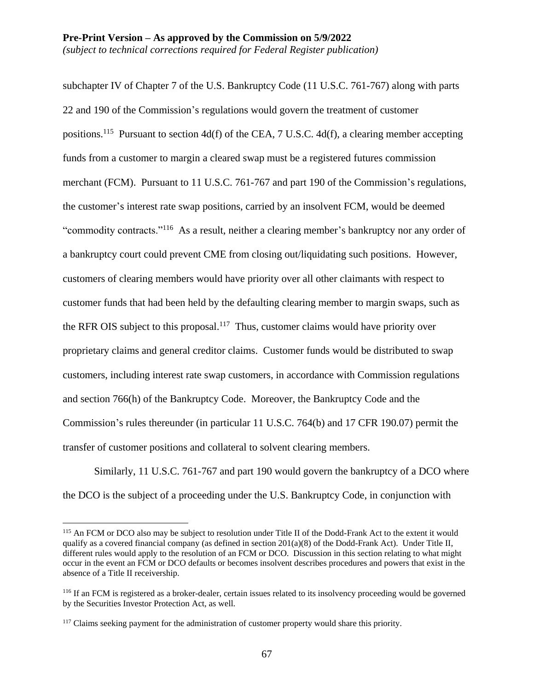subchapter IV of Chapter 7 of the U.S. Bankruptcy Code (11 U.S.C. 761-767) along with parts 22 and 190 of the Commission's regulations would govern the treatment of customer positions.<sup>115</sup> Pursuant to section 4d(f) of the CEA, 7 U.S.C. 4d(f), a clearing member accepting funds from a customer to margin a cleared swap must be a registered futures commission merchant (FCM). Pursuant to 11 U.S.C. 761-767 and part 190 of the Commission's regulations, the customer's interest rate swap positions, carried by an insolvent FCM, would be deemed "commodity contracts."<sup>116</sup> As a result, neither a clearing member's bankruptcy nor any order of a bankruptcy court could prevent CME from closing out/liquidating such positions. However, customers of clearing members would have priority over all other claimants with respect to customer funds that had been held by the defaulting clearing member to margin swaps, such as the RFR OIS subject to this proposal.<sup>117</sup> Thus, customer claims would have priority over proprietary claims and general creditor claims. Customer funds would be distributed to swap customers, including interest rate swap customers, in accordance with Commission regulations and section 766(h) of the Bankruptcy Code. Moreover, the Bankruptcy Code and the Commission's rules thereunder (in particular 11 U.S.C. 764(b) and 17 CFR 190.07) permit the transfer of customer positions and collateral to solvent clearing members.

Similarly, 11 U.S.C. 761-767 and part 190 would govern the bankruptcy of a DCO where the DCO is the subject of a proceeding under the U.S. Bankruptcy Code, in conjunction with

<sup>115</sup> An FCM or DCO also may be subject to resolution under Title II of the Dodd-Frank Act to the extent it would qualify as a covered financial company (as defined in section 201(a)(8) of the Dodd-Frank Act). Under Title II, different rules would apply to the resolution of an FCM or DCO. Discussion in this section relating to what might occur in the event an FCM or DCO defaults or becomes insolvent describes procedures and powers that exist in the absence of a Title II receivership.

<sup>116</sup> If an FCM is registered as a broker-dealer, certain issues related to its insolvency proceeding would be governed by the Securities Investor Protection Act, as well.

<sup>&</sup>lt;sup>117</sup> Claims seeking payment for the administration of customer property would share this priority.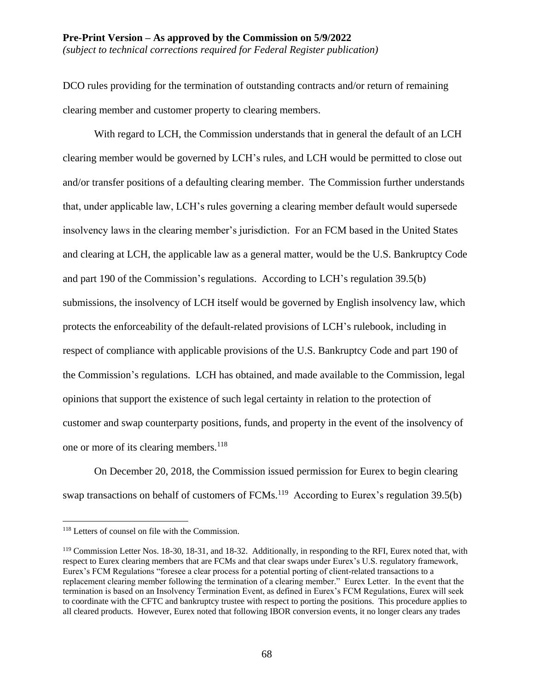*(subject to technical corrections required for Federal Register publication)*

DCO rules providing for the termination of outstanding contracts and/or return of remaining clearing member and customer property to clearing members.

With regard to LCH, the Commission understands that in general the default of an LCH clearing member would be governed by LCH's rules, and LCH would be permitted to close out and/or transfer positions of a defaulting clearing member. The Commission further understands that, under applicable law, LCH's rules governing a clearing member default would supersede insolvency laws in the clearing member's jurisdiction. For an FCM based in the United States and clearing at LCH, the applicable law as a general matter, would be the U.S. Bankruptcy Code and part 190 of the Commission's regulations. According to LCH's regulation 39.5(b) submissions, the insolvency of LCH itself would be governed by English insolvency law, which protects the enforceability of the default-related provisions of LCH's rulebook, including in respect of compliance with applicable provisions of the U.S. Bankruptcy Code and part 190 of the Commission's regulations. LCH has obtained, and made available to the Commission, legal opinions that support the existence of such legal certainty in relation to the protection of customer and swap counterparty positions, funds, and property in the event of the insolvency of one or more of its clearing members.<sup>118</sup>

On December 20, 2018, the Commission issued permission for Eurex to begin clearing swap transactions on behalf of customers of  $FCMs$ <sup>119</sup> According to Eurex's regulation 39.5(b)

<sup>118</sup> Letters of counsel on file with the Commission.

<sup>&</sup>lt;sup>119</sup> Commission Letter Nos. 18-30, 18-31, and 18-32. Additionally, in responding to the RFI, Eurex noted that, with respect to Eurex clearing members that are FCMs and that clear swaps under Eurex's U.S. regulatory framework, Eurex's FCM Regulations "foresee a clear process for a potential porting of client-related transactions to a replacement clearing member following the termination of a clearing member." Eurex Letter. In the event that the termination is based on an Insolvency Termination Event, as defined in Eurex's FCM Regulations, Eurex will seek to coordinate with the CFTC and bankruptcy trustee with respect to porting the positions. This procedure applies to all cleared products. However, Eurex noted that following IBOR conversion events, it no longer clears any trades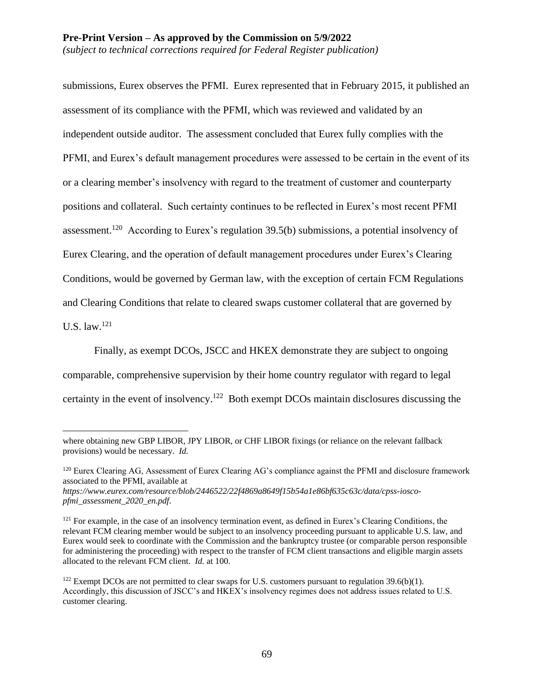*(subject to technical corrections required for Federal Register publication)*

submissions, Eurex observes the PFMI. Eurex represented that in February 2015, it published an assessment of its compliance with the PFMI, which was reviewed and validated by an independent outside auditor. The assessment concluded that Eurex fully complies with the PFMI, and Eurex's default management procedures were assessed to be certain in the event of its or a clearing member's insolvency with regard to the treatment of customer and counterparty positions and collateral. Such certainty continues to be reflected in Eurex's most recent PFMI assessment.<sup>120</sup> According to Eurex's regulation  $39.5(b)$  submissions, a potential insolvency of Eurex Clearing, and the operation of default management procedures under Eurex's Clearing Conditions, would be governed by German law, with the exception of certain FCM Regulations and Clearing Conditions that relate to cleared swaps customer collateral that are governed by U.S. law. $^{121}$ 

Finally, as exempt DCOs, JSCC and HKEX demonstrate they are subject to ongoing comparable, comprehensive supervision by their home country regulator with regard to legal certainty in the event of insolvency.<sup>122</sup> Both exempt DCOs maintain disclosures discussing the

where obtaining new GBP LIBOR, JPY LIBOR, or CHF LIBOR fixings (or reliance on the relevant fallback provisions) would be necessary. *Id.*

<sup>&</sup>lt;sup>120</sup> Eurex Clearing AG, Assessment of Eurex Clearing AG's compliance against the PFMI and disclosure framework associated to the PFMI, available at

*https://www.eurex.com/resource/blob/2446522/22f4869a8649f15b54a1e86bf635c63c/data/cpss-ioscopfmi\_assessment\_2020\_en.pdf*.

<sup>&</sup>lt;sup>121</sup> For example, in the case of an insolvency termination event, as defined in Eurex's Clearing Conditions, the relevant FCM clearing member would be subject to an insolvency proceeding pursuant to applicable U.S. law, and Eurex would seek to coordinate with the Commission and the bankruptcy trustee (or comparable person responsible for administering the proceeding) with respect to the transfer of FCM client transactions and eligible margin assets allocated to the relevant FCM client. *Id.* at 100.

 $122$  Exempt DCOs are not permitted to clear swaps for U.S. customers pursuant to regulation 39.6(b)(1). Accordingly, this discussion of JSCC's and HKEX's insolvency regimes does not address issues related to U.S. customer clearing.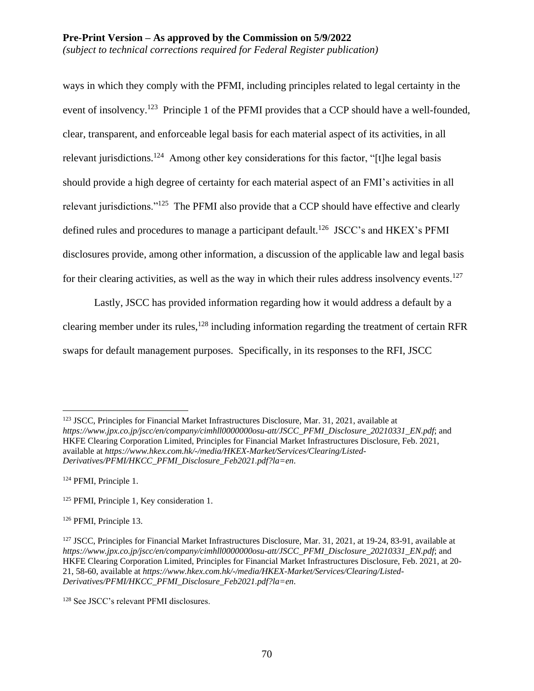ways in which they comply with the PFMI, including principles related to legal certainty in the event of insolvency.<sup>123</sup> Principle 1 of the PFMI provides that a CCP should have a well-founded, clear, transparent, and enforceable legal basis for each material aspect of its activities, in all relevant jurisdictions.<sup>124</sup> Among other key considerations for this factor, "[t]he legal basis should provide a high degree of certainty for each material aspect of an FMI's activities in all relevant jurisdictions."<sup>125</sup> The PFMI also provide that a CCP should have effective and clearly defined rules and procedures to manage a participant default.<sup>126</sup> JSCC's and HKEX's PFMI disclosures provide, among other information, a discussion of the applicable law and legal basis for their clearing activities, as well as the way in which their rules address insolvency events.<sup>127</sup>

Lastly, JSCC has provided information regarding how it would address a default by a clearing member under its rules,<sup>128</sup> including information regarding the treatment of certain RFR swaps for default management purposes. Specifically, in its responses to the RFI, JSCC

 $\overline{a}$ <sup>123</sup> JSCC, Principles for Financial Market Infrastructures Disclosure, Mar. 31, 2021, available at *https://www.jpx.co.jp/jscc/en/company/cimhll0000000osu-att/JSCC\_PFMI\_Disclosure\_20210331\_EN.pdf*; and HKFE Clearing Corporation Limited, Principles for Financial Market Infrastructures Disclosure, Feb. 2021, available at *https://www.hkex.com.hk/-/media/HKEX-Market/Services/Clearing/Listed-Derivatives/PFMI/HKCC\_PFMI\_Disclosure\_Feb2021.pdf?la=en*.

<sup>124</sup> PFMI, Principle 1.

<sup>125</sup> PFMI, Principle 1, Key consideration 1.

<sup>126</sup> PFMI, Principle 13.

<sup>&</sup>lt;sup>127</sup> JSCC, Principles for Financial Market Infrastructures Disclosure, Mar. 31, 2021, at 19-24, 83-91, available at *https://www.jpx.co.jp/jscc/en/company/cimhll0000000osu-att/JSCC\_PFMI\_Disclosure\_20210331\_EN.pdf*; and HKFE Clearing Corporation Limited, Principles for Financial Market Infrastructures Disclosure, Feb. 2021, at 20- 21, 58-60, available at *https://www.hkex.com.hk/-/media/HKEX-Market/Services/Clearing/Listed-Derivatives/PFMI/HKCC\_PFMI\_Disclosure\_Feb2021.pdf?la=en*.

<sup>128</sup> See JSCC's relevant PFMI disclosures.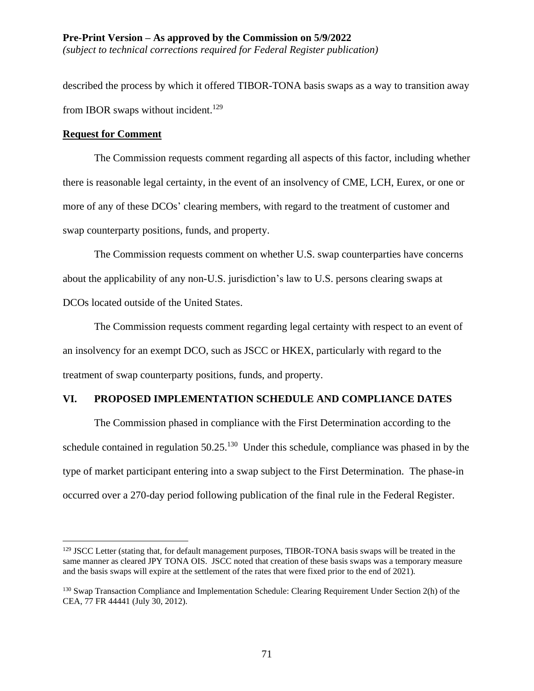described the process by which it offered TIBOR-TONA basis swaps as a way to transition away from IBOR swaps without incident.<sup>129</sup>

# **Request for Comment**

 $\overline{a}$ 

The Commission requests comment regarding all aspects of this factor, including whether there is reasonable legal certainty, in the event of an insolvency of CME, LCH, Eurex, or one or more of any of these DCOs' clearing members, with regard to the treatment of customer and swap counterparty positions, funds, and property.

The Commission requests comment on whether U.S. swap counterparties have concerns about the applicability of any non-U.S. jurisdiction's law to U.S. persons clearing swaps at DCOs located outside of the United States.

The Commission requests comment regarding legal certainty with respect to an event of an insolvency for an exempt DCO, such as JSCC or HKEX, particularly with regard to the treatment of swap counterparty positions, funds, and property.

# **VI. PROPOSED IMPLEMENTATION SCHEDULE AND COMPLIANCE DATES**

The Commission phased in compliance with the First Determination according to the schedule contained in regulation  $50.25$ .<sup>130</sup> Under this schedule, compliance was phased in by the type of market participant entering into a swap subject to the First Determination. The phase-in occurred over a 270-day period following publication of the final rule in the Federal Register.

<sup>&</sup>lt;sup>129</sup> JSCC Letter (stating that, for default management purposes, TIBOR-TONA basis swaps will be treated in the same manner as cleared JPY TONA OIS. JSCC noted that creation of these basis swaps was a temporary measure and the basis swaps will expire at the settlement of the rates that were fixed prior to the end of 2021)*.*

<sup>&</sup>lt;sup>130</sup> Swap Transaction Compliance and Implementation Schedule: Clearing Requirement Under Section 2(h) of the CEA, 77 FR 44441 (July 30, 2012).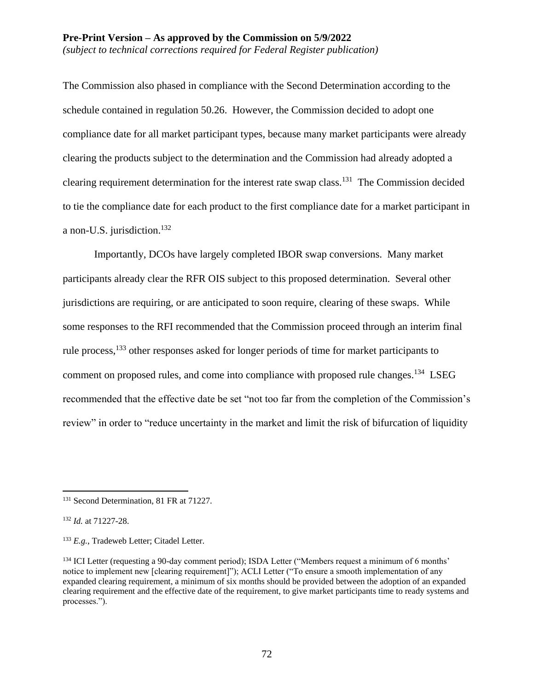The Commission also phased in compliance with the Second Determination according to the schedule contained in regulation 50.26. However, the Commission decided to adopt one compliance date for all market participant types, because many market participants were already clearing the products subject to the determination and the Commission had already adopted a clearing requirement determination for the interest rate swap class.<sup>131</sup> The Commission decided to tie the compliance date for each product to the first compliance date for a market participant in a non-U.S. jurisdiction.<sup>132</sup>

Importantly, DCOs have largely completed IBOR swap conversions. Many market participants already clear the RFR OIS subject to this proposed determination. Several other jurisdictions are requiring, or are anticipated to soon require, clearing of these swaps. While some responses to the RFI recommended that the Commission proceed through an interim final rule process,<sup>133</sup> other responses asked for longer periods of time for market participants to comment on proposed rules, and come into compliance with proposed rule changes.<sup>134</sup> LSEG recommended that the effective date be set "not too far from the completion of the Commission's review" in order to "reduce uncertainty in the market and limit the risk of bifurcation of liquidity

<sup>&</sup>lt;sup>131</sup> Second Determination, 81 FR at 71227.

<sup>132</sup> *Id.* at 71227-28.

<sup>133</sup> *E.g.*, Tradeweb Letter; Citadel Letter.

<sup>&</sup>lt;sup>134</sup> ICI Letter (requesting a 90-day comment period); ISDA Letter ("Members request a minimum of 6 months' notice to implement new [clearing requirement]"); ACLI Letter ("To ensure a smooth implementation of any expanded clearing requirement, a minimum of six months should be provided between the adoption of an expanded clearing requirement and the effective date of the requirement, to give market participants time to ready systems and processes.").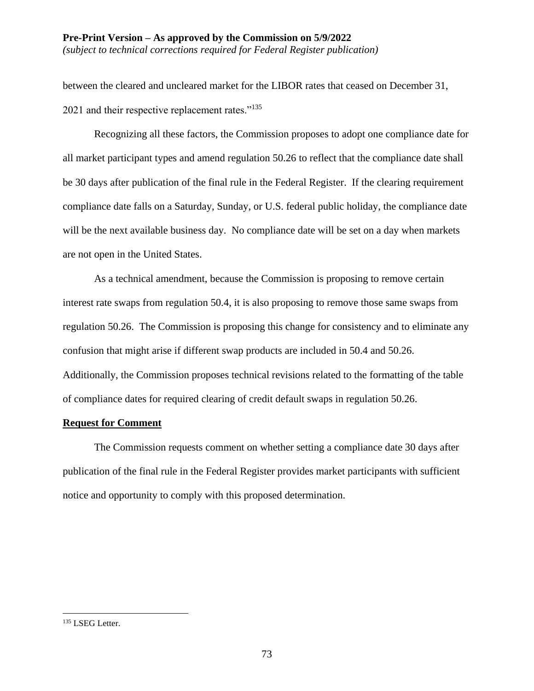*(subject to technical corrections required for Federal Register publication)*

between the cleared and uncleared market for the LIBOR rates that ceased on December 31, 2021 and their respective replacement rates."<sup>135</sup>

Recognizing all these factors, the Commission proposes to adopt one compliance date for all market participant types and amend regulation 50.26 to reflect that the compliance date shall be 30 days after publication of the final rule in the Federal Register. If the clearing requirement compliance date falls on a Saturday, Sunday, or U.S. federal public holiday, the compliance date will be the next available business day. No compliance date will be set on a day when markets are not open in the United States.

As a technical amendment, because the Commission is proposing to remove certain interest rate swaps from regulation 50.4, it is also proposing to remove those same swaps from regulation 50.26. The Commission is proposing this change for consistency and to eliminate any confusion that might arise if different swap products are included in 50.4 and 50.26. Additionally, the Commission proposes technical revisions related to the formatting of the table of compliance dates for required clearing of credit default swaps in regulation 50.26.

### **Request for Comment**

The Commission requests comment on whether setting a compliance date 30 days after publication of the final rule in the Federal Register provides market participants with sufficient notice and opportunity to comply with this proposed determination.

<sup>135</sup> LSEG Letter.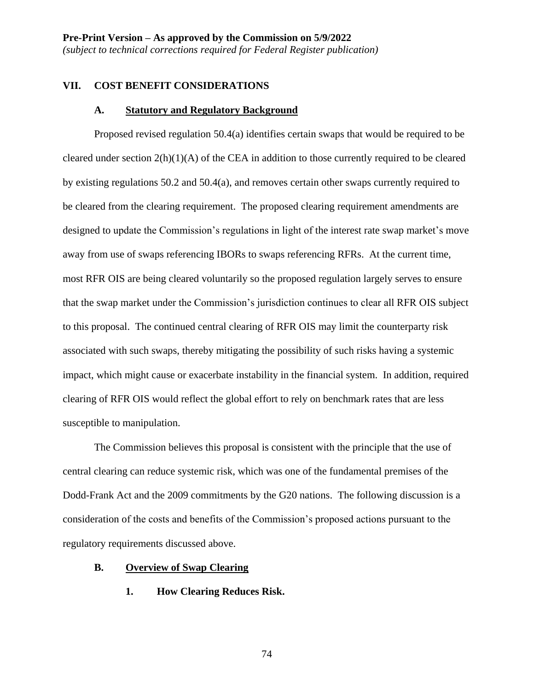#### **VII. COST BENEFIT CONSIDERATIONS**

#### **A. Statutory and Regulatory Background**

Proposed revised regulation 50.4(a) identifies certain swaps that would be required to be cleared under section 2(h)(1)(A) of the CEA in addition to those currently required to be cleared by existing regulations 50.2 and 50.4(a), and removes certain other swaps currently required to be cleared from the clearing requirement. The proposed clearing requirement amendments are designed to update the Commission's regulations in light of the interest rate swap market's move away from use of swaps referencing IBORs to swaps referencing RFRs. At the current time, most RFR OIS are being cleared voluntarily so the proposed regulation largely serves to ensure that the swap market under the Commission's jurisdiction continues to clear all RFR OIS subject to this proposal. The continued central clearing of RFR OIS may limit the counterparty risk associated with such swaps, thereby mitigating the possibility of such risks having a systemic impact, which might cause or exacerbate instability in the financial system. In addition, required clearing of RFR OIS would reflect the global effort to rely on benchmark rates that are less susceptible to manipulation.

The Commission believes this proposal is consistent with the principle that the use of central clearing can reduce systemic risk, which was one of the fundamental premises of the Dodd-Frank Act and the 2009 commitments by the G20 nations. The following discussion is a consideration of the costs and benefits of the Commission's proposed actions pursuant to the regulatory requirements discussed above.

#### **B. Overview of Swap Clearing**

**1. How Clearing Reduces Risk.**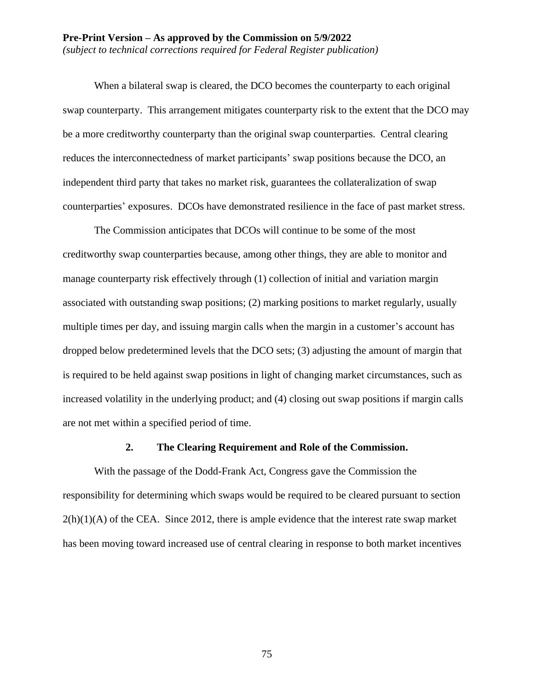#### **Pre-Print Version – As approved by the Commission on 5/9/2022** *(subject to technical corrections required for Federal Register publication)*

When a bilateral swap is cleared, the DCO becomes the counterparty to each original swap counterparty. This arrangement mitigates counterparty risk to the extent that the DCO may be a more creditworthy counterparty than the original swap counterparties. Central clearing reduces the interconnectedness of market participants' swap positions because the DCO, an independent third party that takes no market risk, guarantees the collateralization of swap counterparties' exposures. DCOs have demonstrated resilience in the face of past market stress.

The Commission anticipates that DCOs will continue to be some of the most creditworthy swap counterparties because, among other things, they are able to monitor and manage counterparty risk effectively through (1) collection of initial and variation margin associated with outstanding swap positions; (2) marking positions to market regularly, usually multiple times per day, and issuing margin calls when the margin in a customer's account has dropped below predetermined levels that the DCO sets; (3) adjusting the amount of margin that is required to be held against swap positions in light of changing market circumstances, such as increased volatility in the underlying product; and (4) closing out swap positions if margin calls are not met within a specified period of time.

#### **2. The Clearing Requirement and Role of the Commission.**

With the passage of the Dodd-Frank Act, Congress gave the Commission the responsibility for determining which swaps would be required to be cleared pursuant to section  $2(h)(1)(A)$  of the CEA. Since 2012, there is ample evidence that the interest rate swap market has been moving toward increased use of central clearing in response to both market incentives

75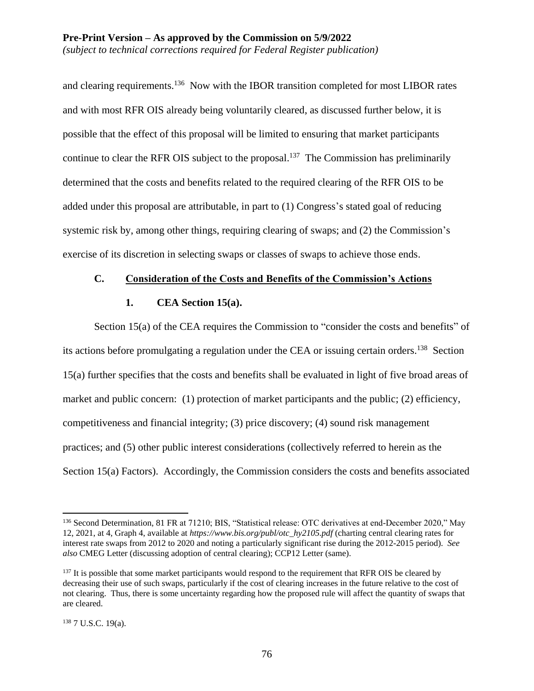and clearing requirements.<sup>136</sup> Now with the IBOR transition completed for most LIBOR rates and with most RFR OIS already being voluntarily cleared, as discussed further below, it is possible that the effect of this proposal will be limited to ensuring that market participants continue to clear the RFR OIS subject to the proposal.<sup>137</sup> The Commission has preliminarily determined that the costs and benefits related to the required clearing of the RFR OIS to be added under this proposal are attributable, in part to (1) Congress's stated goal of reducing systemic risk by, among other things, requiring clearing of swaps; and (2) the Commission's exercise of its discretion in selecting swaps or classes of swaps to achieve those ends.

### **C. Consideration of the Costs and Benefits of the Commission's Actions**

### **1. CEA Section 15(a).**

Section 15(a) of the CEA requires the Commission to "consider the costs and benefits" of its actions before promulgating a regulation under the CEA or issuing certain orders.<sup>138</sup> Section 15(a) further specifies that the costs and benefits shall be evaluated in light of five broad areas of market and public concern: (1) protection of market participants and the public; (2) efficiency, competitiveness and financial integrity; (3) price discovery; (4) sound risk management practices; and (5) other public interest considerations (collectively referred to herein as the Section 15(a) Factors). Accordingly, the Commission considers the costs and benefits associated

<sup>&</sup>lt;sup>136</sup> Second Determination, 81 FR at 71210; BIS, "Statistical release: OTC derivatives at end-December 2020," May 12, 2021, at 4, Graph 4, available at *https://www.bis.org/publ/otc\_hy2105.pdf* (charting central clearing rates for interest rate swaps from 2012 to 2020 and noting a particularly significant rise during the 2012-2015 period). *See also* CMEG Letter (discussing adoption of central clearing); CCP12 Letter (same).

<sup>&</sup>lt;sup>137</sup> It is possible that some market participants would respond to the requirement that RFR OIS be cleared by decreasing their use of such swaps, particularly if the cost of clearing increases in the future relative to the cost of not clearing. Thus, there is some uncertainty regarding how the proposed rule will affect the quantity of swaps that are cleared.

<sup>138</sup> 7 U.S.C. 19(a).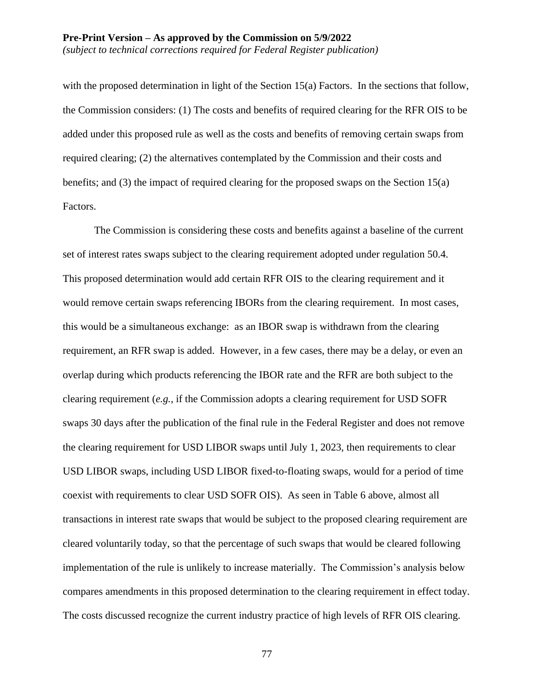with the proposed determination in light of the Section 15(a) Factors. In the sections that follow, the Commission considers: (1) The costs and benefits of required clearing for the RFR OIS to be added under this proposed rule as well as the costs and benefits of removing certain swaps from required clearing; (2) the alternatives contemplated by the Commission and their costs and benefits; and (3) the impact of required clearing for the proposed swaps on the Section 15(a) Factors.

The Commission is considering these costs and benefits against a baseline of the current set of interest rates swaps subject to the clearing requirement adopted under regulation 50.4. This proposed determination would add certain RFR OIS to the clearing requirement and it would remove certain swaps referencing IBORs from the clearing requirement. In most cases, this would be a simultaneous exchange: as an IBOR swap is withdrawn from the clearing requirement, an RFR swap is added. However, in a few cases, there may be a delay, or even an overlap during which products referencing the IBOR rate and the RFR are both subject to the clearing requirement (*e.g.*, if the Commission adopts a clearing requirement for USD SOFR swaps 30 days after the publication of the final rule in the Federal Register and does not remove the clearing requirement for USD LIBOR swaps until July 1, 2023, then requirements to clear USD LIBOR swaps, including USD LIBOR fixed-to-floating swaps, would for a period of time coexist with requirements to clear USD SOFR OIS). As seen in Table 6 above, almost all transactions in interest rate swaps that would be subject to the proposed clearing requirement are cleared voluntarily today, so that the percentage of such swaps that would be cleared following implementation of the rule is unlikely to increase materially. The Commission's analysis below compares amendments in this proposed determination to the clearing requirement in effect today. The costs discussed recognize the current industry practice of high levels of RFR OIS clearing.

77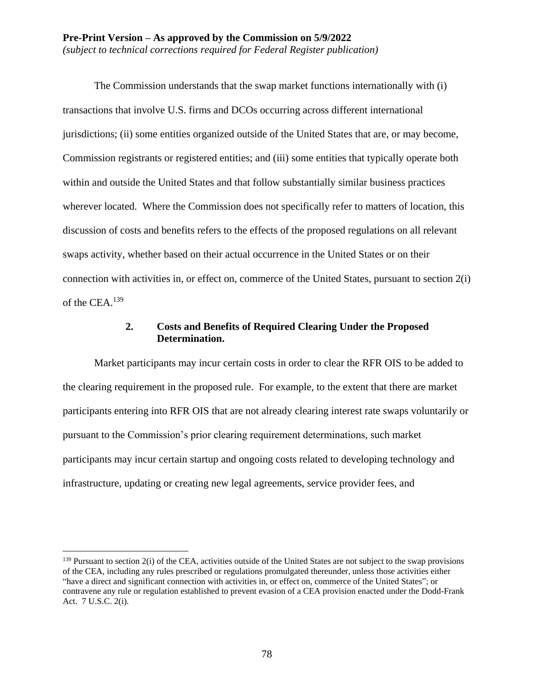The Commission understands that the swap market functions internationally with (i) transactions that involve U.S. firms and DCOs occurring across different international jurisdictions; (ii) some entities organized outside of the United States that are, or may become, Commission registrants or registered entities; and (iii) some entities that typically operate both within and outside the United States and that follow substantially similar business practices wherever located. Where the Commission does not specifically refer to matters of location, this discussion of costs and benefits refers to the effects of the proposed regulations on all relevant swaps activity, whether based on their actual occurrence in the United States or on their connection with activities in, or effect on, commerce of the United States, pursuant to section 2(i) of the CEA.<sup>139</sup>

## **2. Costs and Benefits of Required Clearing Under the Proposed Determination.**

Market participants may incur certain costs in order to clear the RFR OIS to be added to the clearing requirement in the proposed rule. For example, to the extent that there are market participants entering into RFR OIS that are not already clearing interest rate swaps voluntarily or pursuant to the Commission's prior clearing requirement determinations, such market participants may incur certain startup and ongoing costs related to developing technology and infrastructure, updating or creating new legal agreements, service provider fees, and

 $139$  Pursuant to section  $2(i)$  of the CEA, activities outside of the United States are not subject to the swap provisions of the CEA, including any rules prescribed or regulations promulgated thereunder, unless those activities either "have a direct and significant connection with activities in, or effect on, commerce of the United States"; or contravene any rule or regulation established to prevent evasion of a CEA provision enacted under the Dodd-Frank Act. 7 U.S.C. 2(i).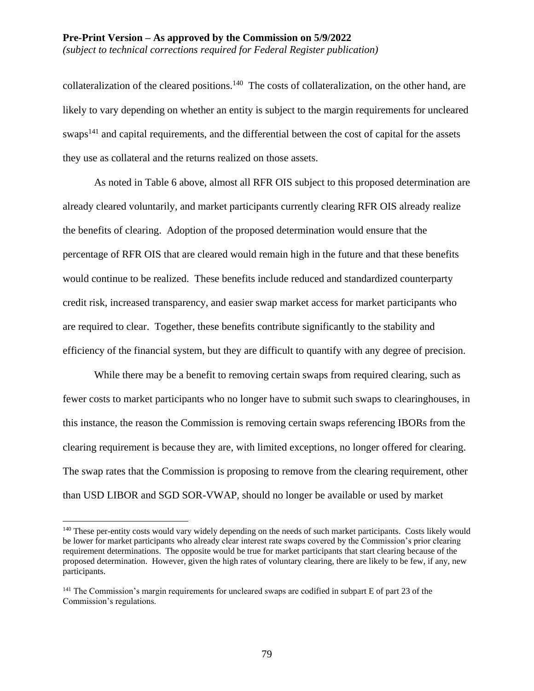#### **Pre-Print Version – As approved by the Commission on 5/9/2022** *(subject to technical corrections required for Federal Register publication)*

collateralization of the cleared positions.<sup>140</sup> The costs of collateralization, on the other hand, are likely to vary depending on whether an entity is subject to the margin requirements for uncleared swaps<sup>141</sup> and capital requirements, and the differential between the cost of capital for the assets they use as collateral and the returns realized on those assets.

As noted in Table 6 above, almost all RFR OIS subject to this proposed determination are already cleared voluntarily, and market participants currently clearing RFR OIS already realize the benefits of clearing. Adoption of the proposed determination would ensure that the percentage of RFR OIS that are cleared would remain high in the future and that these benefits would continue to be realized. These benefits include reduced and standardized counterparty credit risk, increased transparency, and easier swap market access for market participants who are required to clear. Together, these benefits contribute significantly to the stability and efficiency of the financial system, but they are difficult to quantify with any degree of precision.

While there may be a benefit to removing certain swaps from required clearing, such as fewer costs to market participants who no longer have to submit such swaps to clearinghouses, in this instance, the reason the Commission is removing certain swaps referencing IBORs from the clearing requirement is because they are, with limited exceptions, no longer offered for clearing. The swap rates that the Commission is proposing to remove from the clearing requirement, other than USD LIBOR and SGD SOR-VWAP, should no longer be available or used by market

<sup>&</sup>lt;sup>140</sup> These per-entity costs would vary widely depending on the needs of such market participants. Costs likely would be lower for market participants who already clear interest rate swaps covered by the Commission's prior clearing requirement determinations. The opposite would be true for market participants that start clearing because of the proposed determination. However, given the high rates of voluntary clearing, there are likely to be few, if any, new participants.

<sup>&</sup>lt;sup>141</sup> The Commission's margin requirements for uncleared swaps are codified in subpart E of part 23 of the Commission's regulations.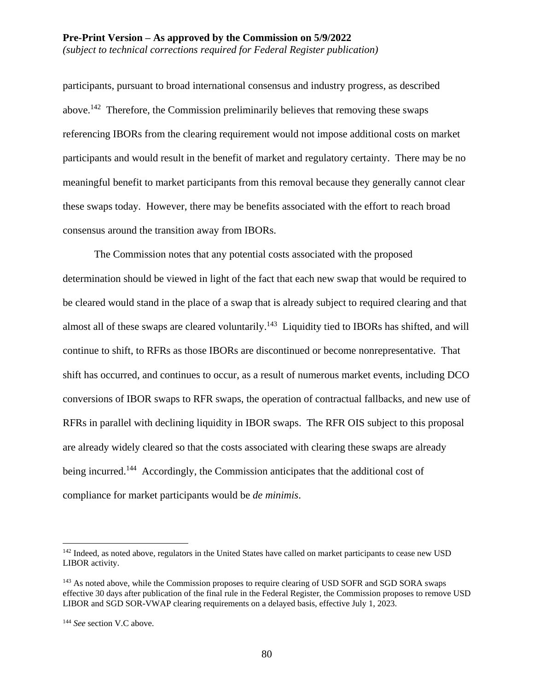participants, pursuant to broad international consensus and industry progress, as described above.<sup>142</sup> Therefore, the Commission preliminarily believes that removing these swaps referencing IBORs from the clearing requirement would not impose additional costs on market participants and would result in the benefit of market and regulatory certainty. There may be no meaningful benefit to market participants from this removal because they generally cannot clear these swaps today. However, there may be benefits associated with the effort to reach broad consensus around the transition away from IBORs.

The Commission notes that any potential costs associated with the proposed determination should be viewed in light of the fact that each new swap that would be required to be cleared would stand in the place of a swap that is already subject to required clearing and that almost all of these swaps are cleared voluntarily.<sup>143</sup> Liquidity tied to IBORs has shifted, and will continue to shift, to RFRs as those IBORs are discontinued or become nonrepresentative. That shift has occurred, and continues to occur, as a result of numerous market events, including DCO conversions of IBOR swaps to RFR swaps, the operation of contractual fallbacks, and new use of RFRs in parallel with declining liquidity in IBOR swaps. The RFR OIS subject to this proposal are already widely cleared so that the costs associated with clearing these swaps are already being incurred.<sup>144</sup> Accordingly, the Commission anticipates that the additional cost of compliance for market participants would be *de minimis*.

<sup>&</sup>lt;sup>142</sup> Indeed, as noted above, regulators in the United States have called on market participants to cease new USD LIBOR activity.

<sup>&</sup>lt;sup>143</sup> As noted above, while the Commission proposes to require clearing of USD SOFR and SGD SORA swaps effective 30 days after publication of the final rule in the Federal Register, the Commission proposes to remove USD LIBOR and SGD SOR-VWAP clearing requirements on a delayed basis, effective July 1, 2023.

<sup>144</sup> *See* section V.C above.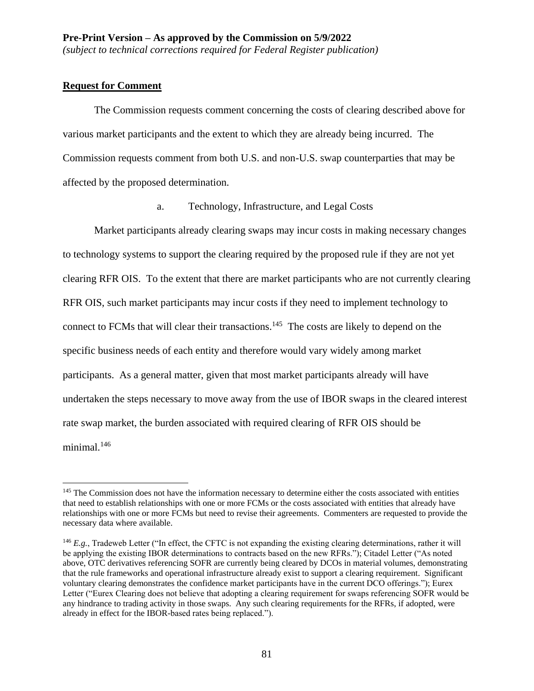## **Request for Comment**

 $\overline{a}$ 

The Commission requests comment concerning the costs of clearing described above for various market participants and the extent to which they are already being incurred. The Commission requests comment from both U.S. and non-U.S. swap counterparties that may be affected by the proposed determination.

a. Technology, Infrastructure, and Legal Costs

Market participants already clearing swaps may incur costs in making necessary changes to technology systems to support the clearing required by the proposed rule if they are not yet clearing RFR OIS. To the extent that there are market participants who are not currently clearing RFR OIS, such market participants may incur costs if they need to implement technology to connect to FCMs that will clear their transactions.<sup>145</sup> The costs are likely to depend on the specific business needs of each entity and therefore would vary widely among market participants. As a general matter, given that most market participants already will have undertaken the steps necessary to move away from the use of IBOR swaps in the cleared interest rate swap market, the burden associated with required clearing of RFR OIS should be minimal.<sup>146</sup>

<sup>&</sup>lt;sup>145</sup> The Commission does not have the information necessary to determine either the costs associated with entities that need to establish relationships with one or more FCMs or the costs associated with entities that already have relationships with one or more FCMs but need to revise their agreements. Commenters are requested to provide the necessary data where available.

<sup>&</sup>lt;sup>146</sup> *E.g.*, Tradeweb Letter ("In effect, the CFTC is not expanding the existing clearing determinations, rather it will be applying the existing IBOR determinations to contracts based on the new RFRs."); Citadel Letter ("As noted above, OTC derivatives referencing SOFR are currently being cleared by DCOs in material volumes, demonstrating that the rule frameworks and operational infrastructure already exist to support a clearing requirement. Significant voluntary clearing demonstrates the confidence market participants have in the current DCO offerings."); Eurex Letter ("Eurex Clearing does not believe that adopting a clearing requirement for swaps referencing SOFR would be any hindrance to trading activity in those swaps. Any such clearing requirements for the RFRs, if adopted, were already in effect for the IBOR-based rates being replaced.").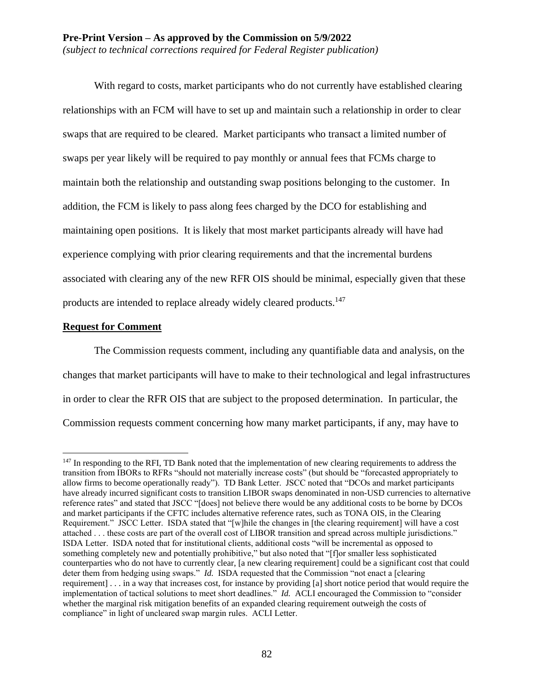With regard to costs, market participants who do not currently have established clearing relationships with an FCM will have to set up and maintain such a relationship in order to clear swaps that are required to be cleared. Market participants who transact a limited number of swaps per year likely will be required to pay monthly or annual fees that FCMs charge to maintain both the relationship and outstanding swap positions belonging to the customer. In addition, the FCM is likely to pass along fees charged by the DCO for establishing and maintaining open positions. It is likely that most market participants already will have had experience complying with prior clearing requirements and that the incremental burdens associated with clearing any of the new RFR OIS should be minimal, especially given that these products are intended to replace already widely cleared products.<sup>147</sup>

### **Request for Comment**

 $\overline{a}$ 

The Commission requests comment, including any quantifiable data and analysis, on the changes that market participants will have to make to their technological and legal infrastructures in order to clear the RFR OIS that are subject to the proposed determination. In particular, the Commission requests comment concerning how many market participants, if any, may have to

<sup>&</sup>lt;sup>147</sup> In responding to the RFI, TD Bank noted that the implementation of new clearing requirements to address the transition from IBORs to RFRs "should not materially increase costs" (but should be "forecasted appropriately to allow firms to become operationally ready"). TD Bank Letter. JSCC noted that "DCOs and market participants have already incurred significant costs to transition LIBOR swaps denominated in non-USD currencies to alternative reference rates" and stated that JSCC "[does] not believe there would be any additional costs to be borne by DCOs and market participants if the CFTC includes alternative reference rates, such as TONA OIS, in the Clearing Requirement." JSCC Letter. ISDA stated that "[w]hile the changes in [the clearing requirement] will have a cost attached . . . these costs are part of the overall cost of LIBOR transition and spread across multiple jurisdictions." ISDA Letter. ISDA noted that for institutional clients, additional costs "will be incremental as opposed to something completely new and potentially prohibitive," but also noted that "[f]or smaller less sophisticated counterparties who do not have to currently clear, [a new clearing requirement] could be a significant cost that could deter them from hedging using swaps." *Id.* ISDA requested that the Commission "not enact a [clearing requirement] . . . in a way that increases cost, for instance by providing [a] short notice period that would require the implementation of tactical solutions to meet short deadlines." *Id.* ACLI encouraged the Commission to "consider whether the marginal risk mitigation benefits of an expanded clearing requirement outweigh the costs of compliance" in light of uncleared swap margin rules. ACLI Letter.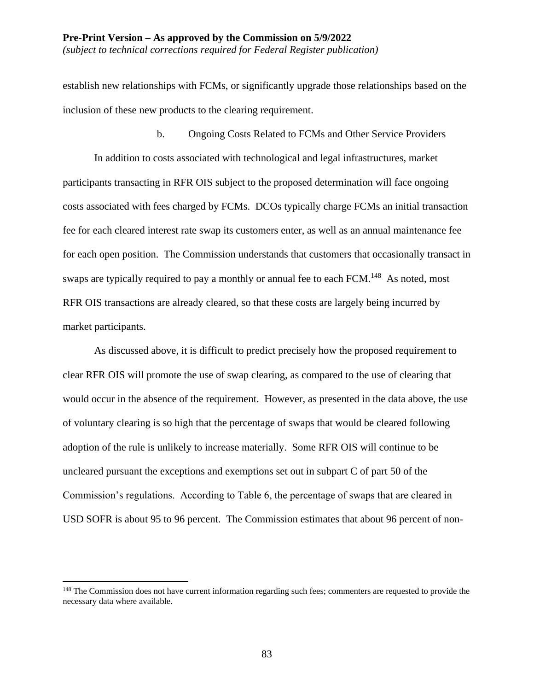establish new relationships with FCMs, or significantly upgrade those relationships based on the inclusion of these new products to the clearing requirement.

b. Ongoing Costs Related to FCMs and Other Service Providers

In addition to costs associated with technological and legal infrastructures, market participants transacting in RFR OIS subject to the proposed determination will face ongoing costs associated with fees charged by FCMs. DCOs typically charge FCMs an initial transaction fee for each cleared interest rate swap its customers enter, as well as an annual maintenance fee for each open position. The Commission understands that customers that occasionally transact in swaps are typically required to pay a monthly or annual fee to each FCM.<sup>148</sup> As noted, most RFR OIS transactions are already cleared, so that these costs are largely being incurred by market participants.

As discussed above, it is difficult to predict precisely how the proposed requirement to clear RFR OIS will promote the use of swap clearing, as compared to the use of clearing that would occur in the absence of the requirement. However, as presented in the data above, the use of voluntary clearing is so high that the percentage of swaps that would be cleared following adoption of the rule is unlikely to increase materially. Some RFR OIS will continue to be uncleared pursuant the exceptions and exemptions set out in subpart C of part 50 of the Commission's regulations. According to Table 6, the percentage of swaps that are cleared in USD SOFR is about 95 to 96 percent. The Commission estimates that about 96 percent of non-

<sup>&</sup>lt;sup>148</sup> The Commission does not have current information regarding such fees; commenters are requested to provide the necessary data where available.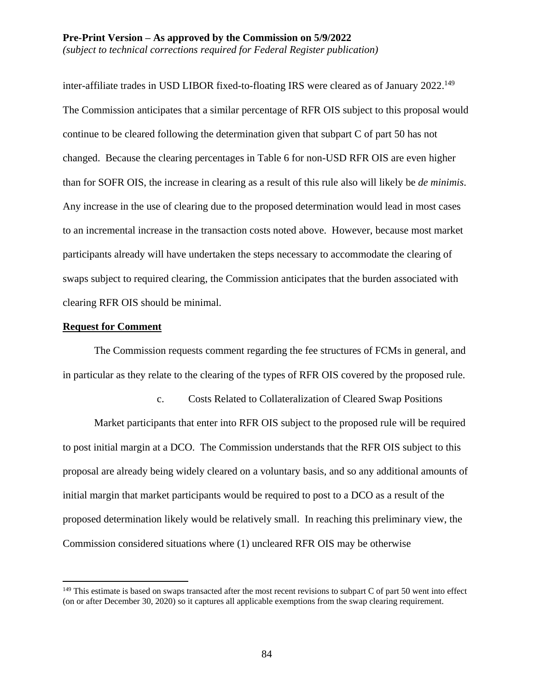inter-affiliate trades in USD LIBOR fixed-to-floating IRS were cleared as of January 2022.<sup>149</sup> The Commission anticipates that a similar percentage of RFR OIS subject to this proposal would continue to be cleared following the determination given that subpart C of part 50 has not changed. Because the clearing percentages in Table 6 for non-USD RFR OIS are even higher than for SOFR OIS, the increase in clearing as a result of this rule also will likely be *de minimis*. Any increase in the use of clearing due to the proposed determination would lead in most cases to an incremental increase in the transaction costs noted above. However, because most market participants already will have undertaken the steps necessary to accommodate the clearing of swaps subject to required clearing, the Commission anticipates that the burden associated with clearing RFR OIS should be minimal.

### **Request for Comment**

 $\overline{a}$ 

The Commission requests comment regarding the fee structures of FCMs in general, and in particular as they relate to the clearing of the types of RFR OIS covered by the proposed rule.

c. Costs Related to Collateralization of Cleared Swap Positions

Market participants that enter into RFR OIS subject to the proposed rule will be required to post initial margin at a DCO. The Commission understands that the RFR OIS subject to this proposal are already being widely cleared on a voluntary basis, and so any additional amounts of initial margin that market participants would be required to post to a DCO as a result of the proposed determination likely would be relatively small. In reaching this preliminary view, the Commission considered situations where (1) uncleared RFR OIS may be otherwise

<sup>&</sup>lt;sup>149</sup> This estimate is based on swaps transacted after the most recent revisions to subpart C of part 50 went into effect (on or after December 30, 2020) so it captures all applicable exemptions from the swap clearing requirement.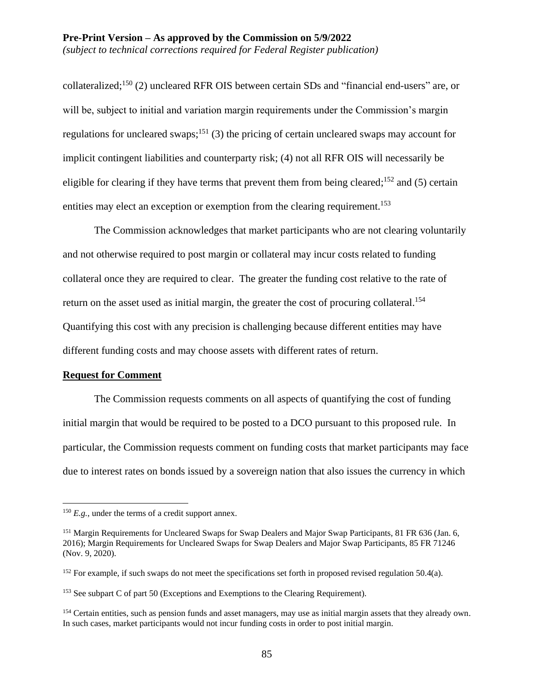collateralized;<sup>150</sup> (2) uncleared RFR OIS between certain SDs and "financial end-users" are, or will be, subject to initial and variation margin requirements under the Commission's margin regulations for uncleared swaps;<sup>151</sup> (3) the pricing of certain uncleared swaps may account for implicit contingent liabilities and counterparty risk; (4) not all RFR OIS will necessarily be eligible for clearing if they have terms that prevent them from being cleared;  $152$  and (5) certain entities may elect an exception or exemption from the clearing requirement.<sup>153</sup>

The Commission acknowledges that market participants who are not clearing voluntarily and not otherwise required to post margin or collateral may incur costs related to funding collateral once they are required to clear. The greater the funding cost relative to the rate of return on the asset used as initial margin, the greater the cost of procuring collateral.<sup>154</sup> Quantifying this cost with any precision is challenging because different entities may have different funding costs and may choose assets with different rates of return.

#### **Request for Comment**

 $\overline{a}$ 

The Commission requests comments on all aspects of quantifying the cost of funding initial margin that would be required to be posted to a DCO pursuant to this proposed rule. In particular, the Commission requests comment on funding costs that market participants may face due to interest rates on bonds issued by a sovereign nation that also issues the currency in which

 $^{150}$  *E.g.*, under the terms of a credit support annex.

<sup>151</sup> Margin Requirements for Uncleared Swaps for Swap Dealers and Major Swap Participants, 81 FR 636 (Jan. 6, 2016); Margin Requirements for Uncleared Swaps for Swap Dealers and Major Swap Participants, 85 FR 71246 (Nov. 9, 2020).

<sup>&</sup>lt;sup>152</sup> For example, if such swaps do not meet the specifications set forth in proposed revised regulation 50.4(a).

<sup>&</sup>lt;sup>153</sup> See subpart C of part 50 (Exceptions and Exemptions to the Clearing Requirement).

<sup>&</sup>lt;sup>154</sup> Certain entities, such as pension funds and asset managers, may use as initial margin assets that they already own. In such cases, market participants would not incur funding costs in order to post initial margin.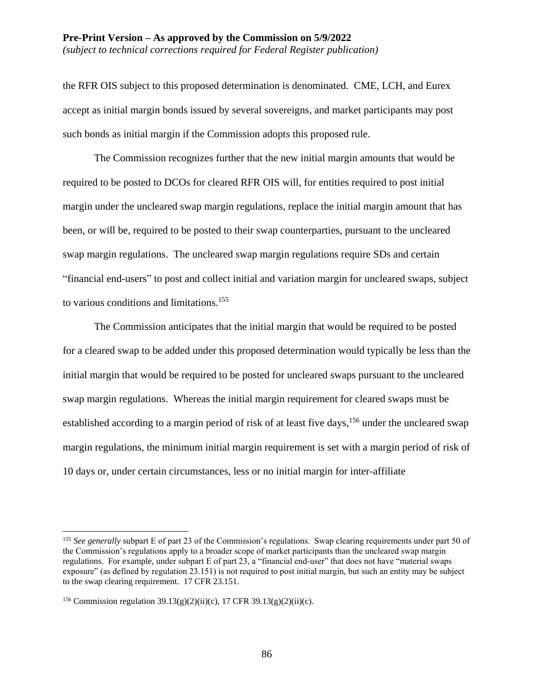#### **Pre-Print Version – As approved by the Commission on 5/9/2022** *(subject to technical corrections required for Federal Register publication)*

the RFR OIS subject to this proposed determination is denominated. CME, LCH, and Eurex accept as initial margin bonds issued by several sovereigns, and market participants may post such bonds as initial margin if the Commission adopts this proposed rule.

The Commission recognizes further that the new initial margin amounts that would be required to be posted to DCOs for cleared RFR OIS will, for entities required to post initial margin under the uncleared swap margin regulations, replace the initial margin amount that has been, or will be, required to be posted to their swap counterparties, pursuant to the uncleared swap margin regulations. The uncleared swap margin regulations require SDs and certain "financial end-users" to post and collect initial and variation margin for uncleared swaps, subject to various conditions and limitations.<sup>155</sup>

The Commission anticipates that the initial margin that would be required to be posted for a cleared swap to be added under this proposed determination would typically be less than the initial margin that would be required to be posted for uncleared swaps pursuant to the uncleared swap margin regulations. Whereas the initial margin requirement for cleared swaps must be established according to a margin period of risk of at least five days,<sup>156</sup> under the uncleared swap margin regulations, the minimum initial margin requirement is set with a margin period of risk of 10 days or, under certain circumstances, less or no initial margin for inter-affiliate

<sup>155</sup> *See generally* subpart E of part 23 of the Commission's regulations. Swap clearing requirements under part 50 of the Commission's regulations apply to a broader scope of market participants than the uncleared swap margin regulations. For example, under subpart E of part 23, a "financial end-user" that does not have "material swaps exposure" (as defined by regulation 23.151) is not required to post initial margin, but such an entity may be subject to the swap clearing requirement. 17 CFR 23.151.

<sup>&</sup>lt;sup>156</sup> Commission regulation  $39.13(g)(2)(ii)(c)$ , 17 CFR  $39.13(g)(2)(ii)(c)$ .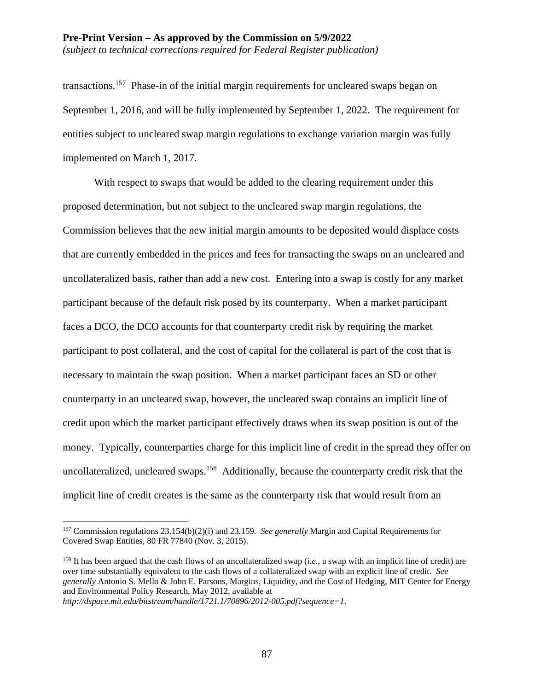*(subject to technical corrections required for Federal Register publication)*

transactions.<sup>157</sup> Phase-in of the initial margin requirements for uncleared swaps began on September 1, 2016, and will be fully implemented by September 1, 2022. The requirement for entities subject to uncleared swap margin regulations to exchange variation margin was fully implemented on March 1, 2017.

With respect to swaps that would be added to the clearing requirement under this proposed determination, but not subject to the uncleared swap margin regulations, the Commission believes that the new initial margin amounts to be deposited would displace costs that are currently embedded in the prices and fees for transacting the swaps on an uncleared and uncollateralized basis, rather than add a new cost. Entering into a swap is costly for any market participant because of the default risk posed by its counterparty. When a market participant faces a DCO, the DCO accounts for that counterparty credit risk by requiring the market participant to post collateral, and the cost of capital for the collateral is part of the cost that is necessary to maintain the swap position. When a market participant faces an SD or other counterparty in an uncleared swap, however, the uncleared swap contains an implicit line of credit upon which the market participant effectively draws when its swap position is out of the money. Typically, counterparties charge for this implicit line of credit in the spread they offer on uncollateralized, uncleared swaps.<sup>158</sup> Additionally, because the counterparty credit risk that the implicit line of credit creates is the same as the counterparty risk that would result from an

<sup>157</sup> Commission regulations 23.154(b)(2)(i) and 23.159. *See generally* Margin and Capital Requirements for Covered Swap Entities, 80 FR 77840 (Nov. 3, 2015).

<sup>158</sup> It has been argued that the cash flows of an uncollateralized swap (*i.e*., a swap with an implicit line of credit) are over time substantially equivalent to the cash flows of a collateralized swap with an explicit line of credit. *See generally* Antonio S. Mello & John E. Parsons, Margins, Liquidity, and the Cost of Hedging, MIT Center for Energy and Environmental Policy Research, May 2012, available at

*http://dspace.mit.edu/bitstream/handle/1721.1/70896/2012-005.pdf?sequence=1*.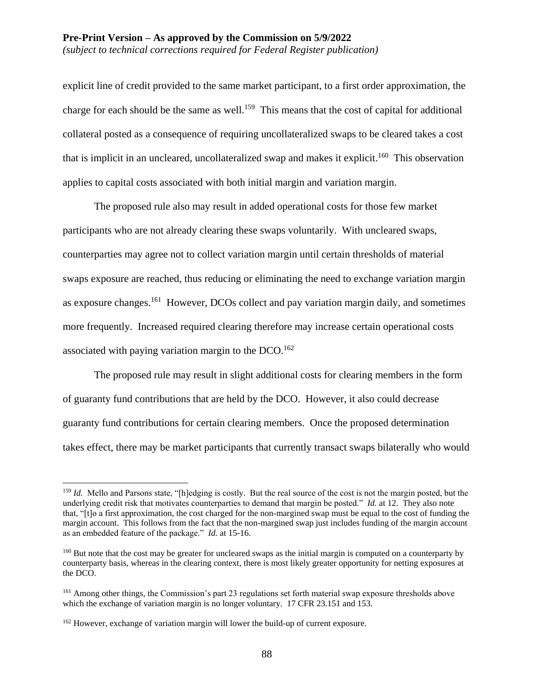explicit line of credit provided to the same market participant, to a first order approximation, the charge for each should be the same as well.<sup>159</sup> This means that the cost of capital for additional collateral posted as a consequence of requiring uncollateralized swaps to be cleared takes a cost that is implicit in an uncleared, uncollateralized swap and makes it explicit.<sup>160</sup> This observation applies to capital costs associated with both initial margin and variation margin.

The proposed rule also may result in added operational costs for those few market participants who are not already clearing these swaps voluntarily. With uncleared swaps, counterparties may agree not to collect variation margin until certain thresholds of material swaps exposure are reached, thus reducing or eliminating the need to exchange variation margin as exposure changes.<sup>161</sup> However, DCOs collect and pay variation margin daily, and sometimes more frequently. Increased required clearing therefore may increase certain operational costs associated with paying variation margin to the  $DCO$ .<sup>162</sup>

The proposed rule may result in slight additional costs for clearing members in the form of guaranty fund contributions that are held by the DCO. However, it also could decrease guaranty fund contributions for certain clearing members. Once the proposed determination takes effect, there may be market participants that currently transact swaps bilaterally who would

<sup>&</sup>lt;sup>159</sup> *Id.* Mello and Parsons state, "[h]edging is costly. But the real source of the cost is not the margin posted, but the underlying credit risk that motivates counterparties to demand that margin be posted." *Id.* at 12. They also note that, "[t]o a first approximation, the cost charged for the non-margined swap must be equal to the cost of funding the margin account. This follows from the fact that the non-margined swap just includes funding of the margin account as an embedded feature of the package." *Id.* at 15-16.

<sup>&</sup>lt;sup>160</sup> But note that the cost may be greater for uncleared swaps as the initial margin is computed on a counterparty by counterparty basis, whereas in the clearing context, there is most likely greater opportunity for netting exposures at the DCO.

<sup>161</sup> Among other things, the Commission's part 23 regulations set forth material swap exposure thresholds above which the exchange of variation margin is no longer voluntary. 17 CFR 23.151 and 153.

<sup>&</sup>lt;sup>162</sup> However, exchange of variation margin will lower the build-up of current exposure.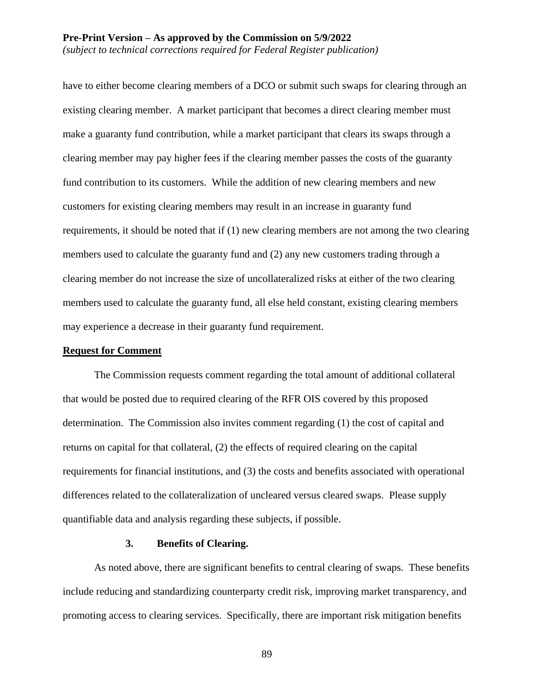have to either become clearing members of a DCO or submit such swaps for clearing through an existing clearing member. A market participant that becomes a direct clearing member must make a guaranty fund contribution, while a market participant that clears its swaps through a clearing member may pay higher fees if the clearing member passes the costs of the guaranty fund contribution to its customers. While the addition of new clearing members and new customers for existing clearing members may result in an increase in guaranty fund requirements, it should be noted that if (1) new clearing members are not among the two clearing members used to calculate the guaranty fund and (2) any new customers trading through a clearing member do not increase the size of uncollateralized risks at either of the two clearing members used to calculate the guaranty fund, all else held constant, existing clearing members may experience a decrease in their guaranty fund requirement.

#### **Request for Comment**

The Commission requests comment regarding the total amount of additional collateral that would be posted due to required clearing of the RFR OIS covered by this proposed determination. The Commission also invites comment regarding (1) the cost of capital and returns on capital for that collateral, (2) the effects of required clearing on the capital requirements for financial institutions, and (3) the costs and benefits associated with operational differences related to the collateralization of uncleared versus cleared swaps. Please supply quantifiable data and analysis regarding these subjects, if possible.

#### **3. Benefits of Clearing.**

As noted above, there are significant benefits to central clearing of swaps. These benefits include reducing and standardizing counterparty credit risk, improving market transparency, and promoting access to clearing services. Specifically, there are important risk mitigation benefits

89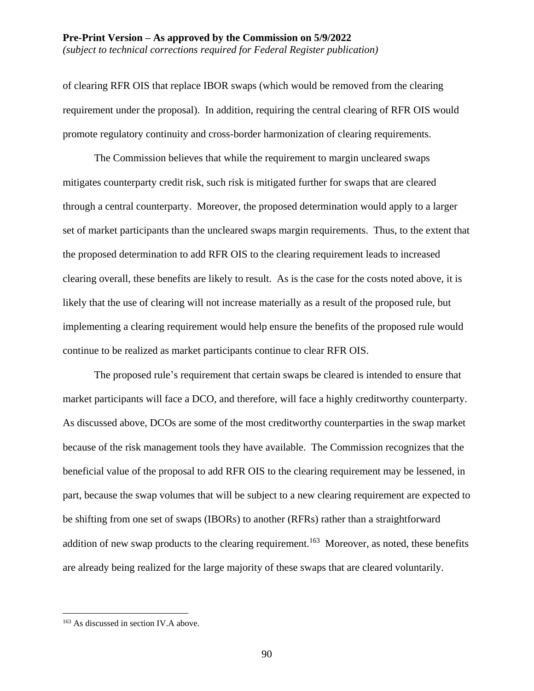#### **Pre-Print Version – As approved by the Commission on 5/9/2022** *(subject to technical corrections required for Federal Register publication)*

of clearing RFR OIS that replace IBOR swaps (which would be removed from the clearing requirement under the proposal). In addition, requiring the central clearing of RFR OIS would promote regulatory continuity and cross-border harmonization of clearing requirements.

The Commission believes that while the requirement to margin uncleared swaps mitigates counterparty credit risk, such risk is mitigated further for swaps that are cleared through a central counterparty. Moreover, the proposed determination would apply to a larger set of market participants than the uncleared swaps margin requirements. Thus, to the extent that the proposed determination to add RFR OIS to the clearing requirement leads to increased clearing overall, these benefits are likely to result. As is the case for the costs noted above, it is likely that the use of clearing will not increase materially as a result of the proposed rule, but implementing a clearing requirement would help ensure the benefits of the proposed rule would continue to be realized as market participants continue to clear RFR OIS.

The proposed rule's requirement that certain swaps be cleared is intended to ensure that market participants will face a DCO, and therefore, will face a highly creditworthy counterparty. As discussed above, DCOs are some of the most creditworthy counterparties in the swap market because of the risk management tools they have available. The Commission recognizes that the beneficial value of the proposal to add RFR OIS to the clearing requirement may be lessened, in part, because the swap volumes that will be subject to a new clearing requirement are expected to be shifting from one set of swaps (IBORs) to another (RFRs) rather than a straightforward addition of new swap products to the clearing requirement.<sup>163</sup> Moreover, as noted, these benefits are already being realized for the large majority of these swaps that are cleared voluntarily.

<sup>163</sup> As discussed in section IV.A above.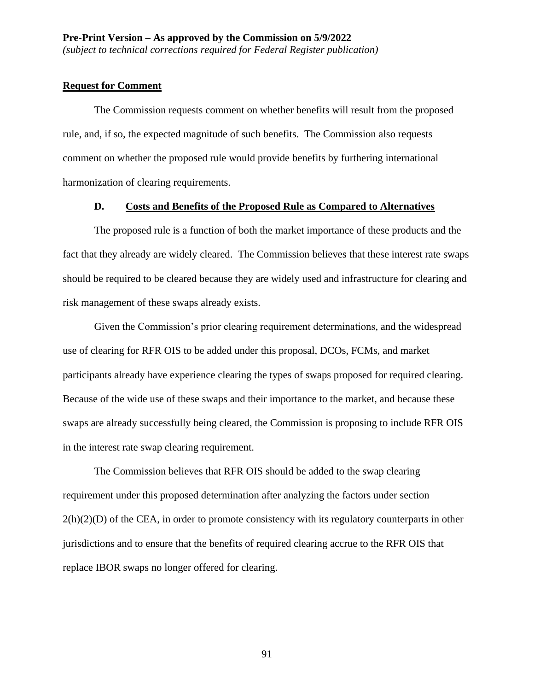### **Request for Comment**

The Commission requests comment on whether benefits will result from the proposed rule, and, if so, the expected magnitude of such benefits. The Commission also requests comment on whether the proposed rule would provide benefits by furthering international harmonization of clearing requirements.

#### **D. Costs and Benefits of the Proposed Rule as Compared to Alternatives**

The proposed rule is a function of both the market importance of these products and the fact that they already are widely cleared. The Commission believes that these interest rate swaps should be required to be cleared because they are widely used and infrastructure for clearing and risk management of these swaps already exists.

Given the Commission's prior clearing requirement determinations, and the widespread use of clearing for RFR OIS to be added under this proposal, DCOs, FCMs, and market participants already have experience clearing the types of swaps proposed for required clearing. Because of the wide use of these swaps and their importance to the market, and because these swaps are already successfully being cleared, the Commission is proposing to include RFR OIS in the interest rate swap clearing requirement.

The Commission believes that RFR OIS should be added to the swap clearing requirement under this proposed determination after analyzing the factors under section  $2(h)(2)(D)$  of the CEA, in order to promote consistency with its regulatory counterparts in other jurisdictions and to ensure that the benefits of required clearing accrue to the RFR OIS that replace IBOR swaps no longer offered for clearing.

91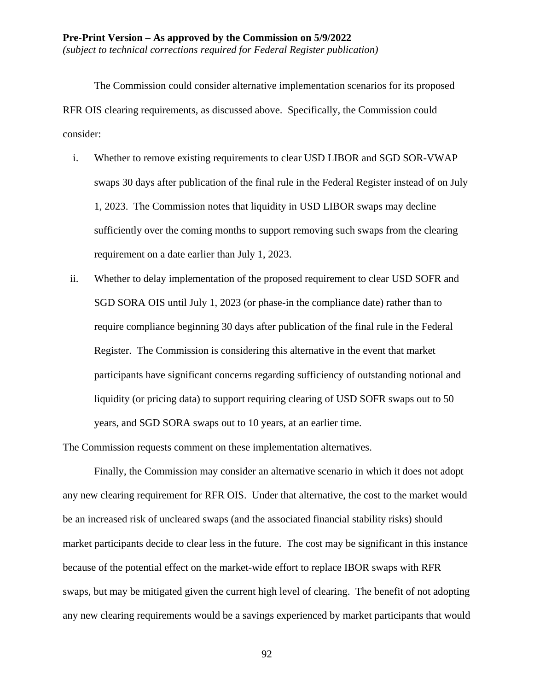The Commission could consider alternative implementation scenarios for its proposed RFR OIS clearing requirements, as discussed above. Specifically, the Commission could consider:

- i. Whether to remove existing requirements to clear USD LIBOR and SGD SOR-VWAP swaps 30 days after publication of the final rule in the Federal Register instead of on July 1, 2023. The Commission notes that liquidity in USD LIBOR swaps may decline sufficiently over the coming months to support removing such swaps from the clearing requirement on a date earlier than July 1, 2023.
- ii. Whether to delay implementation of the proposed requirement to clear USD SOFR and SGD SORA OIS until July 1, 2023 (or phase-in the compliance date) rather than to require compliance beginning 30 days after publication of the final rule in the Federal Register. The Commission is considering this alternative in the event that market participants have significant concerns regarding sufficiency of outstanding notional and liquidity (or pricing data) to support requiring clearing of USD SOFR swaps out to 50 years, and SGD SORA swaps out to 10 years, at an earlier time.

The Commission requests comment on these implementation alternatives.

Finally, the Commission may consider an alternative scenario in which it does not adopt any new clearing requirement for RFR OIS. Under that alternative, the cost to the market would be an increased risk of uncleared swaps (and the associated financial stability risks) should market participants decide to clear less in the future. The cost may be significant in this instance because of the potential effect on the market-wide effort to replace IBOR swaps with RFR swaps, but may be mitigated given the current high level of clearing. The benefit of not adopting any new clearing requirements would be a savings experienced by market participants that would

92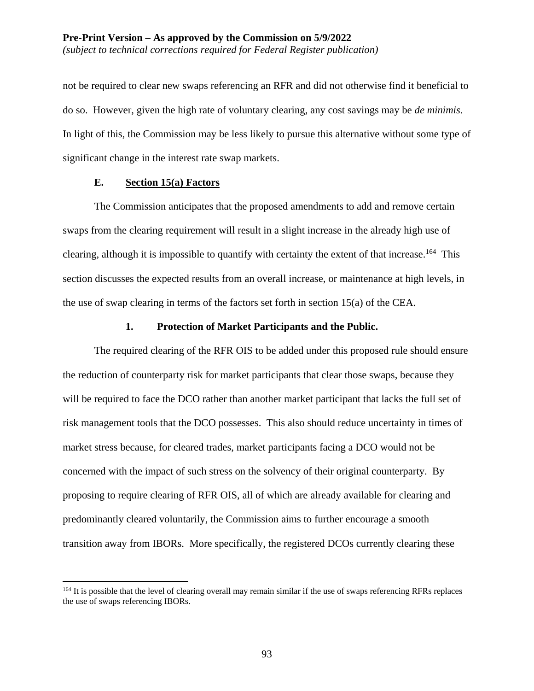not be required to clear new swaps referencing an RFR and did not otherwise find it beneficial to do so. However, given the high rate of voluntary clearing, any cost savings may be *de minimis*. In light of this, the Commission may be less likely to pursue this alternative without some type of significant change in the interest rate swap markets.

### **E. Section 15(a) Factors**

 $\overline{a}$ 

The Commission anticipates that the proposed amendments to add and remove certain swaps from the clearing requirement will result in a slight increase in the already high use of clearing, although it is impossible to quantify with certainty the extent of that increase.<sup>164</sup> This section discusses the expected results from an overall increase, or maintenance at high levels, in the use of swap clearing in terms of the factors set forth in section 15(a) of the CEA.

#### **1. Protection of Market Participants and the Public.**

The required clearing of the RFR OIS to be added under this proposed rule should ensure the reduction of counterparty risk for market participants that clear those swaps, because they will be required to face the DCO rather than another market participant that lacks the full set of risk management tools that the DCO possesses. This also should reduce uncertainty in times of market stress because, for cleared trades, market participants facing a DCO would not be concerned with the impact of such stress on the solvency of their original counterparty. By proposing to require clearing of RFR OIS, all of which are already available for clearing and predominantly cleared voluntarily, the Commission aims to further encourage a smooth transition away from IBORs. More specifically, the registered DCOs currently clearing these

<sup>&</sup>lt;sup>164</sup> It is possible that the level of clearing overall may remain similar if the use of swaps referencing RFRs replaces the use of swaps referencing IBORs.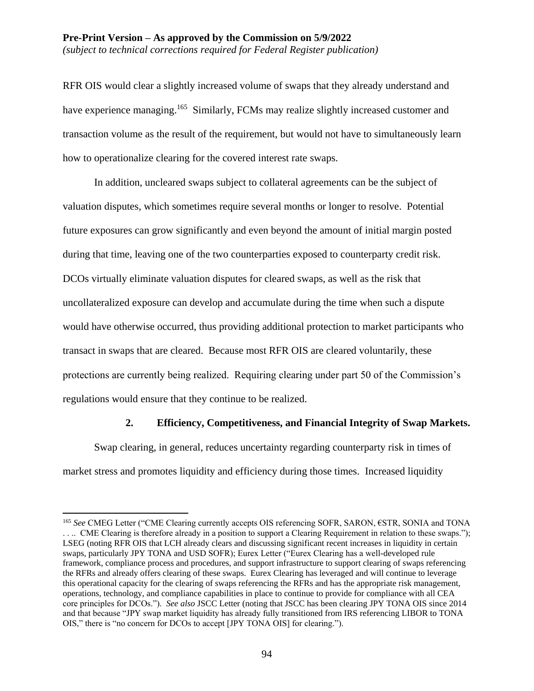#### **Pre-Print Version – As approved by the Commission on 5/9/2022** *(subject to technical corrections required for Federal Register publication)*

RFR OIS would clear a slightly increased volume of swaps that they already understand and have experience managing.<sup>165</sup> Similarly, FCMs may realize slightly increased customer and transaction volume as the result of the requirement, but would not have to simultaneously learn how to operationalize clearing for the covered interest rate swaps.

In addition, uncleared swaps subject to collateral agreements can be the subject of valuation disputes, which sometimes require several months or longer to resolve. Potential future exposures can grow significantly and even beyond the amount of initial margin posted during that time, leaving one of the two counterparties exposed to counterparty credit risk. DCOs virtually eliminate valuation disputes for cleared swaps, as well as the risk that uncollateralized exposure can develop and accumulate during the time when such a dispute would have otherwise occurred, thus providing additional protection to market participants who transact in swaps that are cleared. Because most RFR OIS are cleared voluntarily, these protections are currently being realized. Requiring clearing under part 50 of the Commission's regulations would ensure that they continue to be realized.

#### **2. Efficiency, Competitiveness, and Financial Integrity of Swap Markets.**

Swap clearing, in general, reduces uncertainty regarding counterparty risk in times of market stress and promotes liquidity and efficiency during those times. Increased liquidity

<sup>165</sup> *See* CMEG Letter ("CME Clearing currently accepts OIS referencing SOFR, SARON, €STR, SONIA and TONA . . .. CME Clearing is therefore already in a position to support a Clearing Requirement in relation to these swaps."); LSEG (noting RFR OIS that LCH already clears and discussing significant recent increases in liquidity in certain swaps, particularly JPY TONA and USD SOFR); Eurex Letter ("Eurex Clearing has a well-developed rule framework, compliance process and procedures, and support infrastructure to support clearing of swaps referencing the RFRs and already offers clearing of these swaps. Eurex Clearing has leveraged and will continue to leverage this operational capacity for the clearing of swaps referencing the RFRs and has the appropriate risk management, operations, technology, and compliance capabilities in place to continue to provide for compliance with all CEA core principles for DCOs."). *See also* JSCC Letter (noting that JSCC has been clearing JPY TONA OIS since 2014 and that because "JPY swap market liquidity has already fully transitioned from IRS referencing LIBOR to TONA OIS," there is "no concern for DCOs to accept [JPY TONA OIS] for clearing.").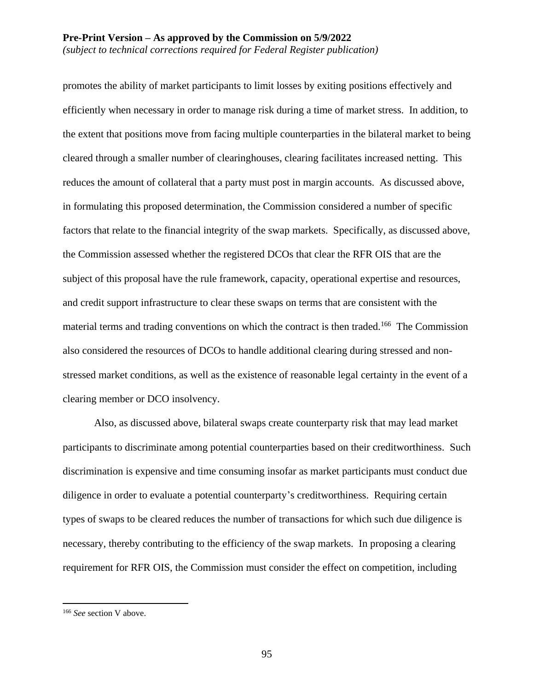promotes the ability of market participants to limit losses by exiting positions effectively and efficiently when necessary in order to manage risk during a time of market stress. In addition, to the extent that positions move from facing multiple counterparties in the bilateral market to being cleared through a smaller number of clearinghouses, clearing facilitates increased netting. This reduces the amount of collateral that a party must post in margin accounts. As discussed above, in formulating this proposed determination, the Commission considered a number of specific factors that relate to the financial integrity of the swap markets. Specifically, as discussed above, the Commission assessed whether the registered DCOs that clear the RFR OIS that are the subject of this proposal have the rule framework, capacity, operational expertise and resources, and credit support infrastructure to clear these swaps on terms that are consistent with the material terms and trading conventions on which the contract is then traded.<sup>166</sup> The Commission also considered the resources of DCOs to handle additional clearing during stressed and nonstressed market conditions, as well as the existence of reasonable legal certainty in the event of a clearing member or DCO insolvency.

Also, as discussed above, bilateral swaps create counterparty risk that may lead market participants to discriminate among potential counterparties based on their creditworthiness. Such discrimination is expensive and time consuming insofar as market participants must conduct due diligence in order to evaluate a potential counterparty's creditworthiness. Requiring certain types of swaps to be cleared reduces the number of transactions for which such due diligence is necessary, thereby contributing to the efficiency of the swap markets. In proposing a clearing requirement for RFR OIS, the Commission must consider the effect on competition, including

<sup>166</sup> *See* section V above.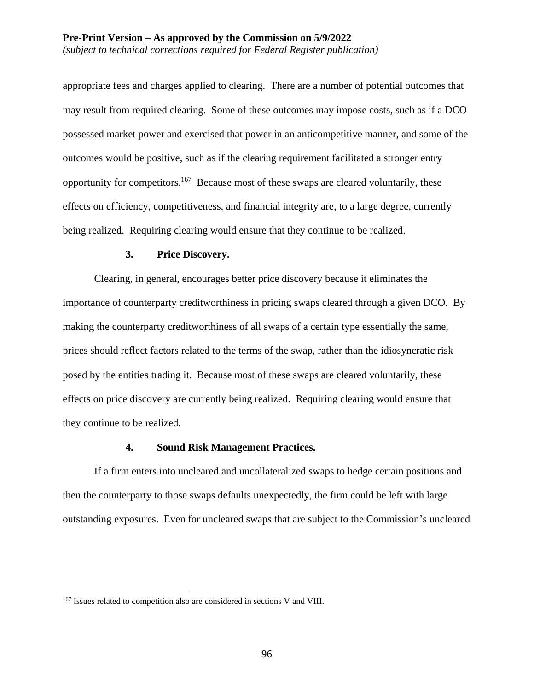appropriate fees and charges applied to clearing. There are a number of potential outcomes that may result from required clearing. Some of these outcomes may impose costs, such as if a DCO possessed market power and exercised that power in an anticompetitive manner, and some of the outcomes would be positive, such as if the clearing requirement facilitated a stronger entry opportunity for competitors.<sup>167</sup> Because most of these swaps are cleared voluntarily, these effects on efficiency, competitiveness, and financial integrity are, to a large degree, currently being realized. Requiring clearing would ensure that they continue to be realized.

#### **3. Price Discovery.**

Clearing, in general, encourages better price discovery because it eliminates the importance of counterparty creditworthiness in pricing swaps cleared through a given DCO. By making the counterparty creditworthiness of all swaps of a certain type essentially the same, prices should reflect factors related to the terms of the swap, rather than the idiosyncratic risk posed by the entities trading it. Because most of these swaps are cleared voluntarily, these effects on price discovery are currently being realized. Requiring clearing would ensure that they continue to be realized.

### **4. Sound Risk Management Practices.**

If a firm enters into uncleared and uncollateralized swaps to hedge certain positions and then the counterparty to those swaps defaults unexpectedly, the firm could be left with large outstanding exposures. Even for uncleared swaps that are subject to the Commission's uncleared

<sup>&</sup>lt;sup>167</sup> Issues related to competition also are considered in sections V and VIII.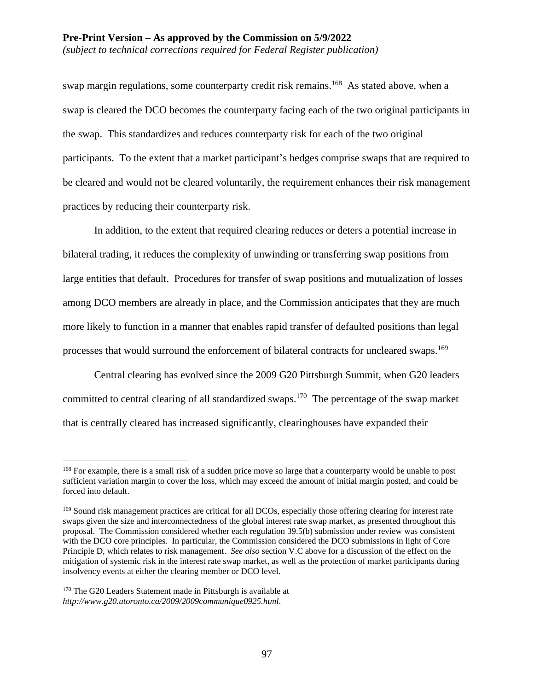swap margin regulations, some counterparty credit risk remains.<sup>168</sup> As stated above, when a swap is cleared the DCO becomes the counterparty facing each of the two original participants in the swap. This standardizes and reduces counterparty risk for each of the two original participants. To the extent that a market participant's hedges comprise swaps that are required to be cleared and would not be cleared voluntarily, the requirement enhances their risk management practices by reducing their counterparty risk.

In addition, to the extent that required clearing reduces or deters a potential increase in bilateral trading, it reduces the complexity of unwinding or transferring swap positions from large entities that default. Procedures for transfer of swap positions and mutualization of losses among DCO members are already in place, and the Commission anticipates that they are much more likely to function in a manner that enables rapid transfer of defaulted positions than legal processes that would surround the enforcement of bilateral contracts for uncleared swaps.<sup>169</sup>

Central clearing has evolved since the 2009 G20 Pittsburgh Summit, when G20 leaders committed to central clearing of all standardized swaps.<sup>170</sup> The percentage of the swap market that is centrally cleared has increased significantly, clearinghouses have expanded their

<sup>&</sup>lt;sup>168</sup> For example, there is a small risk of a sudden price move so large that a counterparty would be unable to post sufficient variation margin to cover the loss, which may exceed the amount of initial margin posted, and could be forced into default.

<sup>&</sup>lt;sup>169</sup> Sound risk management practices are critical for all DCOs, especially those offering clearing for interest rate swaps given the size and interconnectedness of the global interest rate swap market, as presented throughout this proposal. The Commission considered whether each regulation 39.5(b) submission under review was consistent with the DCO core principles. In particular, the Commission considered the DCO submissions in light of Core Principle D, which relates to risk management. *See also* section V.C above for a discussion of the effect on the mitigation of systemic risk in the interest rate swap market, as well as the protection of market participants during insolvency events at either the clearing member or DCO level.

<sup>&</sup>lt;sup>170</sup> The G20 Leaders Statement made in Pittsburgh is available at *http://www.g20.utoronto.ca/2009/2009communique0925.html*.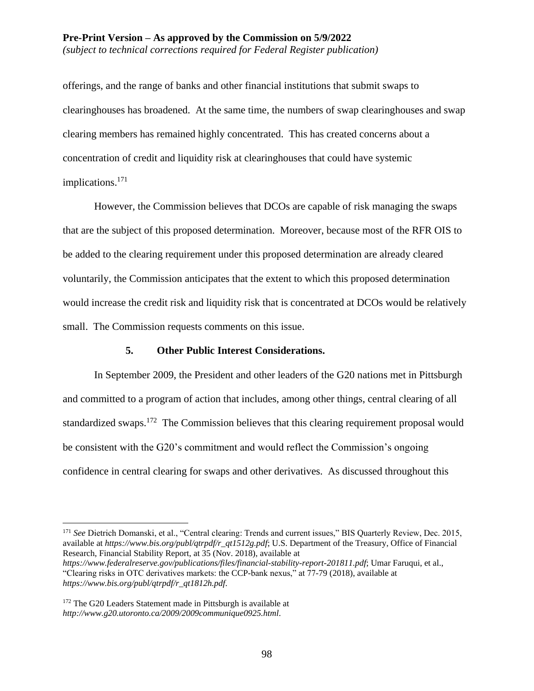*(subject to technical corrections required for Federal Register publication)*

offerings, and the range of banks and other financial institutions that submit swaps to clearinghouses has broadened. At the same time, the numbers of swap clearinghouses and swap clearing members has remained highly concentrated. This has created concerns about a concentration of credit and liquidity risk at clearinghouses that could have systemic implications.<sup>171</sup>

However, the Commission believes that DCOs are capable of risk managing the swaps that are the subject of this proposed determination. Moreover, because most of the RFR OIS to be added to the clearing requirement under this proposed determination are already cleared voluntarily, the Commission anticipates that the extent to which this proposed determination would increase the credit risk and liquidity risk that is concentrated at DCOs would be relatively small. The Commission requests comments on this issue.

### **5. Other Public Interest Considerations.**

In September 2009, the President and other leaders of the G20 nations met in Pittsburgh and committed to a program of action that includes, among other things, central clearing of all standardized swaps.<sup>172</sup> The Commission believes that this clearing requirement proposal would be consistent with the G20's commitment and would reflect the Commission's ongoing confidence in central clearing for swaps and other derivatives. As discussed throughout this

<sup>&</sup>lt;sup>171</sup> See Dietrich Domanski, et al., "Central clearing: Trends and current issues," BIS Quarterly Review, Dec. 2015, available at *https://www.bis.org/publ/qtrpdf/r\_qt1512g.pdf*; U.S. Department of the Treasury, Office of Financial Research, Financial Stability Report, at 35 (Nov. 2018), available at

*https://www.federalreserve.gov/publications/files/financial-stability-report-201811.pdf*; Umar Faruqui, et al., "Clearing risks in OTC derivatives markets: the CCP-bank nexus," at 77-79 (2018), available at *https://www.bis.org/publ/qtrpdf/r\_qt1812h.pdf*.

<sup>172</sup> The G20 Leaders Statement made in Pittsburgh is available at *http://www.g20.utoronto.ca/2009/2009communique0925.html*.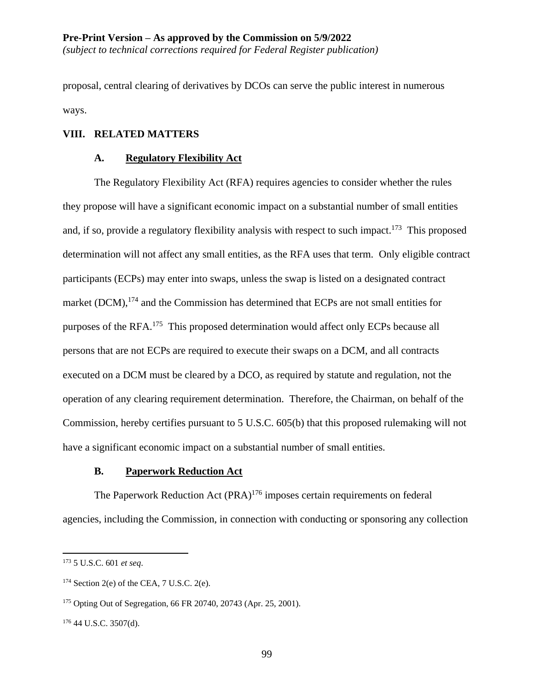*(subject to technical corrections required for Federal Register publication)*

proposal, central clearing of derivatives by DCOs can serve the public interest in numerous ways.

#### **VIII. RELATED MATTERS**

#### **A. Regulatory Flexibility Act**

The Regulatory Flexibility Act (RFA) requires agencies to consider whether the rules they propose will have a significant economic impact on a substantial number of small entities and, if so, provide a regulatory flexibility analysis with respect to such impact.<sup>173</sup> This proposed determination will not affect any small entities, as the RFA uses that term. Only eligible contract participants (ECPs) may enter into swaps, unless the swap is listed on a designated contract market (DCM), $^{174}$  and the Commission has determined that ECPs are not small entities for purposes of the RFA.<sup>175</sup> This proposed determination would affect only ECPs because all persons that are not ECPs are required to execute their swaps on a DCM, and all contracts executed on a DCM must be cleared by a DCO, as required by statute and regulation, not the operation of any clearing requirement determination. Therefore, the Chairman, on behalf of the Commission, hereby certifies pursuant to 5 U.S.C. 605(b) that this proposed rulemaking will not have a significant economic impact on a substantial number of small entities.

## **B. Paperwork Reduction Act**

The Paperwork Reduction Act (PRA)<sup>176</sup> imposes certain requirements on federal agencies, including the Commission, in connection with conducting or sponsoring any collection

<sup>173</sup> 5 U.S.C. 601 *et seq*.

 $174$  Section 2(e) of the CEA, 7 U.S.C. 2(e).

<sup>175</sup> Opting Out of Segregation, 66 FR 20740, 20743 (Apr. 25, 2001).

<sup>176</sup> 44 U.S.C. 3507(d).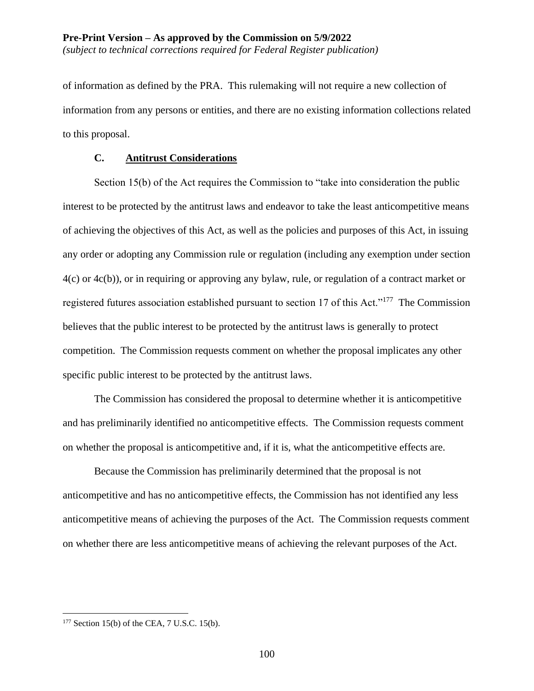of information as defined by the PRA. This rulemaking will not require a new collection of information from any persons or entities, and there are no existing information collections related to this proposal.

### **C. Antitrust Considerations**

Section 15(b) of the Act requires the Commission to "take into consideration the public interest to be protected by the antitrust laws and endeavor to take the least anticompetitive means of achieving the objectives of this Act, as well as the policies and purposes of this Act, in issuing any order or adopting any Commission rule or regulation (including any exemption under section 4(c) or 4c(b)), or in requiring or approving any bylaw, rule, or regulation of a contract market or registered futures association established pursuant to section 17 of this Act."<sup>177</sup> The Commission believes that the public interest to be protected by the antitrust laws is generally to protect competition. The Commission requests comment on whether the proposal implicates any other specific public interest to be protected by the antitrust laws.

The Commission has considered the proposal to determine whether it is anticompetitive and has preliminarily identified no anticompetitive effects. The Commission requests comment on whether the proposal is anticompetitive and, if it is, what the anticompetitive effects are.

Because the Commission has preliminarily determined that the proposal is not anticompetitive and has no anticompetitive effects, the Commission has not identified any less anticompetitive means of achieving the purposes of the Act. The Commission requests comment on whether there are less anticompetitive means of achieving the relevant purposes of the Act.

 $177$  Section 15(b) of the CEA, 7 U.S.C. 15(b).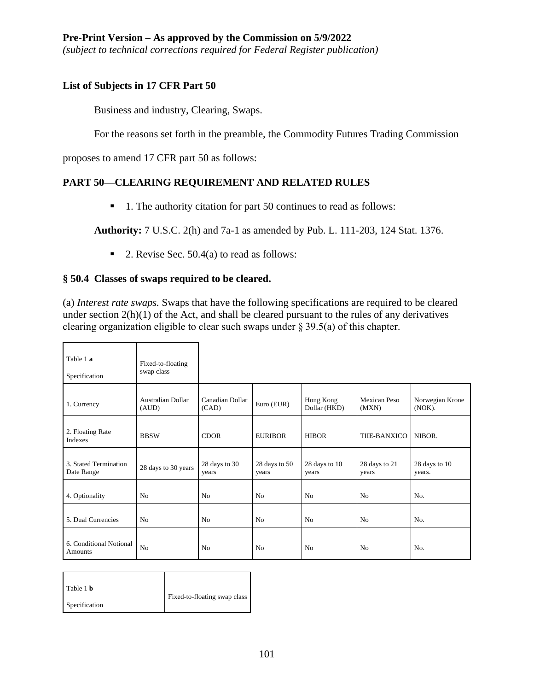*(subject to technical corrections required for Federal Register publication)*

## **List of Subjects in 17 CFR Part 50**

Business and industry, Clearing, Swaps.

For the reasons set forth in the preamble, the Commodity Futures Trading Commission

proposes to amend 17 CFR part 50 as follows:

# **PART 50—CLEARING REQUIREMENT AND RELATED RULES**

■ 1. The authority citation for part 50 continues to read as follows:

**Authority:** 7 U.S.C. 2(h) and 7a-1 as amended by Pub. L. 111-203, 124 Stat. 1376.

■ 2. Revise Sec.  $50.4(a)$  to read as follows:

## **§ 50.4 Classes of swaps required to be cleared.**

(a) *Interest rate swaps.* Swaps that have the following specifications are required to be cleared under section 2(h)(1) of the Act, and shall be cleared pursuant to the rules of any derivatives clearing organization eligible to clear such swaps under § 39.5(a) of this chapter.

| Table 1 a<br>Specification          | Fixed-to-floating<br>swap class |                          |                        |                           |                        |                           |
|-------------------------------------|---------------------------------|--------------------------|------------------------|---------------------------|------------------------|---------------------------|
| 1. Currency                         | Australian Dollar<br>(AUD)      | Canadian Dollar<br>(CAD) | Euro (EUR)             | Hong Kong<br>Dollar (HKD) | Mexican Peso<br>(MXN)  | Norwegian Krone<br>(NOK). |
| 2. Floating Rate<br>Indexes         | <b>BBSW</b>                     | <b>CDOR</b>              | <b>EURIBOR</b>         | <b>HIBOR</b>              | THE-BANXICO            | NIBOR.                    |
| 3. Stated Termination<br>Date Range | 28 days to 30 years             | 28 days to 30<br>years   | 28 days to 50<br>years | 28 days to 10<br>years    | 28 days to 21<br>years | 28 days to 10<br>years.   |
| 4. Optionality                      | No                              | N <sub>0</sub>           | N <sub>0</sub>         | N <sub>0</sub>            | No                     | N <sub>0</sub>            |
| 5. Dual Currencies                  | No                              | N <sub>0</sub>           | N <sub>0</sub>         | N <sub>0</sub>            | No                     | No.                       |
| 6. Conditional Notional<br>Amounts  | N <sub>o</sub>                  | N <sub>0</sub>           | N <sub>0</sub>         | N <sub>0</sub>            | N <sub>0</sub>         | No.                       |

| Table 1 <b>b</b> | Fixed-to-floating swap class |
|------------------|------------------------------|
| Specification    |                              |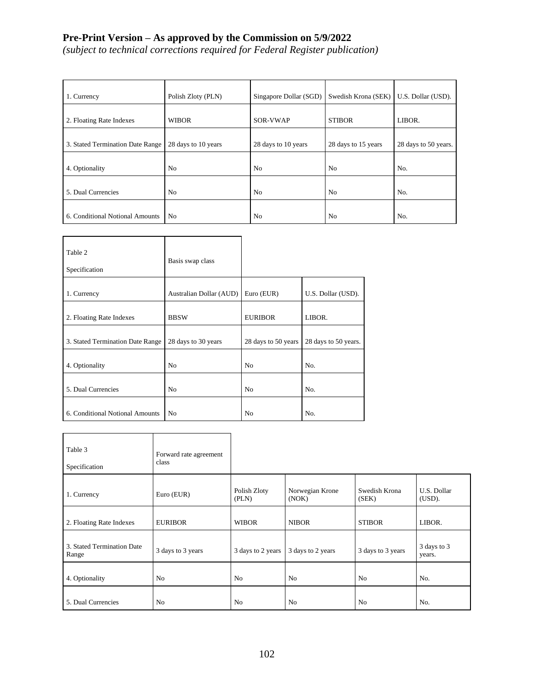*(subject to technical corrections required for Federal Register publication)*

| 1. Currency                      | Polish Zloty (PLN)  | Singapore Dollar (SGD) | Swedish Krona (SEK) | U.S. Dollar (USD).   |  |
|----------------------------------|---------------------|------------------------|---------------------|----------------------|--|
| 2. Floating Rate Indexes         | <b>WIBOR</b>        | SOR-VWAP               | <b>STIBOR</b>       | LIBOR.               |  |
| 3. Stated Termination Date Range | 28 days to 10 years | 28 days to 10 years    | 28 days to 15 years | 28 days to 50 years. |  |
| 4. Optionality                   | N <sub>0</sub>      | N <sub>0</sub>         | N <sub>0</sub>      | No.                  |  |
| 5. Dual Currencies               | N <sub>0</sub>      | N <sub>0</sub>         | N <sub>0</sub>      | No.                  |  |
| 6. Conditional Notional Amounts  | N <sub>0</sub>      | N <sub>0</sub>         | N <sub>0</sub>      | No.                  |  |

| Table 2<br>Specification         | Basis swap class        |                     |                      |
|----------------------------------|-------------------------|---------------------|----------------------|
| 1. Currency                      | Australian Dollar (AUD) | Euro (EUR)          | U.S. Dollar (USD).   |
| 2. Floating Rate Indexes         | <b>BBSW</b>             | <b>EURIBOR</b>      | LIBOR.               |
| 3. Stated Termination Date Range | 28 days to 30 years     | 28 days to 50 years | 28 days to 50 years. |
| 4. Optionality                   | N <sub>0</sub>          | N <sub>0</sub>      | No.                  |
| 5. Dual Currencies               | N <sub>0</sub>          | N <sub>0</sub>      | No.                  |
| 6. Conditional Notional Amounts  | N <sub>0</sub>          | N <sub>0</sub>      | No.                  |

| Table 3<br>Specification            | Forward rate agreement<br>class |                       |                          |                        |                       |
|-------------------------------------|---------------------------------|-----------------------|--------------------------|------------------------|-----------------------|
| 1. Currency                         | Euro (EUR)                      | Polish Zloty<br>(PLN) | Norwegian Krone<br>(NOK) | Swedish Krona<br>(SEK) | U.S. Dollar<br>(USD). |
| 2. Floating Rate Indexes            | <b>EURIBOR</b>                  | <b>WIBOR</b>          | <b>NIBOR</b>             | <b>STIBOR</b>          | LIBOR.                |
| 3. Stated Termination Date<br>Range | 3 days to 3 years               | 3 days to 2 years     | 3 days to 2 years        | 3 days to 3 years      | 3 days to 3<br>years. |
| 4. Optionality                      | N <sub>0</sub>                  | N <sub>o</sub>        | N <sub>o</sub>           | N <sub>o</sub>         | No.                   |
| 5. Dual Currencies                  | N <sub>0</sub>                  | N <sub>o</sub>        | N <sub>o</sub>           | N <sub>o</sub>         | No.                   |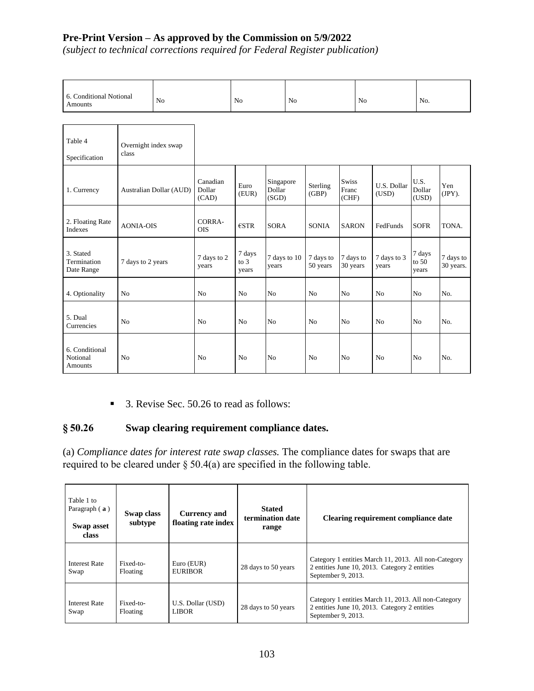*(subject to technical corrections required for Federal Register publication)*

| 6. Conditional Notional<br>Amounts | N <sub>0</sub> | No | No | N <sub>o</sub> | No. |
|------------------------------------|----------------|----|----|----------------|-----|
|------------------------------------|----------------|----|----|----------------|-----|

| Table 4<br>Specification               | Overnight index swap<br>class |                             |                           |                              |                       |                                |                      |                            |                        |
|----------------------------------------|-------------------------------|-----------------------------|---------------------------|------------------------------|-----------------------|--------------------------------|----------------------|----------------------------|------------------------|
| 1. Currency                            | Australian Dollar (AUD)       | Canadian<br>Dollar<br>(CAD) | Euro<br>(EUR)             | Singapore<br>Dollar<br>(SGD) | Sterling<br>(GBP)     | <b>Swiss</b><br>Franc<br>(CHF) | U.S. Dollar<br>(USD) | U.S.<br>Dollar<br>(USD)    | Yen<br>$(JPY)$ .       |
| 2. Floating Rate<br><b>Indexes</b>     | <b>AONIA-OIS</b>              | CORRA-<br><b>OIS</b>        | $\epsilon$ STR            | <b>SORA</b>                  | <b>SONIA</b>          | <b>SARON</b>                   | FedFunds             | <b>SOFR</b>                | TONA.                  |
| 3. Stated<br>Termination<br>Date Range | 7 days to 2 years             | 7 days to 2<br>years        | 7 days<br>to $3$<br>years | 7 days to 10<br>years        | 7 days to<br>50 years | 7 days to<br>30 years          | 7 days to 3<br>years | 7 days<br>to $50$<br>years | 7 days to<br>30 years. |
| 4. Optionality                         | N <sub>0</sub>                | N <sub>0</sub>              | N <sub>o</sub>            | N <sub>o</sub>               | N <sub>0</sub>        | N <sub>o</sub>                 | N <sub>o</sub>       | N <sub>o</sub>             | No.                    |
| 5. Dual<br>Currencies                  | N <sub>0</sub>                | N <sub>0</sub>              | N <sub>0</sub>            | N <sub>o</sub>               | N <sub>0</sub>        | N <sub>o</sub>                 | N <sub>o</sub>       | No                         | No.                    |
| 6. Conditional<br>Notional<br>Amounts  | N <sub>0</sub>                | No                          | N <sub>0</sub>            | N <sub>o</sub>               | No                    | N <sub>0</sub>                 | No                   | No                         | No.                    |

■ 3. Revise Sec. 50.26 to read as follows:

## **§ 50.26 Swap clearing requirement compliance dates.**

(a) *Compliance dates for interest rate swap classes.* The compliance dates for swaps that are required to be cleared under § 50.4(a) are specified in the following table.

| Table 1 to<br>Paragraph (a)<br>Swap asset<br>class | Swap class<br>subtype | <b>Currency and</b><br>floating rate index | <b>Stated</b><br>termination date<br>range | Clearing requirement compliance date                                                                                        |
|----------------------------------------------------|-----------------------|--------------------------------------------|--------------------------------------------|-----------------------------------------------------------------------------------------------------------------------------|
| <b>Interest Rate</b><br>Swap                       | Fixed-to-<br>Floating | Euro (EUR)<br><b>EURIBOR</b>               | 28 days to 50 years                        | Category 1 entities March 11, 2013. All non-Category<br>2 entities June 10, 2013. Category 2 entities<br>September 9, 2013. |
| <b>Interest Rate</b><br>Swap                       | Fixed-to-<br>Floating | U.S. Dollar (USD)<br><b>LIBOR</b>          | 28 days to 50 years                        | Category 1 entities March 11, 2013. All non-Category<br>2 entities June 10, 2013. Category 2 entities<br>September 9, 2013. |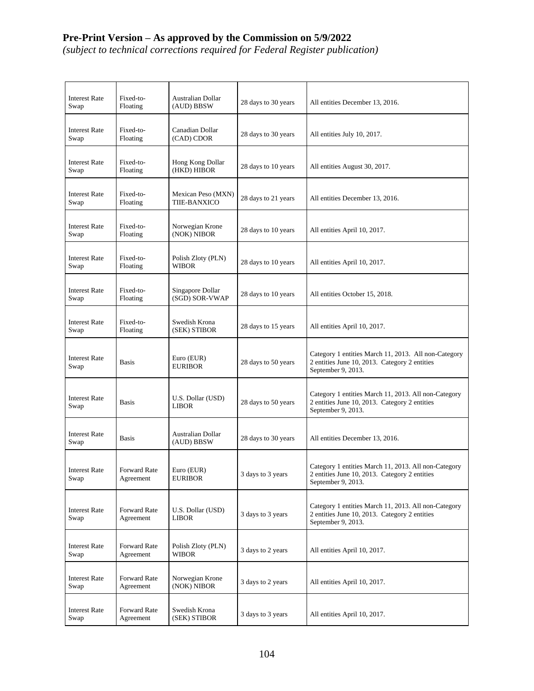*(subject to technical corrections required for Federal Register publication)*

| <b>Interest Rate</b><br>Swap | Fixed-to-<br>Floating            | Australian Dollar<br>(AUD) BBSW    | 28 days to 30 years | All entities December 13, 2016.                                                                                             |
|------------------------------|----------------------------------|------------------------------------|---------------------|-----------------------------------------------------------------------------------------------------------------------------|
| <b>Interest Rate</b><br>Swap | Fixed-to-<br>Floating            | Canadian Dollar<br>(CAD) CDOR      | 28 days to 30 years | All entities July 10, 2017.                                                                                                 |
| <b>Interest Rate</b><br>Swap | Fixed-to-<br>Floating            | Hong Kong Dollar<br>(HKD) HIBOR    | 28 days to 10 years | All entities August 30, 2017.                                                                                               |
| <b>Interest Rate</b><br>Swap | Fixed-to-<br>Floating            | Mexican Peso (MXN)<br>TIIE-BANXICO | 28 days to 21 years | All entities December 13, 2016.                                                                                             |
| <b>Interest Rate</b><br>Swap | Fixed-to-<br>Floating            | Norwegian Krone<br>(NOK) NIBOR     | 28 days to 10 years | All entities April 10, 2017.                                                                                                |
| <b>Interest Rate</b><br>Swap | Fixed-to-<br>Floating            | Polish Zloty (PLN)<br><b>WIBOR</b> | 28 days to 10 years | All entities April 10, 2017.                                                                                                |
| <b>Interest Rate</b><br>Swap | Fixed-to-<br>Floating            | Singapore Dollar<br>(SGD) SOR-VWAP | 28 days to 10 years | All entities October 15, 2018.                                                                                              |
| <b>Interest Rate</b><br>Swap | Fixed-to-<br>Floating            | Swedish Krona<br>(SEK) STIBOR      | 28 days to 15 years | All entities April 10, 2017.                                                                                                |
| <b>Interest Rate</b><br>Swap | Basis                            | Euro (EUR)<br><b>EURIBOR</b>       | 28 days to 50 years | Category 1 entities March 11, 2013. All non-Category<br>2 entities June 10, 2013. Category 2 entities<br>September 9, 2013. |
| <b>Interest Rate</b><br>Swap | Basis                            | U.S. Dollar (USD)<br><b>LIBOR</b>  | 28 days to 50 years | Category 1 entities March 11, 2013. All non-Category<br>2 entities June 10, 2013. Category 2 entities<br>September 9, 2013. |
| <b>Interest Rate</b><br>Swap | Basis                            | Australian Dollar<br>(AUD) BBSW    | 28 days to 30 years | All entities December 13, 2016.                                                                                             |
| <b>Interest Rate</b><br>Swap | <b>Forward Rate</b><br>Agreement | Euro (EUR)<br><b>EURIBOR</b>       | 3 days to 3 years   | Category 1 entities March 11, 2013. All non-Category<br>2 entities June 10, 2013. Category 2 entities<br>September 9, 2013. |
| <b>Interest Rate</b><br>Swap | Forward Rate<br>Agreement        | U.S. Dollar (USD)<br><b>LIBOR</b>  | 3 days to 3 years   | Category 1 entities March 11, 2013. All non-Category<br>2 entities June 10, 2013. Category 2 entities<br>September 9, 2013. |
| <b>Interest Rate</b><br>Swap | Forward Rate<br>Agreement        | Polish Zloty (PLN)<br><b>WIBOR</b> | 3 days to 2 years   | All entities April 10, 2017.                                                                                                |
| <b>Interest Rate</b><br>Swap | Forward Rate<br>Agreement        | Norwegian Krone<br>(NOK) NIBOR     | 3 days to 2 years   | All entities April 10, 2017.                                                                                                |
| <b>Interest Rate</b><br>Swap | Forward Rate<br>Agreement        | Swedish Krona<br>(SEK) STIBOR      | 3 days to 3 years   | All entities April 10, 2017.                                                                                                |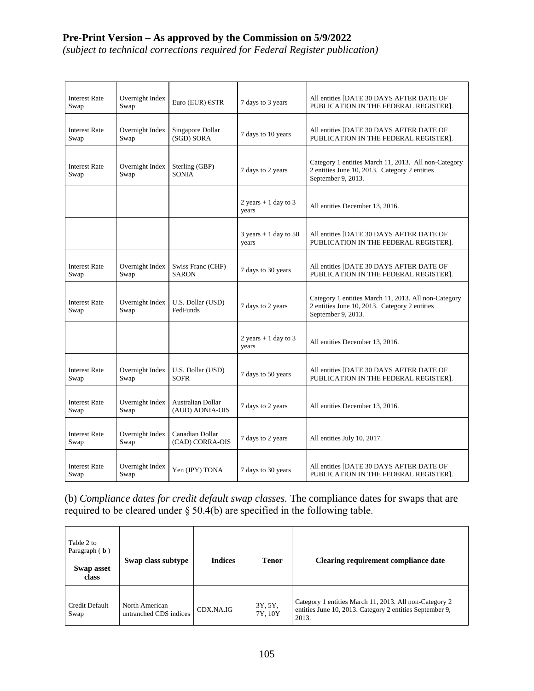*(subject to technical corrections required for Federal Register publication)*

| <b>Interest Rate</b><br>Swap | Overnight Index<br>Swap | Euro (EUR) €STR                             | 7 days to 3 years                                 | All entities [DATE 30 DAYS AFTER DATE OF<br>PUBLICATION IN THE FEDERAL REGISTER].                                           |
|------------------------------|-------------------------|---------------------------------------------|---------------------------------------------------|-----------------------------------------------------------------------------------------------------------------------------|
| <b>Interest Rate</b><br>Swap | Overnight Index<br>Swap | Singapore Dollar<br>(SGD) SORA              | 7 days to 10 years                                | All entities [DATE 30 DAYS AFTER DATE OF<br>PUBLICATION IN THE FEDERAL REGISTER].                                           |
| <b>Interest Rate</b><br>Swap | Overnight Index<br>Swap | Sterling (GBP)<br><b>SONIA</b>              | 7 days to 2 years                                 | Category 1 entities March 11, 2013. All non-Category<br>2 entities June 10, 2013. Category 2 entities<br>September 9, 2013. |
|                              |                         |                                             | 2 years $+1$ day to 3<br>years                    | All entities December 13, 2016.                                                                                             |
|                              |                         |                                             | $3 \text{ years} + 1 \text{ day to } 50$<br>years | All entities [DATE 30 DAYS AFTER DATE OF<br>PUBLICATION IN THE FEDERAL REGISTER].                                           |
| <b>Interest Rate</b><br>Swap | Overnight Index<br>Swap | Swiss Franc (CHF)<br><b>SARON</b>           | 7 days to 30 years                                | All entities [DATE 30 DAYS AFTER DATE OF<br>PUBLICATION IN THE FEDERAL REGISTER].                                           |
| <b>Interest Rate</b><br>Swap | Overnight Index<br>Swap | U.S. Dollar (USD)<br>FedFunds               | 7 days to 2 years                                 | Category 1 entities March 11, 2013. All non-Category<br>2 entities June 10, 2013. Category 2 entities<br>September 9, 2013. |
|                              |                         |                                             | $2 \text{ years} + 1 \text{ day to } 3$<br>years  | All entities December 13, 2016.                                                                                             |
| <b>Interest Rate</b><br>Swap | Overnight Index<br>Swap | U.S. Dollar (USD)<br><b>SOFR</b>            | 7 days to 50 years                                | All entities [DATE 30 DAYS AFTER DATE OF<br>PUBLICATION IN THE FEDERAL REGISTER].                                           |
| <b>Interest Rate</b><br>Swap | Overnight Index<br>Swap | <b>Australian Dollar</b><br>(AUD) AONIA-OIS | 7 days to 2 years                                 | All entities December 13, 2016.                                                                                             |
| <b>Interest Rate</b><br>Swap | Overnight Index<br>Swap | Canadian Dollar<br>(CAD) CORRA-OIS          | 7 days to 2 years                                 | All entities July 10, 2017.                                                                                                 |
| <b>Interest Rate</b><br>Swap | Overnight Index<br>Swap | Yen (JPY) TONA                              | 7 days to 30 years                                | All entities [DATE 30 DAYS AFTER DATE OF<br>PUBLICATION IN THE FEDERAL REGISTER].                                           |

(b) *Compliance dates for credit default swap classes.* The compliance dates for swaps that are required to be cleared under  $\S 50.4(b)$  are specified in the following table.

| Table 2 to<br>Paragraph $(b)$<br>Swap asset<br>class | Swap class subtype                       | <b>Indices</b> | <b>Tenor</b>       | Clearing requirement compliance date                                                                                        |
|------------------------------------------------------|------------------------------------------|----------------|--------------------|-----------------------------------------------------------------------------------------------------------------------------|
| Credit Default<br>Swap                               | North American<br>untranched CDS indices | CDX.NA.IG      | 3Y, 5Y,<br>7Y, 10Y | Category 1 entities March 11, 2013. All non-Category 2<br>entities June 10, 2013. Category 2 entities September 9,<br>2013. |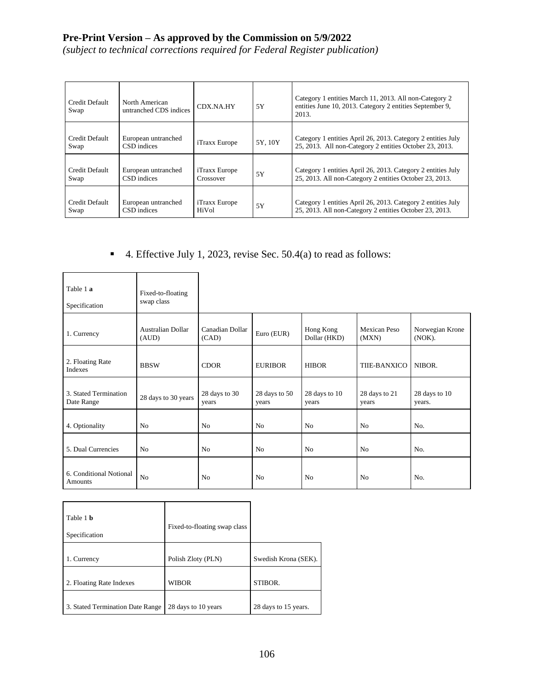*(subject to technical corrections required for Federal Register publication)*

| Credit Default<br>Swap | North American<br>untranched CDS indices | CDX.NA.HY                         | 5Y      | Category 1 entities March 11, 2013. All non-Category 2<br>entities June 10, 2013. Category 2 entities September 9,<br>2013. |
|------------------------|------------------------------------------|-----------------------------------|---------|-----------------------------------------------------------------------------------------------------------------------------|
| Credit Default<br>Swap | European untranched<br>CSD indices       | <i>iTraxx Europe</i>              | 5Y, 10Y | Category 1 entities April 26, 2013. Category 2 entities July<br>25, 2013. All non-Category 2 entities October 23, 2013.     |
| Credit Default<br>Swap | European untranched<br>CSD indices       | <i>iTraxx Europe</i><br>Crossover | 5Y      | Category 1 entities April 26, 2013. Category 2 entities July<br>25, 2013. All non-Category 2 entities October 23, 2013.     |
| Credit Default<br>Swap | European untranched<br>CSD indices       | iTraxx Europe<br>HiVol            | 5Y      | Category 1 entities April 26, 2013. Category 2 entities July<br>25, 2013. All non-Category 2 entities October 23, 2013.     |

■ 4. Effective July 1, 2023, revise Sec. 50.4(a) to read as follows:

| Table 1 a<br>Specification          | Fixed-to-floating<br>swap class |                          |                        |                           |                        |                           |
|-------------------------------------|---------------------------------|--------------------------|------------------------|---------------------------|------------------------|---------------------------|
| 1. Currency                         | Australian Dollar<br>(AUD)      | Canadian Dollar<br>(CAD) | Euro (EUR)             | Hong Kong<br>Dollar (HKD) | Mexican Peso<br>(MXN)  | Norwegian Krone<br>(NOK). |
| 2. Floating Rate<br>Indexes         | <b>BBSW</b>                     | <b>CDOR</b>              | <b>EURIBOR</b>         | <b>HIBOR</b>              | TIIE-BANXICO           | NIBOR.                    |
| 3. Stated Termination<br>Date Range | 28 days to 30 years             | 28 days to 30<br>years   | 28 days to 50<br>years | 28 days to 10<br>years    | 28 days to 21<br>years | 28 days to 10<br>years.   |
| 4. Optionality                      | N <sub>0</sub>                  | No                       | No                     | N <sub>0</sub>            | No                     | No.                       |
| 5. Dual Currencies                  | N <sub>0</sub>                  | N <sub>0</sub>           | N <sub>0</sub>         | N <sub>0</sub>            | N <sub>0</sub>         | No.                       |
| 6. Conditional Notional<br>Amounts  | N <sub>o</sub>                  | N <sub>0</sub>           | N <sub>0</sub>         | N <sub>0</sub>            | N <sub>0</sub>         | N <sub>O</sub>            |

| Table 1 <b>b</b>                 | Fixed-to-floating swap class |                      |
|----------------------------------|------------------------------|----------------------|
| Specification                    |                              |                      |
|                                  |                              |                      |
| 1. Currency                      | Polish Zloty (PLN)           | Swedish Krona (SEK). |
|                                  |                              |                      |
| 2. Floating Rate Indexes         | <b>WIBOR</b>                 | STIBOR.              |
|                                  |                              |                      |
| 3. Stated Termination Date Range | 28 days to 10 years          | 28 days to 15 years. |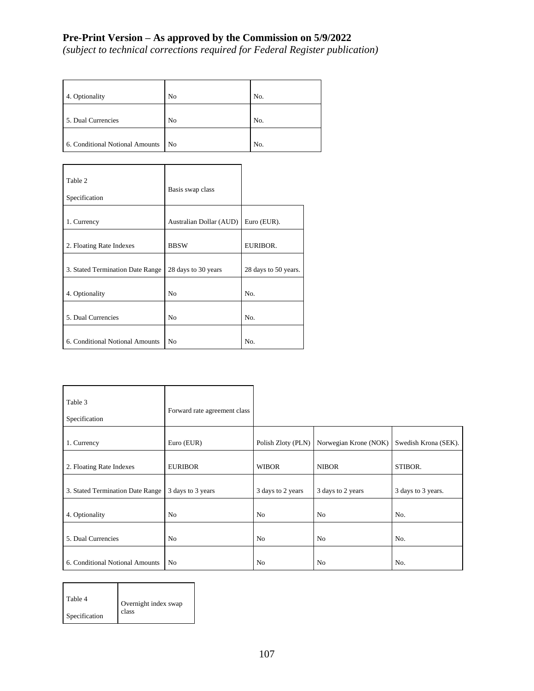*(subject to technical corrections required for Federal Register publication)*

| 4. Optionality                  | N <sub>0</sub> | No. |
|---------------------------------|----------------|-----|
|                                 |                |     |
| 5. Dual Currencies              | N <sub>0</sub> | No. |
|                                 |                |     |
| 6. Conditional Notional Amounts | N <sub>0</sub> | No. |

| Table 2<br>Specification         | Basis swap class        |                      |
|----------------------------------|-------------------------|----------------------|
| 1. Currency                      | Australian Dollar (AUD) | Euro (EUR).          |
| 2. Floating Rate Indexes         | <b>BBSW</b>             | EURIBOR.             |
| 3. Stated Termination Date Range | 28 days to 30 years     | 28 days to 50 years. |
| 4. Optionality                   | N <sub>0</sub>          | No.                  |
| 5. Dual Currencies               | N <sub>0</sub>          | No.                  |
| 6. Conditional Notional Amounts  | N <sub>0</sub>          | N <sub>o</sub>       |

| Table 3<br>Specification         | Forward rate agreement class |                    |                       |                      |
|----------------------------------|------------------------------|--------------------|-----------------------|----------------------|
| 1. Currency                      | Euro (EUR)                   | Polish Zloty (PLN) | Norwegian Krone (NOK) | Swedish Krona (SEK). |
| 2. Floating Rate Indexes         | <b>EURIBOR</b>               | <b>WIBOR</b>       | <b>NIBOR</b>          | STIBOR.              |
| 3. Stated Termination Date Range | 3 days to 3 years            | 3 days to 2 years  | 3 days to 2 years     | 3 days to 3 years.   |
| 4. Optionality                   | N <sub>0</sub>               | No                 | N <sub>0</sub>        | No.                  |
| 5. Dual Currencies               | No                           | N <sub>0</sub>     | No                    | No.                  |
| 6. Conditional Notional Amounts  | N <sub>0</sub>               | N <sub>0</sub>     | No                    | No.                  |

| Table 4              | Overnight index swap |
|----------------------|----------------------|
| <b>Specification</b> | class                |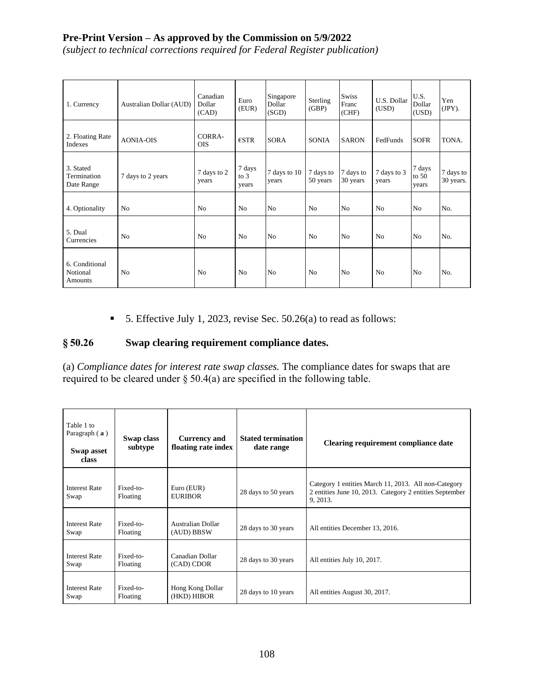*(subject to technical corrections required for Federal Register publication)*

| 1. Currency                            | Australian Dollar (AUD) | Canadian<br>Dollar<br>(CAD) | Euro<br>(EUR)             | Singapore<br>Dollar<br>(SGD) | Sterling<br>(GBP)     | <b>Swiss</b><br>Franc<br>(CHF) | U.S. Dollar<br>(USD) | U.S.<br>Dollar<br>(USD)    | Yen<br>(JPY).          |
|----------------------------------------|-------------------------|-----------------------------|---------------------------|------------------------------|-----------------------|--------------------------------|----------------------|----------------------------|------------------------|
| 2. Floating Rate<br>Indexes            | <b>AONIA-OIS</b>        | CORRA-<br><b>OIS</b>        | $\epsilon$ STR            | <b>SORA</b>                  | <b>SONIA</b>          | <b>SARON</b>                   | FedFunds             | <b>SOFR</b>                | TONA.                  |
| 3. Stated<br>Termination<br>Date Range | 7 days to 2 years       | 7 days to 2<br>years        | 7 days<br>to $3$<br>years | 7 days to 10<br>years        | 7 days to<br>50 years | 7 days to<br>30 years          | 7 days to 3<br>years | 7 days<br>to $50$<br>years | 7 days to<br>30 years. |
| 4. Optionality                         | No                      | No                          | N <sub>0</sub>            | No                           | No                    | No                             | No                   | N <sub>o</sub>             | No.                    |
| 5. Dual<br>Currencies                  | N <sub>o</sub>          | N <sub>0</sub>              | N <sub>0</sub>            | N <sub>0</sub>               | N <sub>0</sub>        | N <sub>o</sub>                 | N <sub>0</sub>       | N <sub>o</sub>             | No.                    |
| 6. Conditional<br>Notional<br>Amounts  | N <sub>0</sub>          | N <sub>0</sub>              | N <sub>0</sub>            | No                           | N <sub>0</sub>        | No                             | N <sub>o</sub>       | N <sub>o</sub>             | No.                    |

■ 5. Effective July 1, 2023, revise Sec. 50.26(a) to read as follows:

# **§ 50.26 Swap clearing requirement compliance dates.**

(a) *Compliance dates for interest rate swap classes.* The compliance dates for swaps that are required to be cleared under  $\S 50.4(a)$  are specified in the following table.

| Table 1 to<br>Paragraph $(a)$<br>Swap asset<br>class | Swap class<br>subtype | <b>Currency and</b><br>floating rate index | <b>Stated termination</b><br>date range | Clearing requirement compliance date                                                                                        |
|------------------------------------------------------|-----------------------|--------------------------------------------|-----------------------------------------|-----------------------------------------------------------------------------------------------------------------------------|
| <b>Interest Rate</b><br>Swap                         | Fixed-to-<br>Floating | Euro (EUR)<br><b>EURIBOR</b>               | 28 days to 50 years                     | Category 1 entities March 11, 2013. All non-Category<br>2 entities June 10, 2013. Category 2 entities September<br>9, 2013. |
| <b>Interest Rate</b><br>Swap                         | Fixed-to-<br>Floating | Australian Dollar<br>(AUD) BBSW            | 28 days to 30 years                     | All entities December 13, 2016.                                                                                             |
| <b>Interest Rate</b><br>Swap                         | Fixed-to-<br>Floating | Canadian Dollar<br>(CAD) CDOR              | 28 days to 30 years                     | All entities July 10, 2017.                                                                                                 |
| <b>Interest Rate</b><br>Swap                         | Fixed-to-<br>Floating | Hong Kong Dollar<br>(HKD) HIBOR            | 28 days to 10 years                     | All entities August 30, 2017.                                                                                               |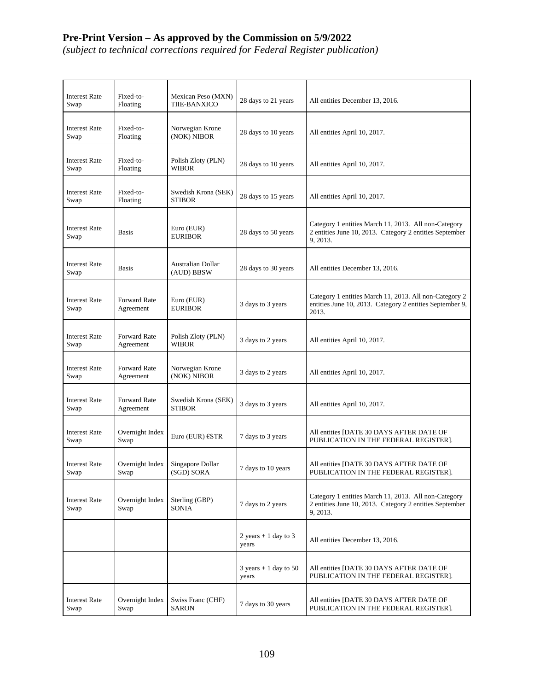## **Pre-Print Version – As approved by the Commission on 5/9/2022**

*(subject to technical corrections required for Federal Register publication)*

| <b>Interest Rate</b><br>Swap | Fixed-to-<br>Floating     | Mexican Peso (MXN)<br>TIIE-BANXICO   | 28 days to 21 years                               | All entities December 13, 2016.                                                                                             |
|------------------------------|---------------------------|--------------------------------------|---------------------------------------------------|-----------------------------------------------------------------------------------------------------------------------------|
| <b>Interest Rate</b><br>Swap | Fixed-to-<br>Floating     | Norwegian Krone<br>(NOK) NIBOR       | 28 days to 10 years                               | All entities April 10, 2017.                                                                                                |
| <b>Interest Rate</b><br>Swap | Fixed-to-<br>Floating     | Polish Zloty (PLN)<br><b>WIBOR</b>   | 28 days to 10 years                               | All entities April 10, 2017.                                                                                                |
| <b>Interest Rate</b><br>Swap | Fixed-to-<br>Floating     | Swedish Krona (SEK)<br><b>STIBOR</b> | 28 days to 15 years                               | All entities April 10, 2017.                                                                                                |
| <b>Interest Rate</b><br>Swap | <b>Basis</b>              | Euro (EUR)<br><b>EURIBOR</b>         | 28 days to 50 years                               | Category 1 entities March 11, 2013. All non-Category<br>2 entities June 10, 2013. Category 2 entities September<br>9, 2013. |
| <b>Interest Rate</b><br>Swap | <b>Basis</b>              | Australian Dollar<br>(AUD) BBSW      | 28 days to 30 years                               | All entities December 13, 2016.                                                                                             |
| <b>Interest Rate</b><br>Swap | Forward Rate<br>Agreement | Euro (EUR)<br><b>EURIBOR</b>         | 3 days to 3 years                                 | Category 1 entities March 11, 2013. All non-Category 2<br>entities June 10, 2013. Category 2 entities September 9,<br>2013. |
| <b>Interest Rate</b><br>Swap | Forward Rate<br>Agreement | Polish Zloty (PLN)<br><b>WIBOR</b>   | 3 days to 2 years                                 | All entities April 10, 2017.                                                                                                |
| <b>Interest Rate</b><br>Swap | Forward Rate<br>Agreement | Norwegian Krone<br>(NOK) NIBOR       | 3 days to 2 years                                 | All entities April 10, 2017.                                                                                                |
| <b>Interest Rate</b><br>Swap | Forward Rate<br>Agreement | Swedish Krona (SEK)<br><b>STIBOR</b> | 3 days to 3 years                                 | All entities April 10, 2017.                                                                                                |
| <b>Interest Rate</b><br>Swap | Overnight Index<br>Swap   | Euro (EUR) $\epsilon$ STR            | 7 days to 3 years                                 | All entities [DATE 30 DAYS AFTER DATE OF<br>PUBLICATION IN THE FEDERAL REGISTER].                                           |
| <b>Interest Rate</b><br>Swap | Overnight Index<br>Swap   | Singapore Dollar<br>(SGD) SORA       | 7 days to 10 years                                | All entities [DATE 30 DAYS AFTER DATE OF<br>PUBLICATION IN THE FEDERAL REGISTER].                                           |
| <b>Interest Rate</b><br>Swap | Overnight Index<br>Swap   | Sterling (GBP)<br>SONIA              | 7 days to 2 years                                 | Category 1 entities March 11, 2013. All non-Category<br>2 entities June 10, 2013. Category 2 entities September<br>9, 2013. |
|                              |                           |                                      | 2 years $+1$ day to 3<br>years                    | All entities December 13, 2016.                                                                                             |
|                              |                           |                                      | $3 \text{ years} + 1 \text{ day to } 50$<br>years | All entities [DATE 30 DAYS AFTER DATE OF<br>PUBLICATION IN THE FEDERAL REGISTER].                                           |
| <b>Interest Rate</b><br>Swap | Overnight Index<br>Swap   | Swiss Franc (CHF)<br><b>SARON</b>    | 7 days to 30 years                                | All entities [DATE 30 DAYS AFTER DATE OF<br>PUBLICATION IN THE FEDERAL REGISTER].                                           |